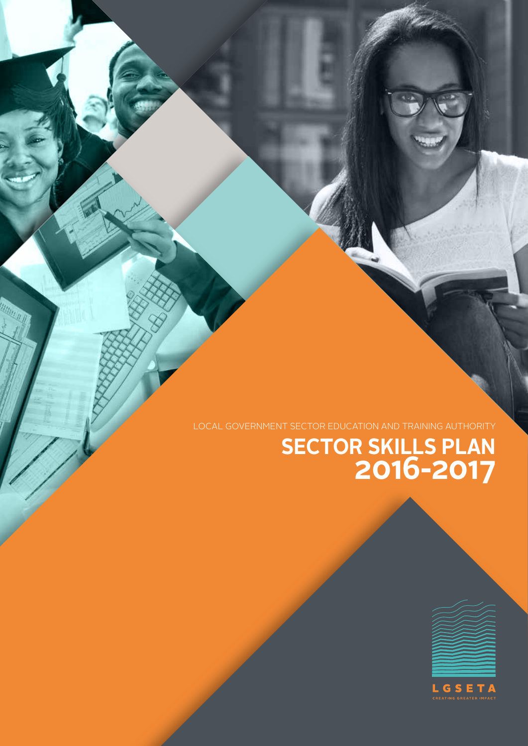

# **SECTOR SKILLS PLAN 2016-2017**

LOCAL GOVERNMENT SECTOR EDUCATION AND TRAINING AUTHORITY

MARTIN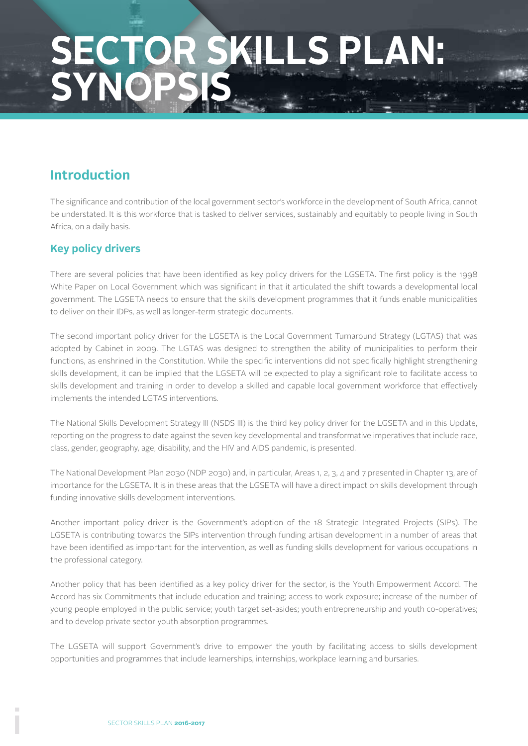# **SECTOR SKILLS PLAN: SYNOPSIS**

# **Introduction**

The significance and contribution of the local government sector's workforce in the development of South Africa, cannot be understated. It is this workforce that is tasked to deliver services, sustainably and equitably to people living in South Africa, on a daily basis.

# **Key policy drivers**

There are several policies that have been identified as key policy drivers for the LGSETA. The first policy is the 1998 White Paper on Local Government which was significant in that it articulated the shift towards a developmental local government. The LGSETA needs to ensure that the skills development programmes that it funds enable municipalities to deliver on their IDPs, as well as longer-term strategic documents.

The second important policy driver for the LGSETA is the Local Government Turnaround Strategy (LGTAS) that was adopted by Cabinet in 2009. The LGTAS was designed to strengthen the ability of municipalities to perform their functions, as enshrined in the Constitution. While the specific interventions did not specifically highlight strengthening skills development, it can be implied that the LGSETA will be expected to play a significant role to facilitate access to skills development and training in order to develop a skilled and capable local government workforce that effectively implements the intended LGTAS interventions.

The National Skills Development Strategy III (NSDS III) is the third key policy driver for the LGSETA and in this Update, reporting on the progress to date against the seven key developmental and transformative imperatives that include race, class, gender, geography, age, disability, and the HIV and AIDS pandemic, is presented.

The National Development Plan 2030 (NDP 2030) and, in particular, Areas 1, 2, 3, 4 and 7 presented in Chapter 13, are of importance for the LGSETA. It is in these areas that the LGSETA will have a direct impact on skills development through funding innovative skills development interventions.

Another important policy driver is the Government's adoption of the 18 Strategic Integrated Projects (SIPs). The LGSETA is contributing towards the SIPs intervention through funding artisan development in a number of areas that have been identified as important for the intervention, as well as funding skills development for various occupations in the professional category.

Another policy that has been identified as a key policy driver for the sector, is the Youth Empowerment Accord. The Accord has six Commitments that include education and training; access to work exposure; increase of the number of young people employed in the public service; youth target set-asides; youth entrepreneurship and youth co-operatives; and to develop private sector youth absorption programmes.

The LGSETA will support Government's drive to empower the youth by facilitating access to skills development opportunities and programmes that include learnerships, internships, workplace learning and bursaries.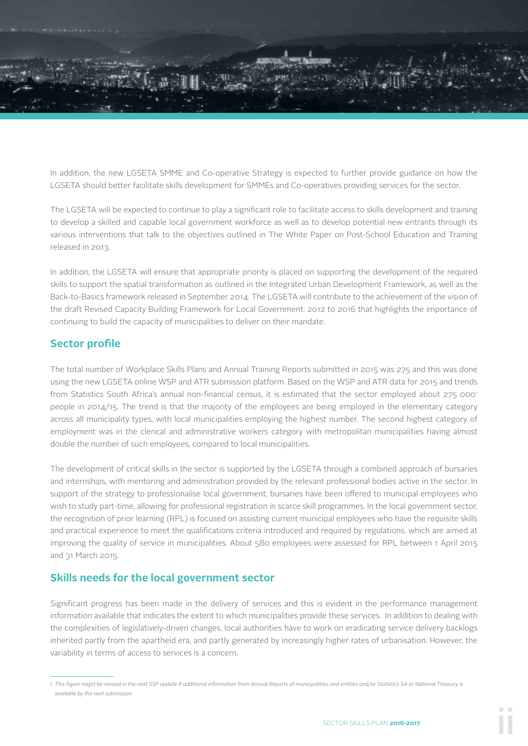

In addition, the new LGSETA SMME and Co-operative Strategy is expected to further provide guidance on how the LGSETA should better facilitate skills development for SMMEs and Co-operatives providing services for the sector.

The LGSETA will be expected to continue to play a significant role to facilitate access to skills development and training to develop a skilled and capable local government workforce as well as to develop potential new entrants through its various interventions that talk to the objectives outlined in The White Paper on Post-School Education and Training released in 2013.

In addition, the LGSETA will ensure that appropriate priority is placed on supporting the development of the required skills to support the spatial transformation as outlined in the Integrated Urban Development Framework, as well as the Back-to-Basics framework released in September 2014. The LGSETA will contribute to the achievement of the vision of the draft Revised Capacity Building Framework for Local Government: 2012 to 2016 that highlights the importance of continuing to build the capacity of municipalities to deliver on their mandate.

## **Sector profile**

The total number of Workplace Skills Plans and Annual Training Reports submitted in 2015 was 275 and this was done using the new LGSETA online WSP and ATR submission platform. Based on the WSP and ATR data for 2015 and trends from Statistics South Africa's annual non-financial census, it is estimated that the sector employed about 275 0001 people in 2014/15. The trend is that the majority of the employees are being employed in the elementary category across all municipality types, with local municipalities employing the highest number. The second highest category of employment was in the clerical and administrative workers category with metropolitan municipalities having almost double the number of such employees, compared to local municipalities.

The development of critical skills in the sector is supported by the LGSETA through a combined approach of bursaries and internships, with mentoring and administration provided by the relevant professional bodies active in the sector. In support of the strategy to professionalise local government, bursaries have been offered to municipal employees who wish to study part-time, allowing for professional registration in scarce skill programmes. In the local government sector, the recognition of prior learning (RPL) is focused on assisting current municipal employees who have the requisite skills and practical experience to meet the qualifications criteria introduced and required by regulations, which are aimed at improving the quality of service in municipalities. About 580 employees were assessed for RPL between 1 April 2015 and 31 March 2015.

### **Skills needs for the local government sector**

Significant progress has been made in the delivery of services and this is evident in the performance management information available that indicates the extent to which municipalities provide these services. In addition to dealing with the complexities of legislatively-driven changes, local authorities have to work on eradicating service delivery backlogs inherited partly from the apartheid era, and partly generated by increasingly higher rates of urbanisation. However, the variability in terms of access to services is a concern.

<sup>1</sup> This figure might be revised in the next SSP update if additional information from Annual Reports of municipalities and entities and/or Statistics SA or National Treasury is *available by the next submission.*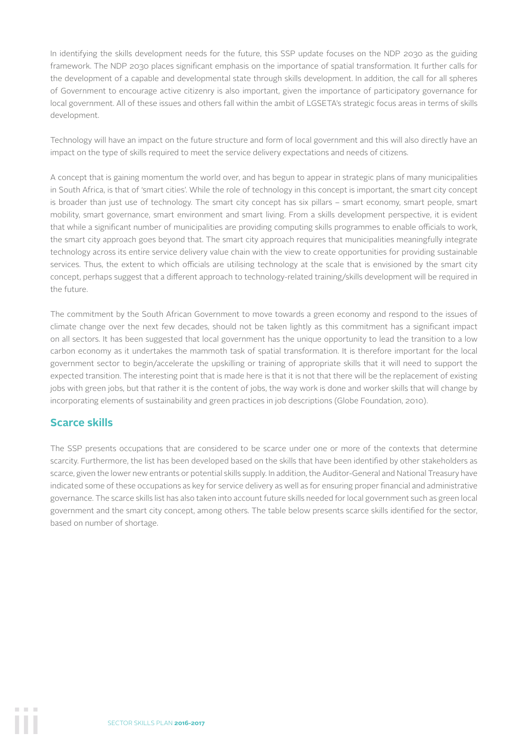In identifying the skills development needs for the future, this SSP update focuses on the NDP 2030 as the guiding framework. The NDP 2030 places significant emphasis on the importance of spatial transformation. It further calls for the development of a capable and developmental state through skills development. In addition, the call for all spheres of Government to encourage active citizenry is also important, given the importance of participatory governance for local government. All of these issues and others fall within the ambit of LGSETA's strategic focus areas in terms of skills development.

Technology will have an impact on the future structure and form of local government and this will also directly have an impact on the type of skills required to meet the service delivery expectations and needs of citizens.

A concept that is gaining momentum the world over, and has begun to appear in strategic plans of many municipalities in South Africa, is that of 'smart cities'. While the role of technology in this concept is important, the smart city concept is broader than just use of technology. The smart city concept has six pillars – smart economy, smart people, smart mobility, smart governance, smart environment and smart living. From a skills development perspective, it is evident that while a significant number of municipalities are providing computing skills programmes to enable officials to work, the smart city approach goes beyond that. The smart city approach requires that municipalities meaningfully integrate technology across its entire service delivery value chain with the view to create opportunities for providing sustainable services. Thus, the extent to which officials are utilising technology at the scale that is envisioned by the smart city concept, perhaps suggest that a different approach to technology-related training/skills development will be required in the future.

The commitment by the South African Government to move towards a green economy and respond to the issues of climate change over the next few decades, should not be taken lightly as this commitment has a significant impact on all sectors. It has been suggested that local government has the unique opportunity to lead the transition to a low carbon economy as it undertakes the mammoth task of spatial transformation. It is therefore important for the local government sector to begin/accelerate the upskilling or training of appropriate skills that it will need to support the expected transition. The interesting point that is made here is that it is not that there will be the replacement of existing jobs with green jobs, but that rather it is the content of jobs, the way work is done and worker skills that will change by incorporating elements of sustainability and green practices in job descriptions (Globe Foundation, 2010).

### **Scarce skills**

The SSP presents occupations that are considered to be scarce under one or more of the contexts that determine scarcity. Furthermore, the list has been developed based on the skills that have been identified by other stakeholders as scarce, given the lower new entrants or potential skills supply. In addition, the Auditor-General and National Treasury have indicated some of these occupations as key for service delivery as well as for ensuring proper financial and administrative governance. The scarce skills list has also taken into account future skills needed for local government such as green local government and the smart city concept, among others. The table below presents scarce skills identified for the sector, based on number of shortage.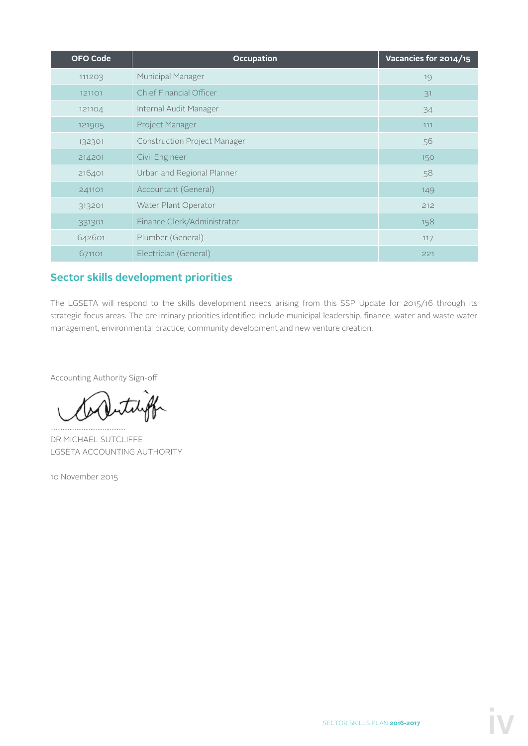| <b>OFO Code</b> | <b>Occupation</b>                   | Vacancies for 2014/15 |
|-----------------|-------------------------------------|-----------------------|
| 111203          | <b>Municipal Manager</b>            | 19                    |
| 121101          | Chief Financial Officer             | 31                    |
| 121104          | Internal Audit Manager              | 34                    |
| 121905          | Project Manager                     | 111                   |
| 132301          | <b>Construction Project Manager</b> | 56                    |
| 214201          | Civil Engineer                      | 150                   |
| 216401          | Urban and Regional Planner          | 58                    |
| 241101          | Accountant (General)                | 149                   |
| 313201          | Water Plant Operator                | 212                   |
| 331301          | Finance Clerk/Administrator         | 158                   |
| 642601          | Plumber (General)                   | 117                   |
| 671101          | Electrician (General)               | 221                   |

# **Sector skills development priorities**

The LGSETA will respond to the skills development needs arising from this SSP Update for 2015/16 through its strategic focus areas. The preliminary priorities identified include municipal leadership, finance, water and waste water management, environmental practice, community development and new venture creation.

Accounting Authority Sign-off

…………………………………….

DR MICHAEL SUTCLIFFE LGSETA ACCOUNTING AUTHORITY

10 November 2015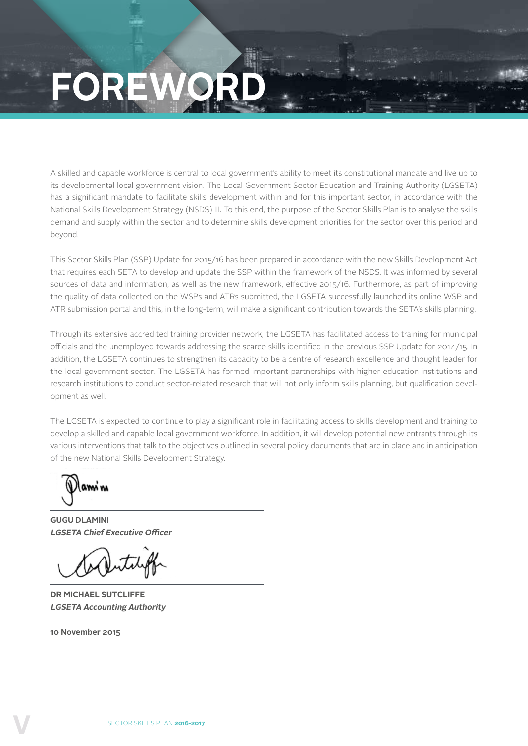# **FOREWOR**

A skilled and capable workforce is central to local government's ability to meet its constitutional mandate and live up to its developmental local government vision. The Local Government Sector Education and Training Authority (LGSETA) has a significant mandate to facilitate skills development within and for this important sector, in accordance with the National Skills Development Strategy (NSDS) III. To this end, the purpose of the Sector Skills Plan is to analyse the skills demand and supply within the sector and to determine skills development priorities for the sector over this period and beyond.

This Sector Skills Plan (SSP) Update for 2015/16 has been prepared in accordance with the new Skills Development Act that requires each SETA to develop and update the SSP within the framework of the NSDS. It was informed by several sources of data and information, as well as the new framework, effective 2015/16. Furthermore, as part of improving the quality of data collected on the WSPs and ATRs submitted, the LGSETA successfully launched its online WSP and ATR submission portal and this, in the long-term, will make a significant contribution towards the SETA's skills planning.

Through its extensive accredited training provider network, the LGSETA has facilitated access to training for municipal officials and the unemployed towards addressing the scarce skills identified in the previous SSP Update for 2014/15. In addition, the LGSETA continues to strengthen its capacity to be a centre of research excellence and thought leader for the local government sector. The LGSETA has formed important partnerships with higher education institutions and research institutions to conduct sector-related research that will not only inform skills planning, but qualification development as well.

The LGSETA is expected to continue to play a significant role in facilitating access to skills development and training to develop a skilled and capable local government workforce. In addition, it will develop potential new entrants through its various interventions that talk to the objectives outlined in several policy documents that are in place and in anticipation of the new National Skills Development Strategy.

ami ni

**GUGU DLAMINI LGSETA Chief Executive Officer**

**DR MICHAEL SUTCLIFFE LGSETA Accounting Authority**

**10 November 2015**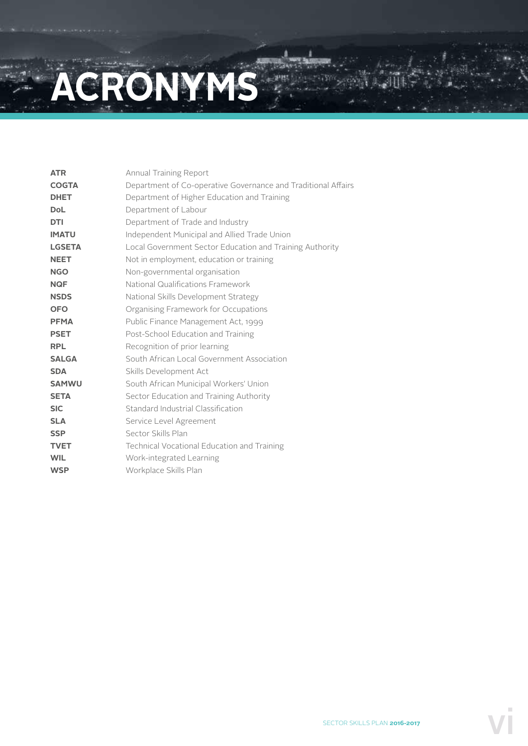# **ACRONYMS**

| <b>ATR</b>    | Annual Training Report                                        |
|---------------|---------------------------------------------------------------|
| <b>COGTA</b>  | Department of Co-operative Governance and Traditional Affairs |
| <b>DHET</b>   | Department of Higher Education and Training                   |
| <b>DoL</b>    | Department of Labour                                          |
| <b>DTI</b>    | Department of Trade and Industry                              |
| <b>IMATU</b>  | Independent Municipal and Allied Trade Union                  |
| <b>LGSETA</b> | Local Government Sector Education and Training Authority      |
| <b>NEET</b>   | Not in employment, education or training                      |
| <b>NGO</b>    | Non-governmental organisation                                 |
| <b>NQF</b>    | National Qualifications Framework                             |
| <b>NSDS</b>   | National Skills Development Strategy                          |
| <b>OFO</b>    | Organising Framework for Occupations                          |
| <b>PFMA</b>   | Public Finance Management Act, 1999                           |
| <b>PSET</b>   | Post-School Education and Training                            |
| <b>RPL</b>    | Recognition of prior learning                                 |
| <b>SALGA</b>  | South African Local Government Association                    |
| <b>SDA</b>    | Skills Development Act                                        |
| <b>SAMWU</b>  | South African Municipal Workers' Union                        |
| <b>SETA</b>   | Sector Education and Training Authority                       |
| <b>SIC</b>    | Standard Industrial Classification                            |
| <b>SLA</b>    | Service Level Agreement                                       |
| <b>SSP</b>    | Sector Skills Plan                                            |
| <b>TVET</b>   | Technical Vocational Education and Training                   |
| <b>WIL</b>    | Work-integrated Learning                                      |
| <b>WSP</b>    | Workplace Skills Plan                                         |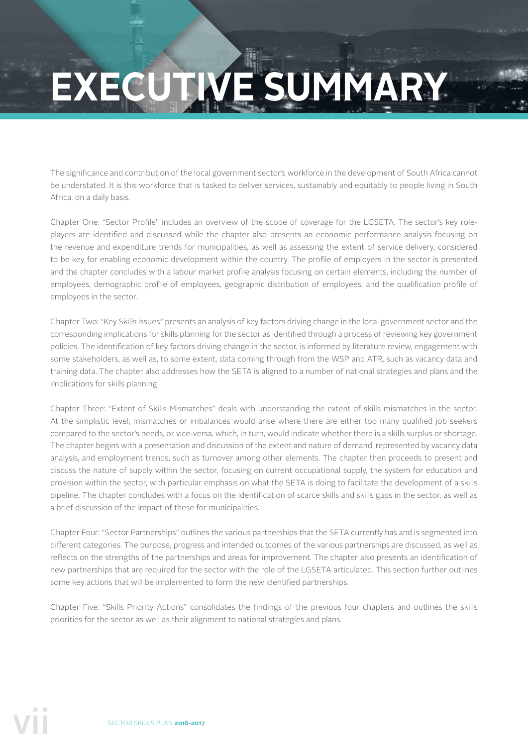# **EXECUTIVE SUMMARY**

The significance and contribution of the local government sector's workforce in the development of South Africa cannot be understated. It is this workforce that is tasked to deliver services, sustainably and equitably to people living in South Africa, on a daily basis.

Chapter One: "Sector Profile" includes an overview of the scope of coverage for the LGSETA. The sector's key roleplayers are identified and discussed while the chapter also presents an economic performance analysis focusing on the revenue and expenditure trends for municipalities, as well as assessing the extent of service delivery, considered to be key for enabling economic development within the country. The profile of employers in the sector is presented and the chapter concludes with a labour market profile analysis focusing on certain elements, including the number of employees, demographic profile of employees, geographic distribution of employees, and the qualification profile of employees in the sector.

Chapter Two: "Key Skills Issues" presents an analysis of key factors driving change in the local government sector and the corresponding implications for skills planning for the sector as identified through a process of reviewing key government policies. The identification of key factors driving change in the sector, is informed by literature review, engagement with some stakeholders, as well as, to some extent, data coming through from the WSP and ATR, such as vacancy data and training data. The chapter also addresses how the SETA is aligned to a number of national strategies and plans and the implications for skills planning.

Chapter Three: "Extent of Skills Mismatches" deals with understanding the extent of skills mismatches in the sector. At the simplistic level, mismatches or imbalances would arise where there are either too many qualified job seekers compared to the sector's needs, or vice-versa, which, in turn, would indicate whether there is a skills surplus or shortage. The chapter begins with a presentation and discussion of the extent and nature of demand, represented by vacancy data analysis, and employment trends, such as turnover among other elements. The chapter then proceeds to present and discuss the nature of supply within the sector, focusing on current occupational supply, the system for education and provision within the sector, with particular emphasis on what the SETA is doing to facilitate the development of a skills pipeline. The chapter concludes with a focus on the identification of scarce skills and skills gaps in the sector, as well as a brief discussion of the impact of these for municipalities.

Chapter Four: "Sector Partnerships" outlines the various partnerships that the SETA currently has and is segmented into different categories. The purpose, progress and intended outcomes of the various partnerships are discussed, as well as reflects on the strengths of the partnerships and areas for improvement. The chapter also presents an identification of new partnerships that are required for the sector with the role of the LGSETA articulated. This section further outlines some key actions that will be implemented to form the new identified partnerships.

Chapter Five: "Skills Priority Actions" consolidates the findings of the previous four chapters and outlines the skills priorities for the sector as well as their alignment to national strategies and plans.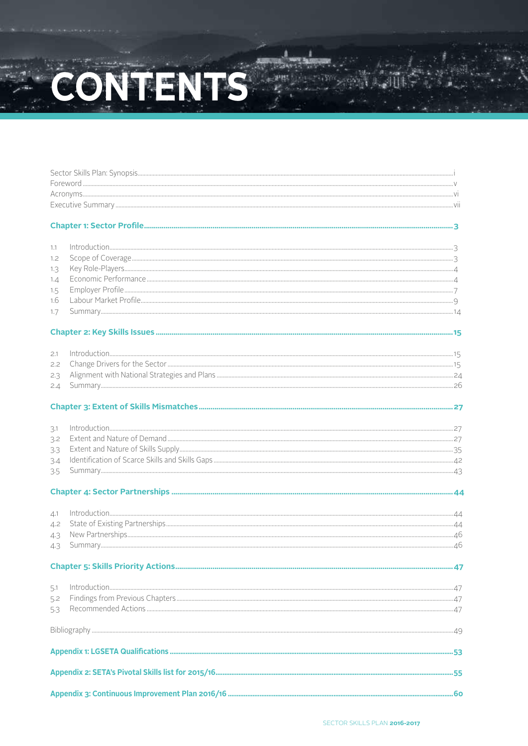# CONTENTS

| 1.1        | $\int_0^{\pi} \frac{1}{2} \int_0^{\pi} \frac{1}{2} \int_0^{\pi} \frac{1}{2} \int_0^{\pi} \frac{1}{2} \int_0^{\pi} \frac{1}{2} \int_0^{\pi} \frac{1}{2} \int_0^{\pi} \frac{1}{2} \int_0^{\pi} \frac{1}{2} \int_0^{\pi} \frac{1}{2} \int_0^{\pi} \frac{1}{2} \int_0^{\pi} \frac{1}{2} \int_0^{\pi} \frac{1}{2} \int_0^{\pi} \frac{1}{2} \int_0^{\pi} \frac{1}{2} \int_0^{\pi} \frac$ |  |
|------------|------------------------------------------------------------------------------------------------------------------------------------------------------------------------------------------------------------------------------------------------------------------------------------------------------------------------------------------------------------------------------------|--|
|            |                                                                                                                                                                                                                                                                                                                                                                                    |  |
| 1.2        |                                                                                                                                                                                                                                                                                                                                                                                    |  |
| 1.3        |                                                                                                                                                                                                                                                                                                                                                                                    |  |
| 1.4        |                                                                                                                                                                                                                                                                                                                                                                                    |  |
| 1.5        |                                                                                                                                                                                                                                                                                                                                                                                    |  |
| 1.6        |                                                                                                                                                                                                                                                                                                                                                                                    |  |
| 1.7        |                                                                                                                                                                                                                                                                                                                                                                                    |  |
|            |                                                                                                                                                                                                                                                                                                                                                                                    |  |
|            |                                                                                                                                                                                                                                                                                                                                                                                    |  |
| 2.1        |                                                                                                                                                                                                                                                                                                                                                                                    |  |
| 2.2        |                                                                                                                                                                                                                                                                                                                                                                                    |  |
| 2.3        |                                                                                                                                                                                                                                                                                                                                                                                    |  |
| 2.4        |                                                                                                                                                                                                                                                                                                                                                                                    |  |
|            |                                                                                                                                                                                                                                                                                                                                                                                    |  |
| 3.1        |                                                                                                                                                                                                                                                                                                                                                                                    |  |
| 3.2        |                                                                                                                                                                                                                                                                                                                                                                                    |  |
| 3.3        |                                                                                                                                                                                                                                                                                                                                                                                    |  |
|            |                                                                                                                                                                                                                                                                                                                                                                                    |  |
| 3.4<br>3.5 |                                                                                                                                                                                                                                                                                                                                                                                    |  |
|            |                                                                                                                                                                                                                                                                                                                                                                                    |  |
|            |                                                                                                                                                                                                                                                                                                                                                                                    |  |
| 4.1        |                                                                                                                                                                                                                                                                                                                                                                                    |  |
| 4.2        |                                                                                                                                                                                                                                                                                                                                                                                    |  |
| 4.3        |                                                                                                                                                                                                                                                                                                                                                                                    |  |
| 4.3        |                                                                                                                                                                                                                                                                                                                                                                                    |  |
|            |                                                                                                                                                                                                                                                                                                                                                                                    |  |
|            |                                                                                                                                                                                                                                                                                                                                                                                    |  |
| 5.1        |                                                                                                                                                                                                                                                                                                                                                                                    |  |
| 5.2        |                                                                                                                                                                                                                                                                                                                                                                                    |  |
| 5.3        |                                                                                                                                                                                                                                                                                                                                                                                    |  |
|            |                                                                                                                                                                                                                                                                                                                                                                                    |  |
|            |                                                                                                                                                                                                                                                                                                                                                                                    |  |
|            |                                                                                                                                                                                                                                                                                                                                                                                    |  |
|            |                                                                                                                                                                                                                                                                                                                                                                                    |  |
|            |                                                                                                                                                                                                                                                                                                                                                                                    |  |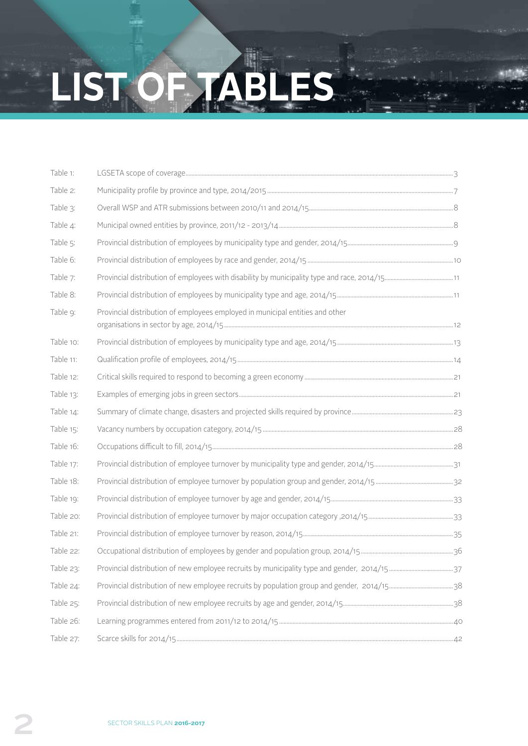# **LIST OF TABLES**

| Table 1:  |                                                                               |  |
|-----------|-------------------------------------------------------------------------------|--|
| Table 2:  |                                                                               |  |
| Table 3:  |                                                                               |  |
| Table 4:  |                                                                               |  |
| Table 5:  |                                                                               |  |
| Table 6:  |                                                                               |  |
| Table 7:  |                                                                               |  |
| Table 8:  |                                                                               |  |
| Table 9:  | Provincial distribution of employees employed in municipal entities and other |  |
| Table 10: |                                                                               |  |
| Table 11: |                                                                               |  |
| Table 12: |                                                                               |  |
| Table 13: |                                                                               |  |
| Table 14: |                                                                               |  |
| Table 15: |                                                                               |  |
| Table 16: |                                                                               |  |
| Table 17: |                                                                               |  |
| Table 18: |                                                                               |  |
| Table 19: |                                                                               |  |
| Table 20: |                                                                               |  |
| Table 21: |                                                                               |  |
| Table 22: |                                                                               |  |
| Table 23: |                                                                               |  |
| Table 24: |                                                                               |  |
| Table 25: |                                                                               |  |
| Table 26: |                                                                               |  |
| Table 27: |                                                                               |  |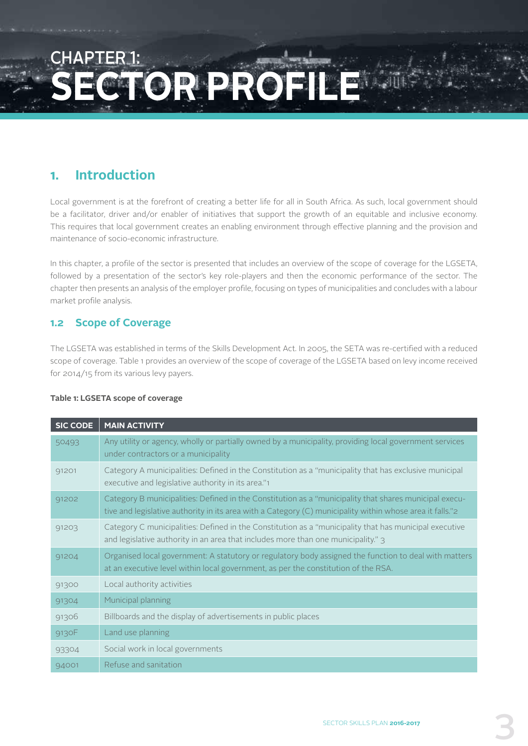# $\ulcorner$ HAPTFR **SECTOR**

# **1. Introduction**

Local government is at the forefront of creating a better life for all in South Africa. As such, local government should be a facilitator, driver and/or enabler of initiatives that support the growth of an equitable and inclusive economy. This requires that local government creates an enabling environment through effective planning and the provision and maintenance of socio-economic infrastructure.

In this chapter, a profile of the sector is presented that includes an overview of the scope of coverage for the LGSETA, followed by a presentation of the sector's key role-players and then the economic performance of the sector. The chapter then presents an analysis of the employer profile, focusing on types of municipalities and concludes with a labour market profile analysis.

## **1.2 Scope of Coverage**

The LGSETA was established in terms of the Skills Development Act. In 2005, the SETA was re-certified with a reduced scope of coverage. Table 1 provides an overview of the scope of coverage of the LGSETA based on levy income received for 2014/15 from its various levy payers.

#### **Table 1: LGSETA scope of coverage**

| <b>SIC CODE</b> | <b>MAIN ACTIVITY</b>                                                                                                                                                                                                |
|-----------------|---------------------------------------------------------------------------------------------------------------------------------------------------------------------------------------------------------------------|
| 50493           | Any utility or agency, wholly or partially owned by a municipality, providing local government services<br>under contractors or a municipality                                                                      |
| 91201           | Category A municipalities: Defined in the Constitution as a "municipality that has exclusive municipal<br>executive and legislative authority in its area."1                                                        |
| 91202           | Category B municipalities: Defined in the Constitution as a "municipality that shares municipal execu-<br>tive and legislative authority in its area with a Category (C) municipality within whose area it falls."2 |
| 91203           | Category C municipalities: Defined in the Constitution as a "municipality that has municipal executive<br>and legislative authority in an area that includes more than one municipality." 3                         |
| 91204           | Organised local government: A statutory or regulatory body assigned the function to deal with matters<br>at an executive level within local government, as per the constitution of the RSA.                         |
| 91300           | Local authority activities                                                                                                                                                                                          |
| 91304           | Municipal planning                                                                                                                                                                                                  |
| 91306           | Billboards and the display of advertisements in public places                                                                                                                                                       |
| 9130F           | Land use planning                                                                                                                                                                                                   |
| 93304           | Social work in local governments                                                                                                                                                                                    |
| 94001           | Refuse and sanitation                                                                                                                                                                                               |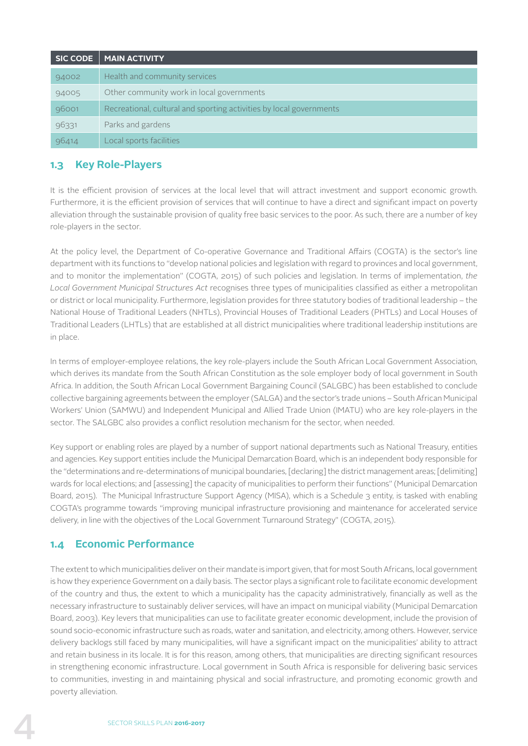| <b>SIC CODE</b> | <b>MAIN ACTIVITY</b>                                                |
|-----------------|---------------------------------------------------------------------|
| 94002           | Health and community services                                       |
| 94005           | Other community work in local governments                           |
| 96001           | Recreational, cultural and sporting activities by local governments |
| 96331           | Parks and gardens                                                   |
| 96414           | Local sports facilities                                             |

## **1.3 Key Role-Players**

It is the efficient provision of services at the local level that will attract investment and support economic growth. Furthermore, it is the efficient provision of services that will continue to have a direct and significant impact on poverty alleviation through the sustainable provision of quality free basic services to the poor. As such, there are a number of key role-players in the sector.

At the policy level, the Department of Co-operative Governance and Traditional Affairs (COGTA) is the sector's line department with its functions to "develop national policies and legislation with regard to provinces and local government, and to monitor the implementation" (COGTA, 2015) of such policies and legislation. In terms of implementation, *the Local Government Municipal Structures Act* recognises three types of municipalities classified as either a metropolitan or district or local municipality. Furthermore, legislation provides for three statutory bodies of traditional leadership – the National House of Traditional Leaders (NHTLs), Provincial Houses of Traditional Leaders (PHTLs) and Local Houses of Traditional Leaders (LHTLs) that are established at all district municipalities where traditional leadership institutions are in place.

In terms of employer-employee relations, the key role-players include the South African Local Government Association, which derives its mandate from the South African Constitution as the sole employer body of local government in South Africa. In addition, the South African Local Government Bargaining Council (SALGBC) has been established to conclude collective bargaining agreements between the employer (SALGA) and the sector's trade unions – South African Municipal Workers' Union (SAMWU) and Independent Municipal and Allied Trade Union (IMATU) who are key role-players in the sector. The SALGBC also provides a conflict resolution mechanism for the sector, when needed.

Key support or enabling roles are played by a number of support national departments such as National Treasury, entities and agencies. Key support entities include the Municipal Demarcation Board, which is an independent body responsible for the "determinations and re-determinations of municipal boundaries, [declaring] the district management areas; [delimiting] wards for local elections; and [assessing] the capacity of municipalities to perform their functions" (Municipal Demarcation Board, 2015). The Municipal Infrastructure Support Agency (MISA), which is a Schedule 3 entity, is tasked with enabling COGTA's programme towards "improving municipal infrastructure provisioning and maintenance for accelerated service delivery, in line with the objectives of the Local Government Turnaround Strategy" (COGTA, 2015).

# **1.4 Economic Performance**

The extent to which municipalities deliver on their mandate is import given, that for most South Africans, local government is how they experience Government on a daily basis. The sector plays a significant role to facilitate economic development of the country and thus, the extent to which a municipality has the capacity administratively, financially as well as the necessary infrastructure to sustainably deliver services, will have an impact on municipal viability (Municipal Demarcation Board, 2003). Key levers that municipalities can use to facilitate greater economic development, include the provision of sound socio-economic infrastructure such as roads, water and sanitation, and electricity, among others. However, service delivery backlogs still faced by many municipalities, will have a significant impact on the municipalities' ability to attract and retain business in its locale. It is for this reason, among others, that municipalities are directing significant resources in strengthening economic infrastructure. Local government in South Africa is responsible for delivering basic services to communities, investing in and maintaining physical and social infrastructure, and promoting economic growth and poverty alleviation.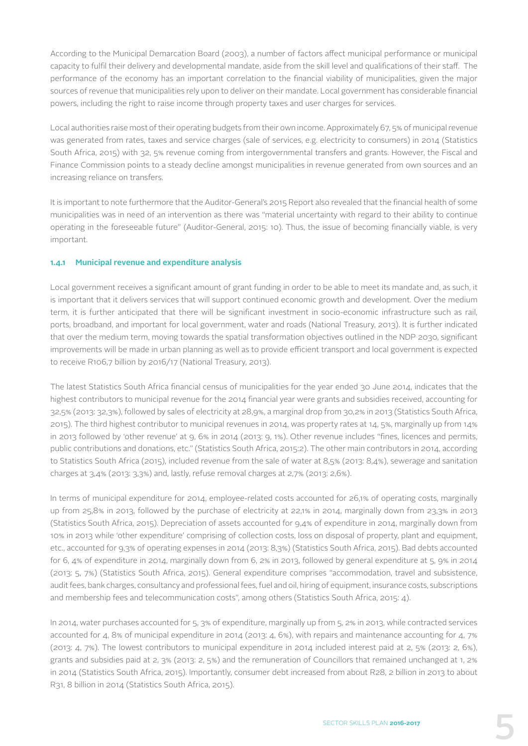According to the Municipal Demarcation Board (2003), a number of factors affect municipal performance or municipal capacity to fulfil their delivery and developmental mandate, aside from the skill level and qualifications of their staff. The performance of the economy has an important correlation to the financial viability of municipalities, given the major sources of revenue that municipalities rely upon to deliver on their mandate. Local government has considerable financial powers, including the right to raise income through property taxes and user charges for services.

Local authorities raise most of their operating budgets from their own income. Approximately 67, 5% of municipal revenue was generated from rates, taxes and service charges (sale of services, e.g. electricity to consumers) in 2014 (Statistics South Africa, 2015) with 32, 5% revenue coming from intergovernmental transfers and grants. However, the Fiscal and Finance Commission points to a steady decline amongst municipalities in revenue generated from own sources and an increasing reliance on transfers.

It is important to note furthermore that the Auditor-General's 2015 Report also revealed that the financial health of some municipalities was in need of an intervention as there was "material uncertainty with regard to their ability to continue operating in the foreseeable future" (Auditor-General, 2015: 10). Thus, the issue of becoming financially viable, is very important.

#### **1.4.1 Municipal revenue and expenditure analysis**

Local government receives a significant amount of grant funding in order to be able to meet its mandate and, as such, it is important that it delivers services that will support continued economic growth and development. Over the medium term, it is further anticipated that there will be significant investment in socio-economic infrastructure such as rail, ports, broadband, and important for local government, water and roads (National Treasury, 2013). It is further indicated that over the medium term, moving towards the spatial transformation objectives outlined in the NDP 2030, significant improvements will be made in urban planning as well as to provide efficient transport and local government is expected to receive R106,7 billion by 2016/17 (National Treasury, 2013).

The latest Statistics South Africa financial census of municipalities for the year ended 30 June 2014, indicates that the highest contributors to municipal revenue for the 2014 financial year were grants and subsidies received, accounting for 32,5% (2013: 32,3%), followed by sales of electricity at 28,9%, a marginal drop from 30,2% in 2013 (Statistics South Africa, 2015). The third highest contributor to municipal revenues in 2014, was property rates at 14, 5%, marginally up from 14% in 2013 followed by 'other revenue' at 9, 6% in 2014 (2013: 9, 1%). Other revenue includes "fines, licences and permits, public contributions and donations, etc." (Statistics South Africa, 2015:2). The other main contributors in 2014, according to Statistics South Africa (2015), included revenue from the sale of water at 8,5% (2013: 8,4%), sewerage and sanitation charges at 3,4% (2013: 3,3%) and, lastly, refuse removal charges at 2,7% (2013: 2,6%).

In terms of municipal expenditure for 2014, employee-related costs accounted for 26,1% of operating costs, marginally up from 25,8% in 2013, followed by the purchase of electricity at 22,1% in 2014, marginally down from 23,3% in 2013 (Statistics South Africa, 2015). Depreciation of assets accounted for 9,4% of expenditure in 2014, marginally down from 10% in 2013 while 'other expenditure' comprising of collection costs, loss on disposal of property, plant and equipment, etc., accounted for 9,3% of operating expenses in 2014 (2013: 8,3%) (Statistics South Africa, 2015). Bad debts accounted for 6, 4% of expenditure in 2014, marginally down from 6, 2% in 2013, followed by general expenditure at 5, 9% in 2014 (2013: 5, 7%) (Statistics South Africa, 2015). General expenditure comprises "accommodation, travel and subsistence, audit fees, bank charges, consultancy and professional fees, fuel and oil, hiring of equipment, insurance costs, subscriptions and membership fees and telecommunication costs", among others (Statistics South Africa, 2015: 4).

In 2014, water purchases accounted for 5, 3% of expenditure, marginally up from 5, 2% in 2013, while contracted services accounted for 4, 8% of municipal expenditure in 2014 (2013: 4, 6%), with repairs and maintenance accounting for 4, 7% (2013: 4, 7%). The lowest contributors to municipal expenditure in 2014 included interest paid at 2, 5% (2013: 2, 6%), grants and subsidies paid at 2, 3% (2013: 2, 5%) and the remuneration of Councillors that remained unchanged at 1, 2% in 2014 (Statistics South Africa, 2015). Importantly, consumer debt increased from about R28, 2 billion in 2013 to about R31, 8 billion in 2014 (Statistics South Africa, 2015).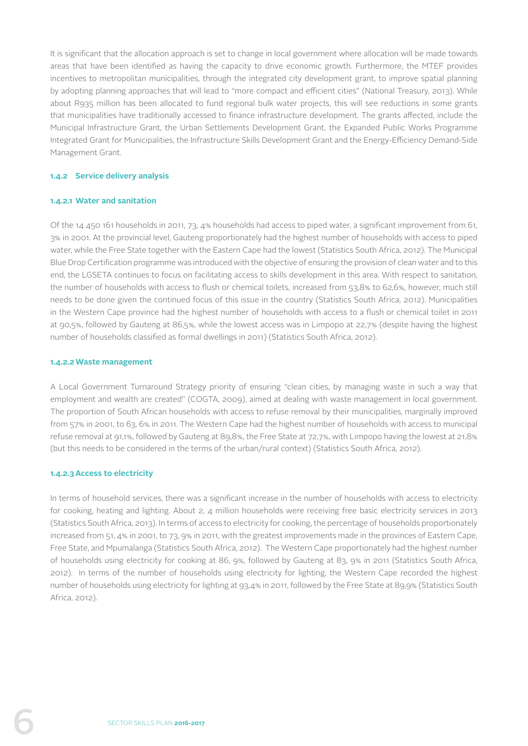It is significant that the allocation approach is set to change in local government where allocation will be made towards areas that have been identified as having the capacity to drive economic growth. Furthermore, the MTEF provides incentives to metropolitan municipalities, through the integrated city development grant, to improve spatial planning by adopting planning approaches that will lead to "more compact and efficient cities" (National Treasury, 2013). While about R935 million has been allocated to fund regional bulk water projects, this will see reductions in some grants that municipalities have traditionally accessed to finance infrastructure development. The grants affected, include the Municipal Infrastructure Grant, the Urban Settlements Development Grant, the Expanded Public Works Programme Integrated Grant for Municipalities, the Infrastructure Skills Development Grant and the Energy-Efficiency Demand-Side Management Grant.

#### **1.4.2 Service delivery analysis**

#### **1.4.2.1 Water and sanitation**

Of the 14 450 161 households in 2011, 73, 4% households had access to piped water, a significant improvement from 61, 3% in 2001. At the provincial level, Gauteng proportionately had the highest number of households with access to piped water, while the Free State together with the Eastern Cape had the lowest (Statistics South Africa, 2012). The Municipal Blue Drop Certification programme was introduced with the objective of ensuring the provision of clean water and to this end, the LGSETA continues to focus on facilitating access to skills development in this area. With respect to sanitation, the number of households with access to flush or chemical toilets, increased from 53,8% to 62,6%, however, much still needs to be done given the continued focus of this issue in the country (Statistics South Africa, 2012). Municipalities in the Western Cape province had the highest number of households with access to a flush or chemical toilet in 2011 at 90,5%, followed by Gauteng at 86,5%, while the lowest access was in Limpopo at 22,7% (despite having the highest number of households classified as formal dwellings in 2011) (Statistics South Africa, 2012).

#### **1.4.2.2Waste management**

A Local Government Turnaround Strategy priority of ensuring "clean cities, by managing waste in such a way that employment and wealth are created" (COGTA, 2009), aimed at dealing with waste management in local government. The proportion of South African households with access to refuse removal by their municipalities, marginally improved from 57% in 2001, to 63, 6% in 2011. The Western Cape had the highest number of households with access to municipal refuse removal at 91,1%, followed by Gauteng at 89,8%, the Free State at 72,7%, with Limpopo having the lowest at 21,8% (but this needs to be considered in the terms of the urban/rural context) (Statistics South Africa, 2012).

#### **1.4.2.3Access to electricity**

In terms of household services, there was a significant increase in the number of households with access to electricity for cooking, heating and lighting. About 2, 4 million households were receiving free basic electricity services in 2013 (Statistics South Africa, 2013). In terms of access to electricity for cooking, the percentage of households proportionately increased from 51, 4% in 2001, to 73, 9% in 2011, with the greatest improvements made in the provinces of Eastern Cape, Free State, and Mpumalanga (Statistics South Africa, 2012). The Western Cape proportionately had the highest number of households using electricity for cooking at 86, 9%, followed by Gauteng at 83, 9% in 2011 (Statistics South Africa, 2012). In terms of the number of households using electricity for lighting, the Western Cape recorded the highest number of households using electricity for lighting at 93,4% in 2011, followed by the Free State at 89,9% (Statistics South Africa, 2012).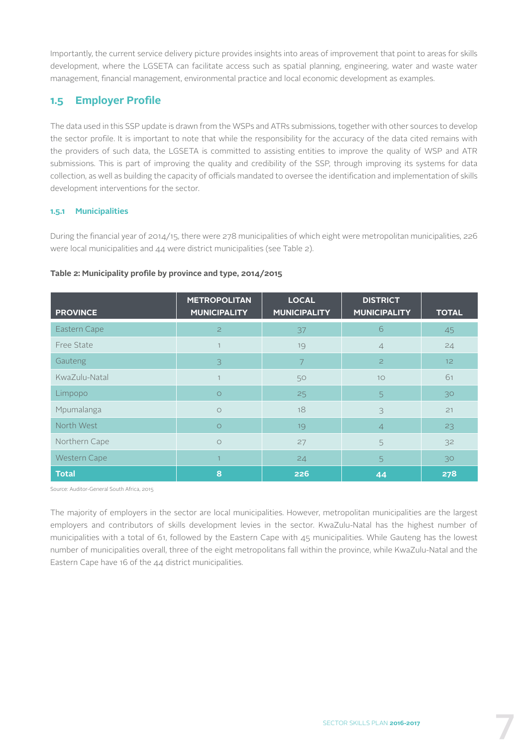Importantly, the current service delivery picture provides insights into areas of improvement that point to areas for skills development, where the LGSETA can facilitate access such as spatial planning, engineering, water and waste water management, financial management, environmental practice and local economic development as examples.

# **1.5 Employer Profile**

The data used in this SSP update is drawn from the WSPs and ATRs submissions, together with other sources to develop the sector profile. It is important to note that while the responsibility for the accuracy of the data cited remains with the providers of such data, the LGSETA is committed to assisting entities to improve the quality of WSP and ATR submissions. This is part of improving the quality and credibility of the SSP, through improving its systems for data collection, as well as building the capacity of officials mandated to oversee the identification and implementation of skills development interventions for the sector.

#### **1.5.1 Municipalities**

During the financial year of 2014/15, there were 278 municipalities of which eight were metropolitan municipalities, 226 were local municipalities and 44 were district municipalities (see Table 2).

#### **Table 2: Municipality profile by province and type, 2014/2015**

| <b>PROVINCE</b> | <b>METROPOLITAN</b><br><b>MUNICIPALITY</b> | <b>LOCAL</b><br><b>MUNICIPALITY</b> | <b>DISTRICT</b><br><b>MUNICIPALITY</b> | <b>TOTAL</b>    |
|-----------------|--------------------------------------------|-------------------------------------|----------------------------------------|-----------------|
| Eastern Cape    | $\overline{2}$                             | 37                                  | 6                                      | 45              |
| Free State      |                                            | 19                                  | $\overline{4}$                         | 24              |
| Gauteng         | 3                                          | $\overline{7}$                      | $\overline{c}$                         | 12 <sub>2</sub> |
| KwaZulu-Natal   | $\mathbf{1}$                               | 50                                  | 10                                     | 61              |
| Limpopo         | $\circ$                                    | 25                                  | 5                                      | 30              |
| Mpumalanga      | $\bigcirc$                                 | 18                                  | 3                                      | 21              |
| North West      | $\circ$                                    | 19                                  | $\overline{4}$                         | 23              |
| Northern Cape   | $\circ$                                    | 27                                  | 5                                      | 32              |
| Western Cape    | $\overline{1}$                             | 24                                  | 5                                      | 30              |
| <b>Total</b>    | 8                                          | 226                                 | 44                                     | 278             |

Source: Auditor-General South Africa, 2015

The majority of employers in the sector are local municipalities. However, metropolitan municipalities are the largest employers and contributors of skills development levies in the sector. KwaZulu-Natal has the highest number of municipalities with a total of 61, followed by the Eastern Cape with 45 municipalities. While Gauteng has the lowest number of municipalities overall, three of the eight metropolitans fall within the province, while KwaZulu-Natal and the Eastern Cape have 16 of the 44 district municipalities.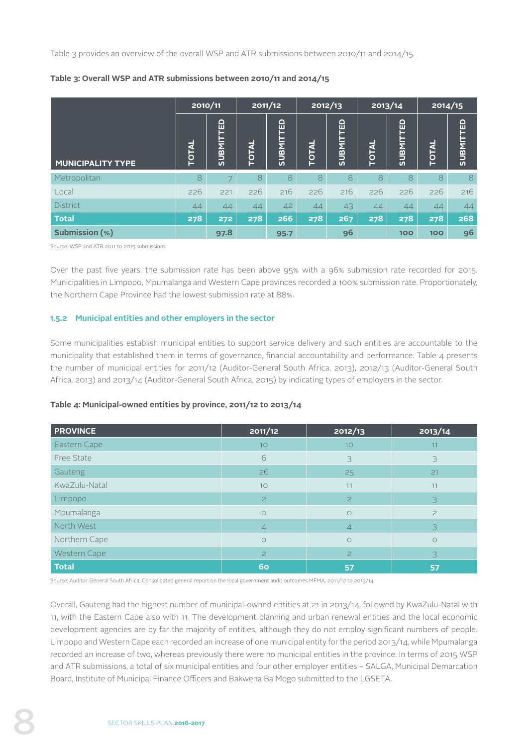Table 3 provides an overview of the overall WSP and ATR submissions between 2010/11 and 2014/15.

|                          | 2010/11      |                              |       | 2011/12              | 2012/13 |                         | 2013/14      |                             | 2014/15    |                  |
|--------------------------|--------------|------------------------------|-------|----------------------|---------|-------------------------|--------------|-----------------------------|------------|------------------|
| <b>MUNICIPALITY TYPE</b> | <b>TOTAL</b> | <b>FED</b><br><b>TIMBDTS</b> | TOTAL | TED<br><b>SUBMIT</b> | TOTAL   | 品<br>⊐<br><b>INBNIS</b> | <b>TOTAL</b> | <b>PED</b><br><b>SUBMIT</b> | TOTAL      | <b>SUBMITTED</b> |
| Metropolitan             | 8            |                              | 8     | 8                    | 8       | 8                       | 8            | 8                           | 8          | 8                |
| Local                    | 226          | 221                          | 226   | 216                  | 226     | 216                     | 226          | 226                         | 226        | 216              |
| <b>District</b>          | 44           | 44                           | 44    | 42                   | 44      | 43                      | 44           | 44                          | 44         | 44               |
| <b>Total</b>             | 278          | 272                          | 278   | 266                  | 278     | 267                     | 278          | 278                         | 278        | 268              |
| <b>Submission (%)</b>    |              | 97.8                         |       | 95.7                 |         | 96                      |              | <b>100</b>                  | <b>100</b> | 96               |

#### **Table 3: Overall WSP and ATR submissions between 2010/11 and 2014/15**

Source: WSP and ATR 2011 to 2015 submissions

Over the past five years, the submission rate has been above 95% with a 96% submission rate recorded for 2015. Municipalities in Limpopo, Mpumalanga and Western Cape provinces recorded a 100% submission rate. Proportionately, the Northern Cape Province had the lowest submission rate at 88%.

#### **1.5.2 Municipal entities and other employers in the sector**

Some municipalities establish municipal entities to support service delivery and such entities are accountable to the municipality that established them in terms of governance, financial accountability and performance. Table 4 presents the number of municipal entities for 2011/12 (Auditor-General South Africa, 2013), 2012/13 (Auditor-General South Africa, 2013) and 2013/14 (Auditor-General South Africa, 2015) by indicating types of employers in the sector.

#### **Table 4: Municipal-owned entities by province, 2011/12 to 2013/14**

| <b>PROVINCE</b> | 2011/12        | 2012/13        | 2013/14    |
|-----------------|----------------|----------------|------------|
| Eastern Cape    | 10             | 10             | 11         |
| Free State      | 6              | 3              | 3          |
| Gauteng         | 26             | 25             | 21         |
| KwaZulu-Natal   | 10             | 11             | 11         |
| Limpopo         | $\overline{c}$ | $\overline{c}$ | 3          |
| Mpumalanga      | $\circ$        | $\circ$        | $\geq$     |
| North West      | $\overline{4}$ | $\overline{4}$ | 3          |
| Northern Cape   | $\bigcirc$     | $\bigcirc$     | $\bigcirc$ |
| Western Cape    | $\overline{c}$ | $\overline{c}$ | 3          |
| <b>Total</b>    | 60             | 57             | 57         |

Source: Auditor-General South Africa, Consolidated general report on the local government audit outcomes MFMA, 2011/12 to 2013/14

Overall, Gauteng had the highest number of municipal-owned entities at 21 in 2013/14, followed by KwaZulu-Natal with 11, with the Eastern Cape also with 11. The development planning and urban renewal entities and the local economic development agencies are by far the majority of entities, although they do not employ significant numbers of people. Limpopo and Western Cape each recorded an increase of one municipal entity for the period 2013/14, while Mpumalanga recorded an increase of two, whereas previously there were no municipal entities in the province. In terms of 2015 WSP and ATR submissions, a total of six municipal entities and four other employer entities – SALGA, Municipal Demarcation Board, Institute of Municipal Finance Officers and Bakwena Ba Mogo submitted to the LGSETA.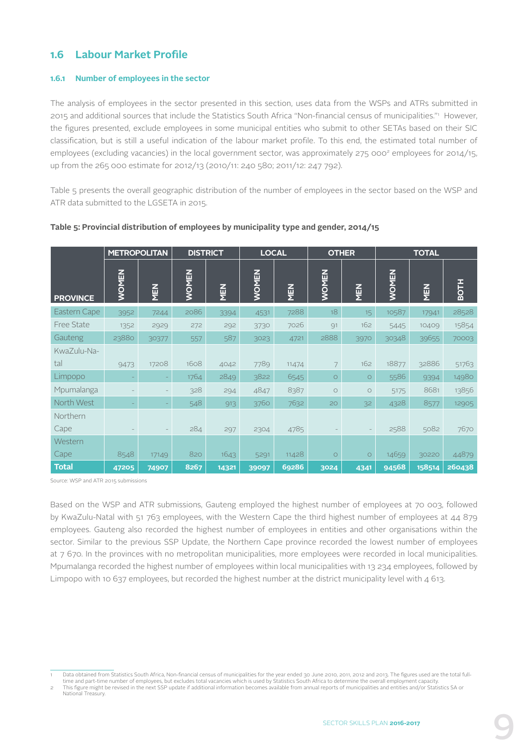## **1.6 Labour Market Profile**

#### **1.6.1 Number of employees in the sector**

The analysis of employees in the sector presented in this section, uses data from the WSPs and ATRs submitted in 2015 and additional sources that include the Statistics South Africa "Non-financial census of municipalities."1 However, the figures presented, exclude employees in some municipal entities who submit to other SETAs based on their SIC classification, but is still a useful indication of the labour market profile. To this end, the estimated total number of employees (excluding vacancies) in the local government sector, was approximately 275 000<sup>2</sup> employees for 2014/15, up from the 265 000 estimate for 2012/13 (2010/11: 240 580; 2011/12: 247 792).

Table 5 presents the overall geographic distribution of the number of employees in the sector based on the WSP and ATR data submitted to the LGSETA in 2015.

|                    | <b>METROPOLITAN</b> |       | <b>DISTRICT</b> |       |              | <b>LOCAL</b> | <b>OTHER</b> |            | <b>TOTAL</b> |        |             |  |
|--------------------|---------------------|-------|-----------------|-------|--------------|--------------|--------------|------------|--------------|--------|-------------|--|
| <b>PROVINCE</b>    | <b>WOMEN</b>        | NEN   | <b>WOMEN</b>    | MEN   | <b>WOMEN</b> | MEN          | <b>WOMEN</b> | <b>NEN</b> | <b>WOMEN</b> | MEN    | <b>BOTH</b> |  |
| Eastern Cape       | 3952                | 7244  | 2086            | 3394  | 4531         | 7288         | 18           | $15-15$    | 10587        | 17941  | 28528       |  |
| <b>Free State</b>  | 1352                | 2929  | 272             | 292   | 3730         | 7026         | Q1           | 162        | 5445         | 10409  | 15854       |  |
| Gauteng            | 23880               | 30377 | 557             | 587   | 3023         | 4721         | 2888         | 3970       | 30348        | 39655  | 70003       |  |
| KwaZulu-Na-<br>tal | 9473                | 17208 | 1608            | 4042  | 7789         | 11474        | 7            | 162        | 18877        | 32886  | 51763       |  |
| Limpopo            |                     |       | 1764            | 2849  | 3822         | 6545         | $\circ$      | $\circ$    | 5586         | 9394   | 14980       |  |
| Mpumalanga         |                     |       | 328             | 294   | 4847         | 8387         | $\circ$      | $\bigcirc$ | 5175         | 8681   | 13856       |  |
| North West         |                     |       | 548             | 913   | 3760         | 7632         | 20           | 32         | 4328         | 8577   | 12905       |  |
| Northern<br>Cape   |                     |       | 284             | 297   | 2304         | 4785         |              |            | 2588         | 5082   | 7670        |  |
| Western<br>Cape    | 8548                | 17149 | 820             | 1643  | 5291         | 11428        | $\circ$      | $\circ$    | 14659        | 30220  | 44879       |  |
| <b>Total</b>       | 47205               | 74907 | 8267            | 14321 | 39097        | 69286        | 3024         | 4341       | 94568        | 158514 | 260438      |  |

#### **Table 5: Provincial distribution of employees by municipality type and gender, 2014/15**

Source: WSP and ATR 2015 submissions

Based on the WSP and ATR submissions, Gauteng employed the highest number of employees at 70 003, followed by KwaZulu-Natal with 51 763 employees, with the Western Cape the third highest number of employees at 44 879 employees. Gauteng also recorded the highest number of employees in entities and other organisations within the sector. Similar to the previous SSP Update, the Northern Cape province recorded the lowest number of employees at 7 670. In the provinces with no metropolitan municipalities, more employees were recorded in local municipalities. Mpumalanga recorded the highest number of employees within local municipalities with 13 234 employees, followed by Limpopo with 10 637 employees, but recorded the highest number at the district municipality level with  $\Delta$  613.

Data obtained from Statistics South Africa, Non-financial census of municipalities for the year ended 30 June 2010, 2011, 2012 and 2013. The figures used are the total fulltime and part-time number of employees, but excludes total vacancies which is used by Statistics South Africa to determine the overall employment capa

<sup>2</sup> This figure might be revised in the next SSP update if additional information becomes available from annual reports of municipalities and entities and/or Statistics SA or National Treasury.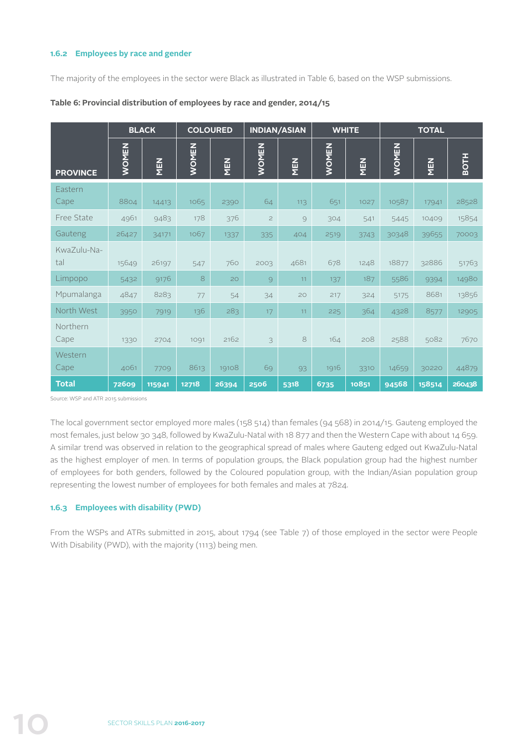#### **1.6.2 Employees by race and gender**

The majority of the employees in the sector were Black as illustrated in Table 6, based on the WSP submissions.

|                    | <b>BLACK</b> |        |              | <b>COLOURED</b> |              | <b>INDIAN/ASIAN</b> |              | <b>WHITE</b> | <b>TOTAL</b> |        |             |  |
|--------------------|--------------|--------|--------------|-----------------|--------------|---------------------|--------------|--------------|--------------|--------|-------------|--|
| <b>PROVINCE</b>    | <b>WOMEN</b> | MEN    | <b>WOMEN</b> | <b>NEN</b>      | <b>WOMEN</b> | MEN                 | <b>WOMEN</b> | <b>NEN</b>   | <b>WOMEN</b> | MEN    | <b>BOTH</b> |  |
| Eastern<br>Cape    | 8804         | 14413  | 1065         | 2390            | 64           | 113                 | 651          | 1027         | 10587        | 17941  | 28528       |  |
| Free State         | 4961         | 9483   | 178          | 376             | $\mathbf{Z}$ | 9                   | 304          | 541          | 5445         | 10409  | 15854       |  |
| Gauteng            | 26427        | 34171  | 1067         | 1337            | 335          | 404                 | 2519         | 3743         | 30348        | 39655  | 70003       |  |
| KwaZulu-Na-<br>tal | 15649        | 26197  | 547          | 760             | 2003         | 4681                | 678          | 1248         | 18877        | 32886  | 51763       |  |
| Limpopo            | 5432         | 9176   | 8            | 20              | 9            | 11                  | 137          | 187          | 5586         | 9394   | 14980       |  |
| Mpumalanga         | 4847         | 8283   | 77           | 54              | 34           | 20                  | 217          | 324          | 5175         | 8681   | 13856       |  |
| North West         | 3950         | 7919   | 136          | 283             | 17           | 11                  | 225          | 364          | 4328         | 8577   | 12905       |  |
| Northern<br>Cape   | 1330         | 2704   | 1091         | 2162            | 3            | 8                   | 164          | 208          | 2588         | 5082   | 7670        |  |
| Western<br>Cape    | 4061         | 7709   | 8613         | 19108           | 69           | 93                  | 1916         | 3310         | 14659        | 30220  | 44879       |  |
| <b>Total</b>       | 72609        | 115941 | 12718        | 26394           | 2506         | 5318                | 6735         | 10851        | 94568        | 158514 | 260438      |  |

#### **Table 6: Provincial distribution of employees by race and gender, 2014/15**

Source: WSP and ATR 2015 submissions

The local government sector employed more males (158 514) than females (94 568) in 2014/15. Gauteng employed the most females, just below 30 348, followed by KwaZulu-Natal with 18 877 and then the Western Cape with about 14 659. A similar trend was observed in relation to the geographical spread of males where Gauteng edged out KwaZulu-Natal as the highest employer of men. In terms of population groups, the Black population group had the highest number of employees for both genders, followed by the Coloured population group, with the Indian/Asian population group representing the lowest number of employees for both females and males at 7824.

#### **1.6.3 Employees with disability (PWD)**

From the WSPs and ATRs submitted in 2015, about 1794 (see Table 7) of those employed in the sector were People With Disability (PWD), with the majority (1113) being men.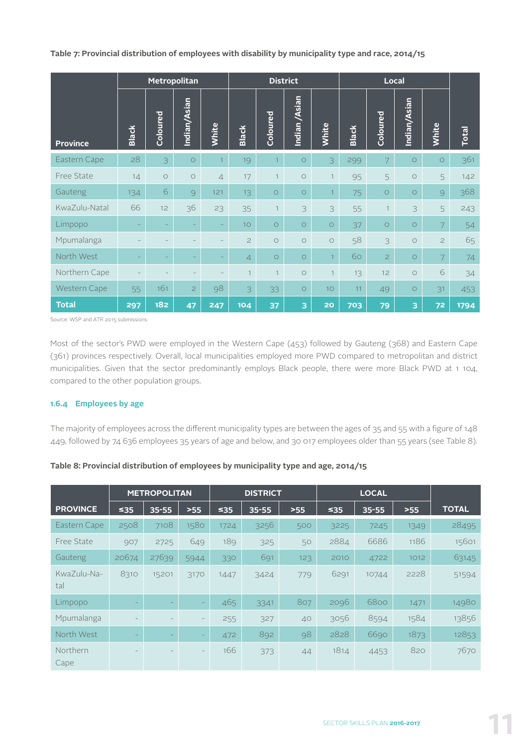**Table 7: Provincial distribution of employees with disability by municipality type and race, 2014/15**

| Metropolitan        |                   |          |                |                |                | <b>District</b> |                     |                 |              | Local          |              |                |              |  |
|---------------------|-------------------|----------|----------------|----------------|----------------|-----------------|---------------------|-----------------|--------------|----------------|--------------|----------------|--------------|--|
| <b>Province</b>     | <b>Black</b>      | Coloured | Indian/Asian   | White          | <b>Black</b>   | Coloured        | Indian /Asian       | White           | <b>Black</b> | Coloured       | Indian/Asian | White          | <b>Total</b> |  |
| Eastern Cape        | 28                | 3        | $\circ$        | $\overline{1}$ | 19             | $\overline{1}$  | $\circ$             | 3               | 299          | $\overline{7}$ | $\circ$      | $\circ$        | 361          |  |
| Free State          | 14                | $\circ$  | $\circ$        | $\overline{4}$ | 17             | $\mathbf{1}$    | $\circ$             | $\mathbf{1}$    | 95           | 5              | $\circ$      | 5              | 142          |  |
| Gauteng             | 134               | 6        | 9              | 121            | 13             | $\circ$         | $\circ$             | $\mathbf{1}$    | 75           | $\circ$        | $\circ$      | 9              | 368          |  |
| KwaZulu-Natal       | 66                | 12       | 36             | 23             | 35             | $\overline{1}$  | 3                   | 3               | 55           | $\mathbf{1}$   | 3            | 5              | 243          |  |
| Limpopo             | $\qquad \qquad -$ | -        |                |                | 10             | $\circ$         | $\circ$             | $\circ$         | 37           | $\circ$        | $\circ$      | 7              | 54           |  |
| Mpumalanga          |                   |          |                |                | $\overline{c}$ | $\circ$         | $\circ$             | $\circ$         | 58           | 3              | $\circ$      | $\overline{c}$ | 65           |  |
| North West          |                   | -        |                |                | $\overline{4}$ | $\circ$         | $\circ$             | $\mathbf{1}$    | 60           | $\overline{c}$ | $\circ$      | 7              | 74           |  |
| Northern Cape       |                   |          |                |                | $\mathbf{1}$   | $\mathbf{1}$    | $\circ$             | $\mathbf{1}$    | 13           | 12             | $\circ$      | 6              | 34           |  |
| <b>Western Cape</b> | 55                | 161      | $\overline{2}$ | 98             | 3              | 33              | $\circlearrowright$ | 10 <sup>°</sup> | 11           | 49             | $\circ$      | 31             | 453          |  |
| <b>Total</b>        | 297               | 182      | 47             | 247            | 104            | 37              | 3                   | 20              | 703          | 79             | 3            | 72             | 1794         |  |

Source: WSP and ATR 2015 submissions

Most of the sector's PWD were employed in the Western Cape (453) followed by Gauteng (368) and Eastern Cape (361) provinces respectively. Overall, local municipalities employed more PWD compared to metropolitan and district municipalities. Given that the sector predominantly employs Black people, there were more Black PWD at 1 104, compared to the other population groups.

#### **1.6.4 Employees by age**

The majority of employees across the different municipality types are between the ages of 35 and 55 with a figure of 148 449, followed by 74 636 employees 35 years of age and below, and 30 017 employees older than 55 years (see Table 8).

|                         |                          | <b>METROPOLITAN</b> |                          | <b>DISTRICT</b> |           |       | <b>LOCAL</b> |           |       |              |
|-------------------------|--------------------------|---------------------|--------------------------|-----------------|-----------|-------|--------------|-----------|-------|--------------|
| <b>PROVINCE</b>         | ≤35                      | $35 - 55$           | $>55$                    | ≤35             | $35 - 55$ | $>55$ | $\leq 35$    | $35 - 55$ | $>55$ | <b>TOTAL</b> |
| Eastern Cape            | 2508                     | 7108                | 1580                     | 1724            | 3256      | 500   | 3225         | 7245      | 1349  | 28495        |
| Free State              | 907                      | 2725                | 649                      | 189             | 325       | 50    | 2884         | 6686      | 1186  | 15601        |
| Gauteng                 | 20674                    | 27639               | 5944                     | 330             | 691       | 123   | 2010         | 4722      | 1012  | 63145        |
| KwaZulu-Na-<br>tal      | 8310                     | 15201               | 3170                     | 1447            | 3424      | 779   | 6291         | 10744     | 2228  | 51594        |
| Limpopo                 |                          |                     | $\overline{\phantom{0}}$ | 465             | 3341      | 807   | 2096         | 6800      | 1471  | 14980        |
| Mpumalanga              |                          |                     | $\overline{\phantom{a}}$ | 255             | 327       | 40    | 3056         | 8594      | 1584  | 13856        |
| North West              | $\overline{\phantom{0}}$ | -                   | -                        | 472             | 892       | 98    | 2828         | 6690      | 1873  | 12853        |
| <b>Northern</b><br>Cape |                          |                     |                          | 166             | 373       | 44    | 1814         | 4453      | 820   | 7670         |

#### **Table 8: Provincial distribution of employees by municipality type and age, 2014/15**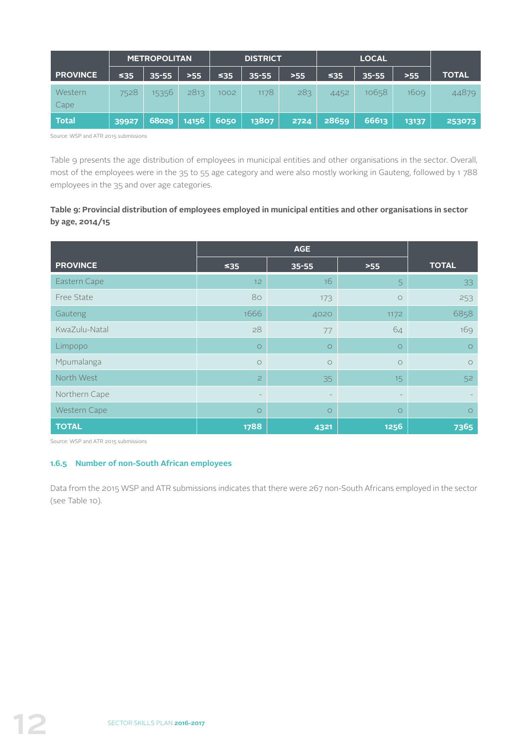|                 |           | <b>METROPOLITAN</b> |       | <b>DISTRICT</b> |           |       | <b>LOCAL</b> |           |       |              |
|-----------------|-----------|---------------------|-------|-----------------|-----------|-------|--------------|-----------|-------|--------------|
| <b>PROVINCE</b> | $\leq 35$ | $35 - 55$           | $>55$ | 535.            | $35 - 55$ | $>55$ | $\leq 35$    | $35 - 55$ | >55   | <b>TOTAL</b> |
| Western<br>Cape | 7528      | 15356               | 2813  | 1002            | 1178      | 283   | 4452         | 10658     | 1609  | 44879        |
| <b>Total</b>    | 39927     | 68029               | 14156 | 6050            | 13807     | 2724  | 28659        | 66613     | 13137 | 253073       |

Source: WSP and ATR 2015 submissions

Table 9 presents the age distribution of employees in municipal entities and other organisations in the sector. Overall, most of the employees were in the 35 to 55 age category and were also mostly working in Gauteng, followed by 1 788 employees in the 35 and over age categories.

#### **Table 9: Provincial distribution of employees employed in municipal entities and other organisations in sector by age, 2014/15**

| <b>PROVINCE</b> | $\leq 35$      | $35 - 55$ | $>55$   | <b>TOTAL</b>        |
|-----------------|----------------|-----------|---------|---------------------|
| Eastern Cape    | 12             | 16        | 5       | 33                  |
| Free State      | 80             | 173       | $\circ$ | 253                 |
| Gauteng         | 1666           | 4020      | 1172    | 6858                |
| KwaZulu-Natal   | 28             | 77        | 64      | 169                 |
| Limpopo         | $\circ$        | $\circ$   | $\circ$ | $\circlearrowright$ |
| Mpumalanga      | $\circ$        | $\circ$   | $\circ$ | $\circ$             |
| North West      | $\overline{c}$ | 35        | 15      | 52                  |
| Northern Cape   |                |           |         |                     |
| Western Cape    | $\circ$        | $\circ$   | $\circ$ | $\circ$             |
| <b>TOTAL</b>    | 1788           | 4321      | 1256    | 7365                |

Source: WSP and ATR 2015 submissions

#### **1.6.5 Number of non-South African employees**

Data from the 2015 WSP and ATR submissions indicates that there were 267 non-South Africans employed in the sector (see Table 10).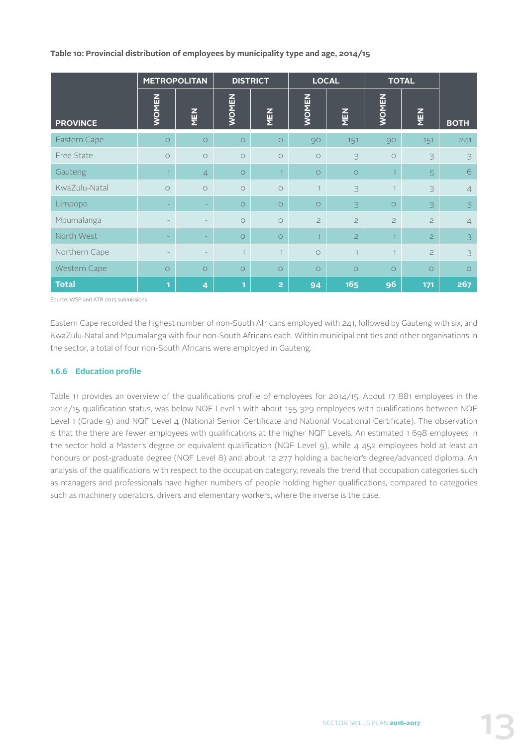**Table 10: Provincial distribution of employees by municipality type and age, 2014/15**

|                 |                                   | <b>METROPOLITAN</b> |              | <b>DISTRICT</b> |                | <b>LOCAL</b>   |                | <b>TOTAL</b>   |                |
|-----------------|-----------------------------------|---------------------|--------------|-----------------|----------------|----------------|----------------|----------------|----------------|
| <b>PROVINCE</b> | <b>WOMEN</b>                      | MEN                 | <b>WOMEN</b> | MEN             | <b>WOMEN</b>   | MEN            | <b>WOMEN</b>   | MEN            | <b>BOTH</b>    |
| Eastern Cape    | $\circ$                           | $\circ$             | $\circ$      | $\circ$         | 90             | 151            | 90             | 151            | 241            |
| Free State      | $\circ$                           | $\circ$             | $\circ$      | $\circ$         | $\circ$        | 3              | $\circ$        | 3              | 3              |
| Gauteng         | $\overline{1}$                    | $\overline{4}$      | $\bigcirc$   | $\overline{1}$  | $\circ$        | $\circ$        | $\overline{1}$ | $\overline{5}$ | 6              |
| KwaZulu-Natal   | $\circ$                           | $\bigcirc$          | $\circ$      | $\circ$         | $\mathbf{1}$   | 3              | $\mathbf{1}$   | 3              | $\overline{4}$ |
| Limpopo         | $\overline{\phantom{a}}$          |                     | $\circ$      | $\circ$         | $\circ$        | 3              | $\circ$        | 3              | 3              |
| Mpumalanga      |                                   |                     | $\circ$      | $\circ$         | $\overline{c}$ | $\overline{c}$ | $\overline{c}$ | $\overline{c}$ | $\overline{4}$ |
| North West      | $\hspace{0.1in} - \hspace{0.1in}$ | $\qquad \qquad -$   | $\circ$      | $\bigcirc$      | $\mathbf{1}$   | $\overline{c}$ | $\mathbf{1}$   | $\overline{c}$ | 3              |
| Northern Cape   | $\overline{\phantom{m}}$          | $\qquad \qquad -$   | 1            | $\mathbf{1}$    | $\circ$        | $\overline{1}$ | 1              | $\overline{c}$ | 3              |
| Western Cape    | $\circ$                           | $\circ$             | $\bigcirc$   | $\circ$         | $\circ$        | $\circ$        | $\circ$        | $\bigcirc$     | $\circ$        |
| <b>Total</b>    | $\mathbf{1}$                      | 4                   | 1            | $\overline{2}$  | 94             | 165            | 96             | 171            | 267            |

Source: WSP and ATR 2015 submissions

Eastern Cape recorded the highest number of non-South Africans employed with 241, followed by Gauteng with six, and KwaZulu-Natal and Mpumalanga with four non-South Africans each. Within municipal entities and other organisations in the sector, a total of four non-South Africans were employed in Gauteng.

#### **1.6.6 Education profile**

Table 11 provides an overview of the qualifications profile of employees for 2014/15. About 17 881 employees in the 2014/15 qualification status, was below NQF Level 1 with about 155 329 employees with qualifications between NQF Level 1 (Grade 9) and NQF Level 4 (National Senior Certificate and National Vocational Certificate). The observation is that the there are fewer employees with qualifications at the higher NQF Levels. An estimated 1 698 employees in the sector hold a Master's degree or equivalent qualification (NQF Level 9), while 4 452 employees hold at least an honours or post-graduate degree (NQF Level 8) and about 12 277 holding a bachelor's degree/advanced diploma. An analysis of the qualifications with respect to the occupation category, reveals the trend that occupation categories such as managers and professionals have higher numbers of people holding higher qualifications, compared to categories such as machinery operators, drivers and elementary workers, where the inverse is the case.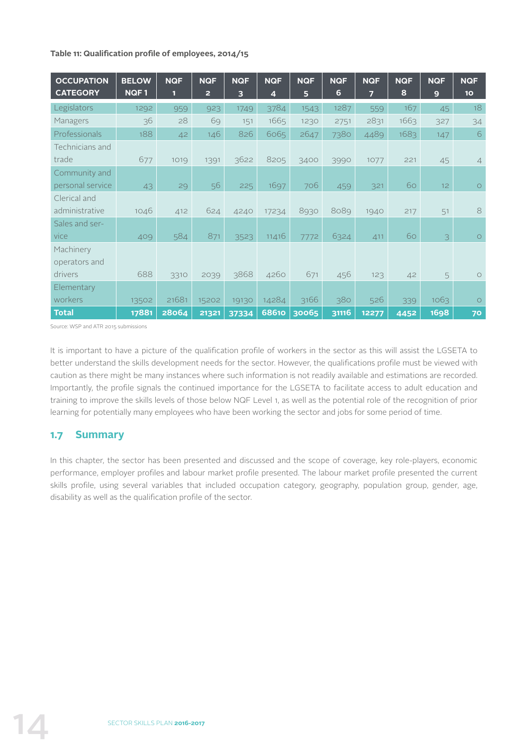#### **Table 11: Qualification profile of employees, 2014/15**

| <b>OCCUPATION</b> | <b>BELOW</b> | <b>NQF</b> | <b>NQF</b> | <b>NQF</b> | <b>NQF</b>              | <b>NQF</b> | <b>NQF</b> | <b>NQF</b> | <b>NQF</b> | <b>NQF</b> | <b>NQF</b>      |
|-------------------|--------------|------------|------------|------------|-------------------------|------------|------------|------------|------------|------------|-----------------|
| <b>CATEGORY</b>   | NQF1         | П          | 2          | 3          | $\overline{\mathbf{4}}$ | 5          | 6          | 7          | 8          | 9          | 10 <sub>o</sub> |
| Legislators       | 1292         | 959        | 923        | 1749       | 3784                    | 1543       | 1287       | 559        | 167        | 45         | 18              |
| Managers          | 36           | 28         | 69         | 151        | 1665                    | 1230       | 2751       | 2831       | 1663       | 327        | 34              |
| Professionals     | 188          | 42         | 146        | 826        | 6065                    | 2647       | 7380       | 4489       | 1683       | 147        | $\sqrt{6}$      |
| Technicians and   |              |            |            |            |                         |            |            |            |            |            |                 |
| trade             | 677          | 1019       | 1391       | 3622       | 8205                    | 3400       | 3990       | 1077       | 221        | 45         | $\overline{4}$  |
| Community and     |              |            |            |            |                         |            |            |            |            |            |                 |
| personal service  | 43           | 29         | 56         | 225        | 1697                    | 706        | 459        | 321        | 60         | 12         | $\circ$         |
| Clerical and      |              |            |            |            |                         |            |            |            |            |            |                 |
| administrative    | 1046         | 412        | 624        | 4240       | 17234                   | 8930       | 8089       | 1940       | 217        | 51         | 8               |
| Sales and ser-    |              |            |            |            |                         |            |            |            |            |            |                 |
| vice              | 409          | 584        | 871        | 3523       | 11416                   | 7772       | 6324       | 411        | 60         | 3          | $\circ$         |
| Machinery         |              |            |            |            |                         |            |            |            |            |            |                 |
| operators and     |              |            |            |            |                         |            |            |            |            |            |                 |
| drivers           | 688          | 3310       | 2039       | 3868       | 4260                    | 671        | 456        | 123        | 42         | 5          | $\bigcirc$      |
| Elementary        |              |            |            |            |                         |            |            |            |            |            |                 |
| workers           | 13502        | 21681      | 15202      | 19130      | 14284                   | 3166       | 380        | 526        | 339        | 1063       | $\bigcirc$      |
| <b>Total</b>      | 17881        | 28064      | 21321      | 37334      | <b>68610</b>            | 30065      | 31116      | 12277      | 4452       | 1698       | 70              |

Source: WSP and ATR 2015 submissions

It is important to have a picture of the qualification profile of workers in the sector as this will assist the LGSETA to better understand the skills development needs for the sector. However, the qualifications profile must be viewed with caution as there might be many instances where such information is not readily available and estimations are recorded. Importantly, the profile signals the continued importance for the LGSETA to facilitate access to adult education and training to improve the skills levels of those below NQF Level 1, as well as the potential role of the recognition of prior learning for potentially many employees who have been working the sector and jobs for some period of time.

# **1.7 Summary**

In this chapter, the sector has been presented and discussed and the scope of coverage, key role-players, economic performance, employer profiles and labour market profile presented. The labour market profile presented the current skills profile, using several variables that included occupation category, geography, population group, gender, age, disability as well as the qualification profile of the sector.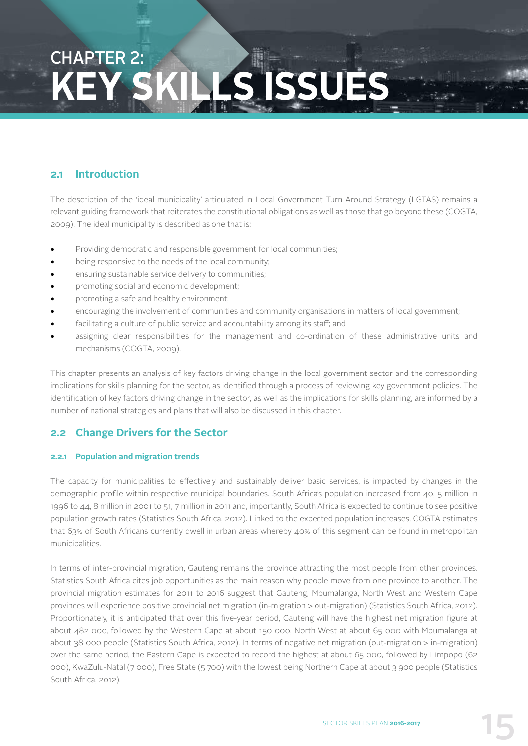# CHAPTER 2: **KEY ISSUES**

## **2.1 Introduction**

The description of the 'ideal municipality' articulated in Local Government Turn Around Strategy (LGTAS) remains a relevant guiding framework that reiterates the constitutional obligations as well as those that go beyond these (COGTA, 2009). The ideal municipality is described as one that is:

- Providing democratic and responsible government for local communities;
- being responsive to the needs of the local community;
- ensuring sustainable service delivery to communities;
- promoting social and economic development;
- promoting a safe and healthy environment;
- encouraging the involvement of communities and community organisations in matters of local government;
- facilitating a culture of public service and accountability among its staff; and
- assigning clear responsibilities for the management and co-ordination of these administrative units and mechanisms (COGTA, 2009).

This chapter presents an analysis of key factors driving change in the local government sector and the corresponding implications for skills planning for the sector, as identified through a process of reviewing key government policies. The identification of key factors driving change in the sector, as well as the implications for skills planning, are informed by a number of national strategies and plans that will also be discussed in this chapter.

### **2.2 Change Drivers for the Sector**

#### **2.2.1 Population and migration trends**

The capacity for municipalities to effectively and sustainably deliver basic services, is impacted by changes in the demographic profile within respective municipal boundaries. South Africa's population increased from 40, 5 million in 1996 to 44, 8 million in 2001 to 51, 7 million in 2011 and, importantly, South Africa is expected to continue to see positive population growth rates (Statistics South Africa, 2012). Linked to the expected population increases, COGTA estimates that 63% of South Africans currently dwell in urban areas whereby 40% of this segment can be found in metropolitan municipalities.

In terms of inter-provincial migration, Gauteng remains the province attracting the most people from other provinces. Statistics South Africa cites job opportunities as the main reason why people move from one province to another. The provincial migration estimates for 2011 to 2016 suggest that Gauteng, Mpumalanga, North West and Western Cape provinces will experience positive provincial net migration (in-migration > out-migration) (Statistics South Africa, 2012). Proportionately, it is anticipated that over this five-year period, Gauteng will have the highest net migration figure at about 482 000, followed by the Western Cape at about 150 000, North West at about 65 000 with Mpumalanga at about 38 000 people (Statistics South Africa, 2012). In terms of negative net migration (out-migration > in-migration) over the same period, the Eastern Cape is expected to record the highest at about 65 000, followed by Limpopo (62 000), KwaZulu-Natal (7 000), Free State (5 700) with the lowest being Northern Cape at about 3 900 people (Statistics South Africa, 2012).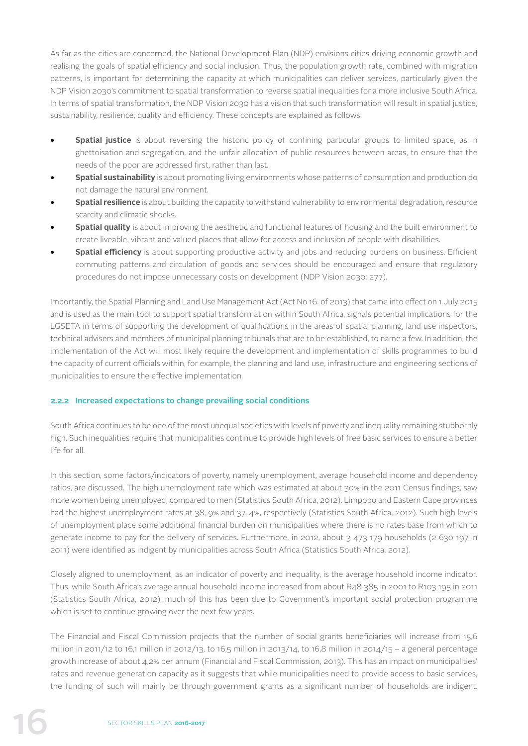As far as the cities are concerned, the National Development Plan (NDP) envisions cities driving economic growth and realising the goals of spatial efficiency and social inclusion. Thus, the population growth rate, combined with migration patterns, is important for determining the capacity at which municipalities can deliver services, particularly given the NDP Vision 2030's commitment to spatial transformation to reverse spatial inequalities for a more inclusive South Africa. In terms of spatial transformation, the NDP Vision 2030 has a vision that such transformation will result in spatial justice, sustainability, resilience, quality and efficiency. These concepts are explained as follows:

- **Spatial justice** is about reversing the historic policy of confining particular groups to limited space, as in ghettoisation and segregation, and the unfair allocation of public resources between areas, to ensure that the needs of the poor are addressed first, rather than last.
- **• Spatial sustainability** is about promoting living environments whose patterns of consumption and production do not damage the natural environment.
- **Spatial resilience** is about building the capacity to withstand vulnerability to environmental degradation, resource scarcity and climatic shocks.
- **• Spatial quality** is about improving the aesthetic and functional features of housing and the built environment to create liveable, vibrant and valued places that allow for access and inclusion of people with disabilities.
- **• Spatial efficiency** is about supporting productive activity and jobs and reducing burdens on business. Efficient commuting patterns and circulation of goods and services should be encouraged and ensure that regulatory procedures do not impose unnecessary costs on development (NDP Vision 2030: 277).

Importantly, the Spatial Planning and Land Use Management Act (Act No 16. of 2013) that came into effect on 1 July 2015 and is used as the main tool to support spatial transformation within South Africa, signals potential implications for the LGSETA in terms of supporting the development of qualifications in the areas of spatial planning, land use inspectors, technical advisers and members of municipal planning tribunals that are to be established, to name a few. In addition, the implementation of the Act will most likely require the development and implementation of skills programmes to build the capacity of current officials within, for example, the planning and land use, infrastructure and engineering sections of municipalities to ensure the effective implementation.

#### **2.2.2 Increased expectations to change prevailing social conditions**

South Africa continues to be one of the most unequal societies with levels of poverty and inequality remaining stubbornly high. Such inequalities require that municipalities continue to provide high levels of free basic services to ensure a better life for all.

In this section, some factors/indicators of poverty, namely unemployment, average household income and dependency ratios, are discussed. The high unemployment rate which was estimated at about 30% in the 2011 Census findings, saw more women being unemployed, compared to men (Statistics South Africa, 2012). Limpopo and Eastern Cape provinces had the highest unemployment rates at 38, 9% and 37, 4%, respectively (Statistics South Africa, 2012). Such high levels of unemployment place some additional financial burden on municipalities where there is no rates base from which to generate income to pay for the delivery of services. Furthermore, in 2012, about 3 473 179 households (2 630 197 in 2011) were identified as indigent by municipalities across South Africa (Statistics South Africa, 2012).

Closely aligned to unemployment, as an indicator of poverty and inequality, is the average household income indicator. Thus, while South Africa's average annual household income increased from about R48 385 in 2001 to R103 195 in 2011 (Statistics South Africa, 2012), much of this has been due to Government's important social protection programme which is set to continue growing over the next few years.

The Financial and Fiscal Commission projects that the number of social grants beneficiaries will increase from 15,6 million in 2011/12 to 16,1 million in 2012/13, to 16,5 million in 2013/14, to 16,8 million in 2014/15 – a general percentage growth increase of about 4,2% per annum (Financial and Fiscal Commission, 2013). This has an impact on municipalities' rates and revenue generation capacity as it suggests that while municipalities need to provide access to basic services, the funding of such will mainly be through government grants as a significant number of households are indigent.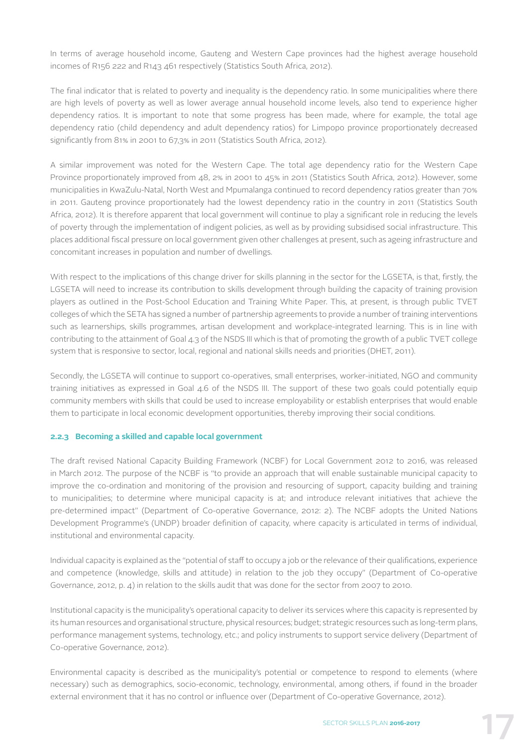In terms of average household income, Gauteng and Western Cape provinces had the highest average household incomes of R156 222 and R143 461 respectively (Statistics South Africa, 2012).

The final indicator that is related to poverty and inequality is the dependency ratio. In some municipalities where there are high levels of poverty as well as lower average annual household income levels, also tend to experience higher dependency ratios. It is important to note that some progress has been made, where for example, the total age dependency ratio (child dependency and adult dependency ratios) for Limpopo province proportionately decreased significantly from 81% in 2001 to 67,3% in 2011 (Statistics South Africa, 2012).

A similar improvement was noted for the Western Cape. The total age dependency ratio for the Western Cape Province proportionately improved from 48, 2% in 2001 to 45% in 2011 (Statistics South Africa, 2012). However, some municipalities in KwaZulu-Natal, North West and Mpumalanga continued to record dependency ratios greater than 70% in 2011. Gauteng province proportionately had the lowest dependency ratio in the country in 2011 (Statistics South Africa, 2012). It is therefore apparent that local government will continue to play a significant role in reducing the levels of poverty through the implementation of indigent policies, as well as by providing subsidised social infrastructure. This places additional fiscal pressure on local government given other challenges at present, such as ageing infrastructure and concomitant increases in population and number of dwellings.

With respect to the implications of this change driver for skills planning in the sector for the LGSETA, is that, firstly, the LGSETA will need to increase its contribution to skills development through building the capacity of training provision players as outlined in the Post-School Education and Training White Paper. This, at present, is through public TVET colleges of which the SETA has signed a number of partnership agreements to provide a number of training interventions such as learnerships, skills programmes, artisan development and workplace-integrated learning. This is in line with contributing to the attainment of Goal 4.3 of the NSDS III which is that of promoting the growth of a public TVET college system that is responsive to sector, local, regional and national skills needs and priorities (DHET, 2011).

Secondly, the LGSETA will continue to support co-operatives, small enterprises, worker-initiated, NGO and community training initiatives as expressed in Goal 4.6 of the NSDS III. The support of these two goals could potentially equip community members with skills that could be used to increase employability or establish enterprises that would enable them to participate in local economic development opportunities, thereby improving their social conditions.

#### **2.2.3 Becoming a skilled and capable local government**

The draft revised National Capacity Building Framework (NCBF) for Local Government 2012 to 2016, was released in March 2012. The purpose of the NCBF is "to provide an approach that will enable sustainable municipal capacity to improve the co-ordination and monitoring of the provision and resourcing of support, capacity building and training to municipalities; to determine where municipal capacity is at; and introduce relevant initiatives that achieve the pre-determined impact" (Department of Co-operative Governance, 2012: 2). The NCBF adopts the United Nations Development Programme's (UNDP) broader definition of capacity, where capacity is articulated in terms of individual, institutional and environmental capacity.

Individual capacity is explained as the "potential of staff to occupy a job or the relevance of their qualifications, experience and competence (knowledge, skills and attitude) in relation to the job they occupy" (Department of Co-operative Governance, 2012, p. 4) in relation to the skills audit that was done for the sector from 2007 to 2010.

Institutional capacity is the municipality's operational capacity to deliver its services where this capacity is represented by its human resources and organisational structure, physical resources; budget; strategic resources such as long-term plans, performance management systems, technology, etc.; and policy instruments to support service delivery (Department of Co-operative Governance, 2012).

Environmental capacity is described as the municipality's potential or competence to respond to elements (where necessary) such as demographics, socio-economic, technology, environmental, among others, if found in the broader external environment that it has no control or influence over (Department of Co-operative Governance, 2012).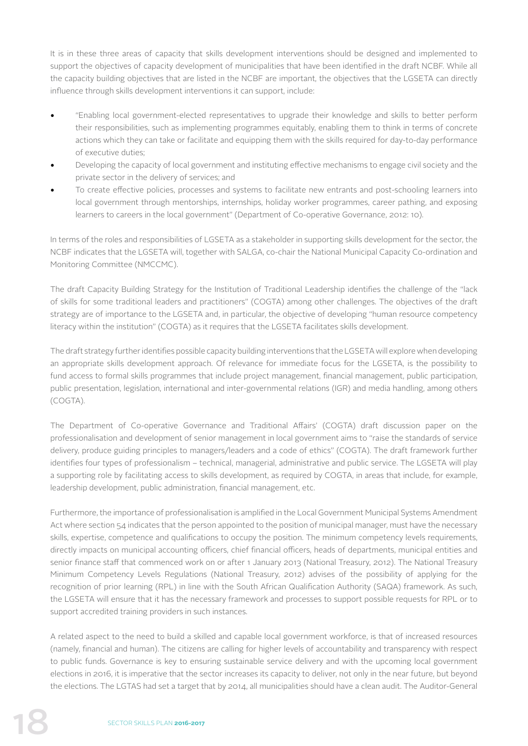It is in these three areas of capacity that skills development interventions should be designed and implemented to support the objectives of capacity development of municipalities that have been identified in the draft NCBF. While all the capacity building objectives that are listed in the NCBF are important, the objectives that the LGSETA can directly influence through skills development interventions it can support, include:

- "Enabling local government-elected representatives to upgrade their knowledge and skills to better perform their responsibilities, such as implementing programmes equitably, enabling them to think in terms of concrete actions which they can take or facilitate and equipping them with the skills required for day-to-day performance of executive duties;
- Developing the capacity of local government and instituting effective mechanisms to engage civil society and the private sector in the delivery of services; and
- To create effective policies, processes and systems to facilitate new entrants and post-schooling learners into local government through mentorships, internships, holiday worker programmes, career pathing, and exposing learners to careers in the local government" (Department of Co-operative Governance, 2012: 10).

In terms of the roles and responsibilities of LGSETA as a stakeholder in supporting skills development for the sector, the NCBF indicates that the LGSETA will, together with SALGA, co-chair the National Municipal Capacity Co-ordination and Monitoring Committee (NMCCMC).

The draft Capacity Building Strategy for the Institution of Traditional Leadership identifies the challenge of the "lack of skills for some traditional leaders and practitioners" (COGTA) among other challenges. The objectives of the draft strategy are of importance to the LGSETA and, in particular, the objective of developing "human resource competency literacy within the institution" (COGTA) as it requires that the LGSETA facilitates skills development.

The draft strategy further identifies possible capacity building interventions that the LGSETA will explore when developing an appropriate skills development approach. Of relevance for immediate focus for the LGSETA, is the possibility to fund access to formal skills programmes that include project management, financial management, public participation, public presentation, legislation, international and inter-governmental relations (IGR) and media handling, among others (COGTA).

The Department of Co-operative Governance and Traditional Affairs' (COGTA) draft discussion paper on the professionalisation and development of senior management in local government aims to "raise the standards of service delivery, produce guiding principles to managers/leaders and a code of ethics" (COGTA). The draft framework further identifies four types of professionalism – technical, managerial, administrative and public service. The LGSETA will play a supporting role by facilitating access to skills development, as required by COGTA, in areas that include, for example, leadership development, public administration, financial management, etc.

Furthermore, the importance of professionalisation is amplified in the Local Government Municipal Systems Amendment Act where section 54 indicates that the person appointed to the position of municipal manager, must have the necessary skills, expertise, competence and qualifications to occupy the position. The minimum competency levels requirements, directly impacts on municipal accounting officers, chief financial officers, heads of departments, municipal entities and senior finance staff that commenced work on or after 1 January 2013 (National Treasury, 2012). The National Treasury Minimum Competency Levels Regulations (National Treasury, 2012) advises of the possibility of applying for the recognition of prior learning (RPL) in line with the South African Qualification Authority (SAQA) framework. As such, the LGSETA will ensure that it has the necessary framework and processes to support possible requests for RPL or to support accredited training providers in such instances.

A related aspect to the need to build a skilled and capable local government workforce, is that of increased resources (namely, financial and human). The citizens are calling for higher levels of accountability and transparency with respect to public funds. Governance is key to ensuring sustainable service delivery and with the upcoming local government elections in 2016, it is imperative that the sector increases its capacity to deliver, not only in the near future, but beyond the elections. The LGTAS had set a target that by 2014, all municipalities should have a clean audit. The Auditor-General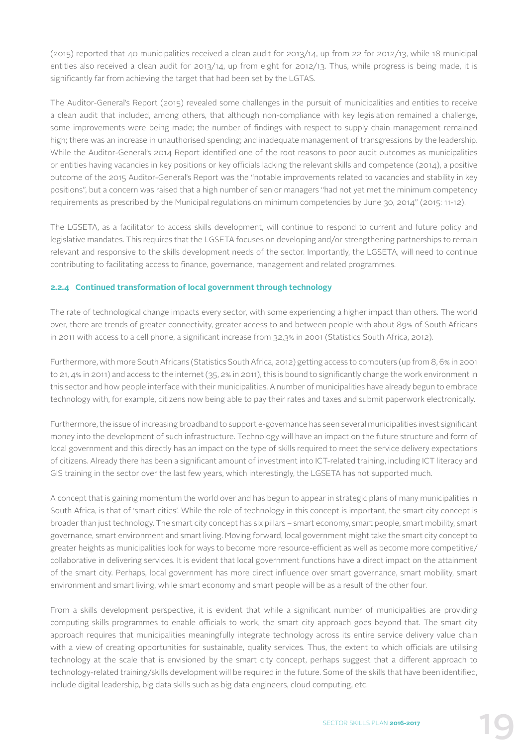(2015) reported that 40 municipalities received a clean audit for 2013/14, up from 22 for 2012/13, while 18 municipal entities also received a clean audit for 2013/14, up from eight for 2012/13. Thus, while progress is being made, it is significantly far from achieving the target that had been set by the LGTAS.

The Auditor-General's Report (2015) revealed some challenges in the pursuit of municipalities and entities to receive a clean audit that included, among others, that although non-compliance with key legislation remained a challenge, some improvements were being made; the number of findings with respect to supply chain management remained high; there was an increase in unauthorised spending; and inadequate management of transgressions by the leadership. While the Auditor-General's 2014 Report identified one of the root reasons to poor audit outcomes as municipalities or entities having vacancies in key positions or key officials lacking the relevant skills and competence (2014), a positive outcome of the 2015 Auditor-General's Report was the "notable improvements related to vacancies and stability in key positions", but a concern was raised that a high number of senior managers "had not yet met the minimum competency requirements as prescribed by the Municipal regulations on minimum competencies by June 30, 2014" (2015: 11-12).

The LGSETA, as a facilitator to access skills development, will continue to respond to current and future policy and legislative mandates. This requires that the LGSETA focuses on developing and/or strengthening partnerships to remain relevant and responsive to the skills development needs of the sector. Importantly, the LGSETA, will need to continue contributing to facilitating access to finance, governance, management and related programmes.

#### **2.2.4 Continued transformation of local government through technology**

The rate of technological change impacts every sector, with some experiencing a higher impact than others. The world over, there are trends of greater connectivity, greater access to and between people with about 89% of South Africans in 2011 with access to a cell phone, a significant increase from 32,3% in 2001 (Statistics South Africa, 2012).

Furthermore, with more South Africans (Statistics South Africa, 2012) getting access to computers (up from 8, 6% in 2001 to 21, 4% in 2011) and access to the internet (35, 2% in 2011), this is bound to significantly change the work environment in this sector and how people interface with their municipalities. A number of municipalities have already begun to embrace technology with, for example, citizens now being able to pay their rates and taxes and submit paperwork electronically.

Furthermore, the issue of increasing broadband to support e-governance has seen several municipalities invest significant money into the development of such infrastructure. Technology will have an impact on the future structure and form of local government and this directly has an impact on the type of skills required to meet the service delivery expectations of citizens. Already there has been a significant amount of investment into ICT-related training, including ICT literacy and GIS training in the sector over the last few years, which interestingly, the LGSETA has not supported much.

A concept that is gaining momentum the world over and has begun to appear in strategic plans of many municipalities in South Africa, is that of 'smart cities'. While the role of technology in this concept is important, the smart city concept is broader than just technology. The smart city concept has six pillars – smart economy, smart people, smart mobility, smart governance, smart environment and smart living. Moving forward, local government might take the smart city concept to greater heights as municipalities look for ways to become more resource-efficient as well as become more competitive/ collaborative in delivering services. It is evident that local government functions have a direct impact on the attainment of the smart city. Perhaps, local government has more direct influence over smart governance, smart mobility, smart environment and smart living, while smart economy and smart people will be as a result of the other four.

From a skills development perspective, it is evident that while a significant number of municipalities are providing computing skills programmes to enable officials to work, the smart city approach goes beyond that. The smart city approach requires that municipalities meaningfully integrate technology across its entire service delivery value chain with a view of creating opportunities for sustainable, quality services. Thus, the extent to which officials are utilising technology at the scale that is envisioned by the smart city concept, perhaps suggest that a different approach to technology-related training/skills development will be required in the future. Some of the skills that have been identified, include digital leadership, big data skills such as big data engineers, cloud computing, etc.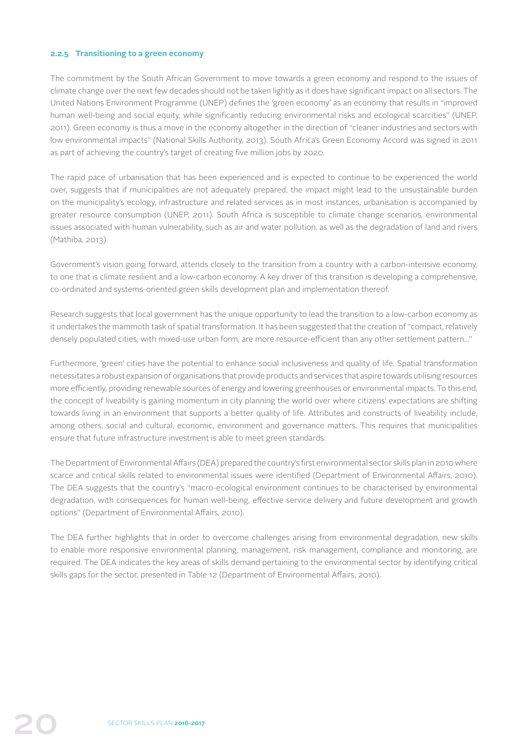#### **2.2.5 Transitioning to a green economy**

The commitment by the South African Government to move towards a green economy and respond to the issues of climate change over the next few decades should not be taken lightly as it does have significant impact on all sectors. The United Nations Environment Programme (UNEP) defines the 'green economy' as an economy that results in "improved human well-being and social equity, while significantly reducing environmental risks and ecological scarcities" (UNEP, 2011). Green economy is thus a move in the economy altogether in the direction of "cleaner industries and sectors with low environmental impacts" (National Skills Authority, 2013). South Africa's Green Economy Accord was signed in 2011 as part of achieving the country's target of creating five million jobs by 2020.

The rapid pace of urbanisation that has been experienced and is expected to continue to be experienced the world over, suggests that if municipalities are not adequately prepared, the impact might lead to the unsustainable burden on the municipality's ecology, infrastructure and related services as in most instances, urbanisation is accompanied by greater resource consumption (UNEP, 2011). South Africa is susceptible to climate change scenarios, environmental issues associated with human vulnerability, such as air and water pollution, as well as the degradation of land and rivers (Mathiba, 2013).

Government's vision going forward, attends closely to the transition from a country with a carbon-intensive economy, to one that is climate resilient and a low-carbon economy. A key driver of this transition is developing a comprehensive, co-ordinated and systems-oriented green skills development plan and implementation thereof.

Research suggests that local government has the unique opportunity to lead the transition to a low-carbon economy as it undertakes the mammoth task of spatial transformation. It has been suggested that the creation of "compact, relatively densely populated cities, with mixed-use urban form, are more resource-efficient than any other settlement pattern…"

Furthermore, 'green' cities have the potential to enhance social inclusiveness and quality of life. Spatial transformation necessitates a robust expansion of organisations that provide products and services that aspire towards utilising resources more efficiently, providing renewable sources of energy and lowering greenhouses or environmental impacts. To this end, the concept of liveability is gaining momentum in city planning the world over where citizens' expectations are shifting towards living in an environment that supports a better quality of life. Attributes and constructs of liveability include, among others, social and cultural, economic, environment and governance matters. This requires that municipalities ensure that future infrastructure investment is able to meet green standards.

The Department of Environmental Affairs (DEA) prepared the country's first environmental sector skills plan in 2010 where scarce and critical skills related to environmental issues were identified (Department of Environmental Affairs, 2010). The DEA suggests that the country's "macro-ecological environment continues to be characterised by environmental degradation, with consequences for human well-being, effective service delivery and future development and growth options" (Department of Environmental Affairs, 2010).

The DEA further highlights that in order to overcome challenges arising from environmental degradation, new skills to enable more responsive environmental planning, management, risk management, compliance and monitoring, are required. The DEA indicates the key areas of skills demand pertaining to the environmental sector by identifying critical skills gaps for the sector, presented in Table 12 (Department of Environmental Affairs, 2010).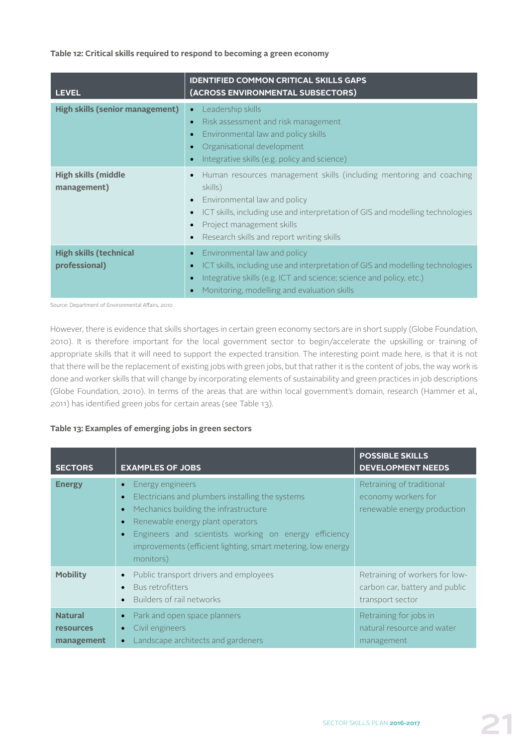#### **Table 12: Critical skills required to respond to becoming a green economy**

| <b>LEVEL</b>                                   | <b>IDENTIFIED COMMON CRITICAL SKILLS GAPS</b><br>(ACROSS ENVIRONMENTAL SUBSECTORS)                                                                                                                                                                                                                                             |
|------------------------------------------------|--------------------------------------------------------------------------------------------------------------------------------------------------------------------------------------------------------------------------------------------------------------------------------------------------------------------------------|
| <b>High skills (senior management)</b>         | Leadership skills<br>$\bullet$<br>Risk assessment and risk management<br>$\bullet$<br>Environmental law and policy skills<br>$\bullet$<br>Organisational development<br>Integrative skills (e.g. policy and science)                                                                                                           |
| <b>High skills (middle</b><br>management)      | Human resources management skills (including mentoring and coaching<br>$\bullet$<br>skills)<br>Environmental law and policy<br>$\bullet$<br>ICT skills, including use and interpretation of GIS and modelling technologies<br>$\bullet$<br>Project management skills<br>$\bullet$<br>Research skills and report writing skills |
| <b>High skills (technical</b><br>professional) | Environmental law and policy<br>$\bullet$<br>ICT skills, including use and interpretation of GIS and modelling technologies<br>$\bullet$<br>Integrative skills (e.g. ICT and science; science and policy, etc.)<br>$\bullet$<br>Monitoring, modelling and evaluation skills                                                    |

Source: Department of Environmental Affairs, 2010

However, there is evidence that skills shortages in certain green economy sectors are in short supply (Globe Foundation, 2010). It is therefore important for the local government sector to begin/accelerate the upskilling or training of appropriate skills that it will need to support the expected transition. The interesting point made here, is that it is not that there will be the replacement of existing jobs with green jobs, but that rather it is the content of jobs, the way work is done and worker skills that will change by incorporating elements of sustainability and green practices in job descriptions (Globe Foundation, 2010). In terms of the areas that are within local government's domain, research (Hammer et al., 2011) has identified green jobs for certain areas (see Table 13).

#### **Table 13: Examples of emerging jobs in green sectors**

| <b>SECTORS</b>                                   | <b>EXAMPLES OF JOBS</b>                                                                                                                                                                                                                                                                 | <b>POSSIBLE SKILLS</b><br><b>DEVELOPMENT NEEDS</b>                                   |
|--------------------------------------------------|-----------------------------------------------------------------------------------------------------------------------------------------------------------------------------------------------------------------------------------------------------------------------------------------|--------------------------------------------------------------------------------------|
| <b>Energy</b>                                    | Energy engineers<br>Electricians and plumbers installing the systems<br>Mechanics building the infrastructure<br>Renewable energy plant operators<br>Engineers and scientists working on energy efficiency<br>improvements (efficient lighting, smart metering, low energy<br>monitors) | Retraining of traditional<br>economy workers for<br>renewable energy production      |
| <b>Mobility</b>                                  | Public transport drivers and employees<br>$\bullet$<br>Bus retrofitters<br>Builders of rail networks                                                                                                                                                                                    | Retraining of workers for low-<br>carbon car, battery and public<br>transport sector |
| <b>Natural</b><br><b>resources</b><br>management | Park and open space planners<br>$\bullet$<br>Civil engineers<br>Landscape architects and gardeners                                                                                                                                                                                      | Retraining for jobs in<br>natural resource and water<br>management                   |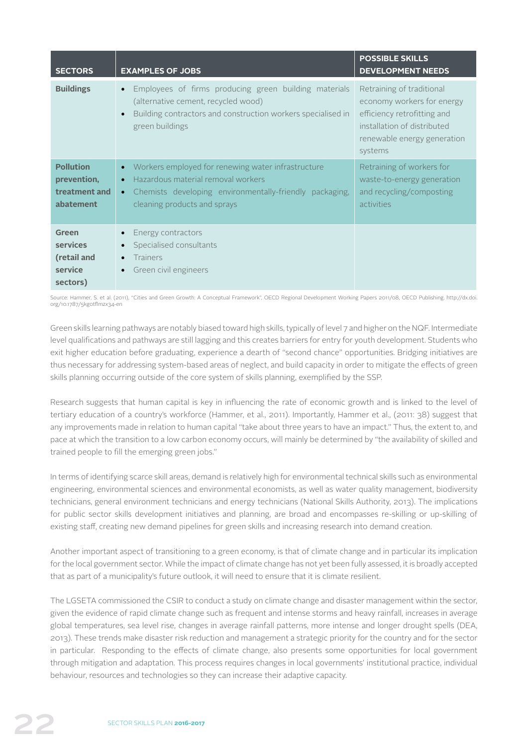| <b>SECTORS</b>                                                | <b>EXAMPLES OF JOBS</b>                                                                                                                                                                                                    | <b>POSSIBLE SKILLS</b><br><b>DEVELOPMENT NEEDS</b>                                                                                                              |
|---------------------------------------------------------------|----------------------------------------------------------------------------------------------------------------------------------------------------------------------------------------------------------------------------|-----------------------------------------------------------------------------------------------------------------------------------------------------------------|
| <b>Buildings</b>                                              | Employees of firms producing green building materials<br>$\bullet$<br>(alternative cement, recycled wood)<br>Building contractors and construction workers specialised in<br>$\bullet$<br>green buildings                  | Retraining of traditional<br>economy workers for energy<br>efficiency retrofitting and<br>installation of distributed<br>renewable energy generation<br>systems |
| <b>Pollution</b><br>prevention,<br>treatment and<br>abatement | Workers employed for renewing water infrastructure<br>$\bullet$<br>Hazardous material removal workers<br>$\bullet$<br>Chemists developing environmentally-friendly packaging,<br>$\bullet$<br>cleaning products and sprays | Retraining of workers for<br>waste-to-energy generation<br>and recycling/composting<br>activities                                                               |
| Green<br>services<br>(retail and<br>service<br>sectors)       | Energy contractors<br>Specialised consultants<br><b>Trainers</b><br>$\bullet$<br>Green civil engineers                                                                                                                     |                                                                                                                                                                 |

Source: Hammer, S. et al. (2011), "Cities and Green Growth: A Conceptual Framework", OECD Regional Development Working Papers 2011/08, OECD Publishing. http://dx.doi. org/10.1787/5kg0tflmzx34-en

Green skills learning pathways are notably biased toward high skills, typically of level 7 and higher on the NQF. Intermediate level qualifications and pathways are still lagging and this creates barriers for entry for youth development. Students who exit higher education before graduating, experience a dearth of "second chance" opportunities. Bridging initiatives are thus necessary for addressing system-based areas of neglect, and build capacity in order to mitigate the effects of green skills planning occurring outside of the core system of skills planning, exemplified by the SSP.

Research suggests that human capital is key in influencing the rate of economic growth and is linked to the level of tertiary education of a country's workforce (Hammer, et al., 2011). Importantly, Hammer et al., (2011: 38) suggest that any improvements made in relation to human capital "take about three years to have an impact." Thus, the extent to, and pace at which the transition to a low carbon economy occurs, will mainly be determined by "the availability of skilled and trained people to fill the emerging green jobs."

In terms of identifying scarce skill areas, demand is relatively high for environmental technical skills such as environmental engineering, environmental sciences and environmental economists, as well as water quality management, biodiversity technicians, general environment technicians and energy technicians (National Skills Authority, 2013). The implications for public sector skills development initiatives and planning, are broad and encompasses re-skilling or up-skilling of existing staff, creating new demand pipelines for green skills and increasing research into demand creation.

Another important aspect of transitioning to a green economy, is that of climate change and in particular its implication for the local government sector. While the impact of climate change has not yet been fully assessed, it is broadly accepted that as part of a municipality's future outlook, it will need to ensure that it is climate resilient.

The LGSETA commissioned the CSIR to conduct a study on climate change and disaster management within the sector, given the evidence of rapid climate change such as frequent and intense storms and heavy rainfall, increases in average global temperatures, sea level rise, changes in average rainfall patterns, more intense and longer drought spells (DEA, 2013). These trends make disaster risk reduction and management a strategic priority for the country and for the sector in particular. Responding to the effects of climate change, also presents some opportunities for local government through mitigation and adaptation. This process requires changes in local governments' institutional practice, individual behaviour, resources and technologies so they can increase their adaptive capacity.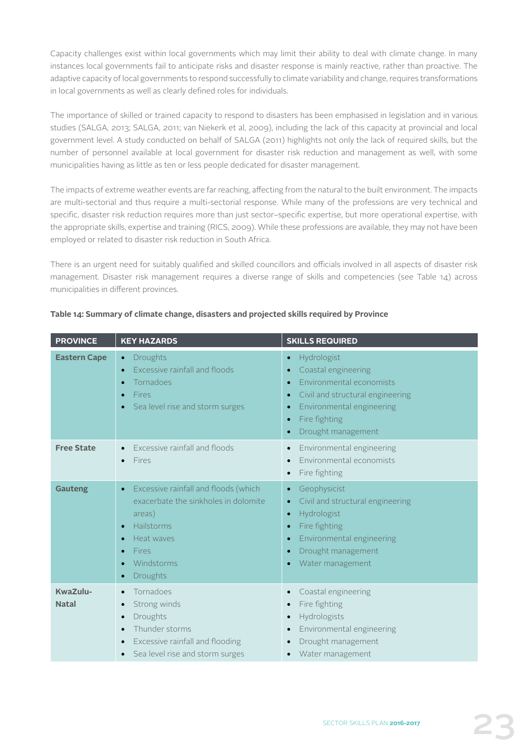Capacity challenges exist within local governments which may limit their ability to deal with climate change. In many instances local governments fail to anticipate risks and disaster response is mainly reactive, rather than proactive. The adaptive capacity of local governments to respond successfully to climate variability and change, requires transformations in local governments as well as clearly defined roles for individuals.

The importance of skilled or trained capacity to respond to disasters has been emphasised in legislation and in various studies (SALGA, 2013; SALGA, 2011; van Niekerk et al, 2009), including the lack of this capacity at provincial and local government level. A study conducted on behalf of SALGA (2011) highlights not only the lack of required skills, but the number of personnel available at local government for disaster risk reduction and management as well, with some municipalities having as little as ten or less people dedicated for disaster management.

The impacts of extreme weather events are far reaching, affecting from the natural to the built environment. The impacts are multi-sectorial and thus require a multi-sectorial response. While many of the professions are very technical and specific, disaster risk reduction requires more than just sector–specific expertise, but more operational expertise, with the appropriate skills, expertise and training (RICS, 2009). While these professions are available, they may not have been employed or related to disaster risk reduction in South Africa.

There is an urgent need for suitably qualified and skilled councillors and officials involved in all aspects of disaster risk management. Disaster risk management requires a diverse range of skills and competencies (see Table 14) across municipalities in different provinces.

| <b>PROVINCE</b>          | <b>KEY HAZARDS</b>                                                                                                                                                                                                                        | <b>SKILLS REQUIRED</b>                                                                                                                                                                                                                             |
|--------------------------|-------------------------------------------------------------------------------------------------------------------------------------------------------------------------------------------------------------------------------------------|----------------------------------------------------------------------------------------------------------------------------------------------------------------------------------------------------------------------------------------------------|
| <b>Eastern Cape</b>      | <b>Droughts</b><br>$\bullet$<br><b>Excessive rainfall and floods</b><br>$\bullet$<br><b>Tornadoes</b><br>c<br><b>Fires</b><br>c<br>Sea level rise and storm surges                                                                        | Hydrologist<br>$\bullet$<br>Coastal engineering<br>Environmental economists<br>Civil and structural engineering<br>$\bullet$<br>Environmental engineering<br>$\bullet$<br>Fire fighting<br>$\bullet$<br>Drought management<br>$\bullet$            |
| <b>Free State</b>        | Excessive rainfall and floods<br>Fires                                                                                                                                                                                                    | Environmental engineering<br>$\bullet$<br>Environmental economists<br>Fire fighting<br>$\bullet$                                                                                                                                                   |
| <b>Gauteng</b>           | Excessive rainfall and floods (which<br>$\bullet$<br>exacerbate the sinkholes in dolomite<br>areas)<br>Hailstorms<br>$\bullet$<br>Heat waves<br>$\bullet$<br><b>Fires</b><br>G<br>Windstorms<br>$\bullet$<br><b>Droughts</b><br>$\bullet$ | Geophysicist<br>$\bullet$<br>Civil and structural engineering<br>$\bullet$<br>Hydrologist<br>$\bullet$<br>Fire fighting<br>$\bullet$<br>Environmental engineering<br>$\bullet$<br>Drought management<br>$\bullet$<br>Water management<br>$\bullet$ |
| KwaZulu-<br><b>Natal</b> | Tornadoes<br>$\bullet$<br>Strong winds<br>$\bullet$<br>Droughts<br>$\bullet$<br>Thunder storms<br>$\bullet$<br>Excessive rainfall and flooding<br>Sea level rise and storm surges                                                         | Coastal engineering<br>Fire fighting<br>$\bullet$<br>Hydrologists<br>Environmental engineering<br>$\bullet$<br>Drought management<br>Water management                                                                                              |

#### **Table 14: Summary of climate change, disasters and projected skills required by Province**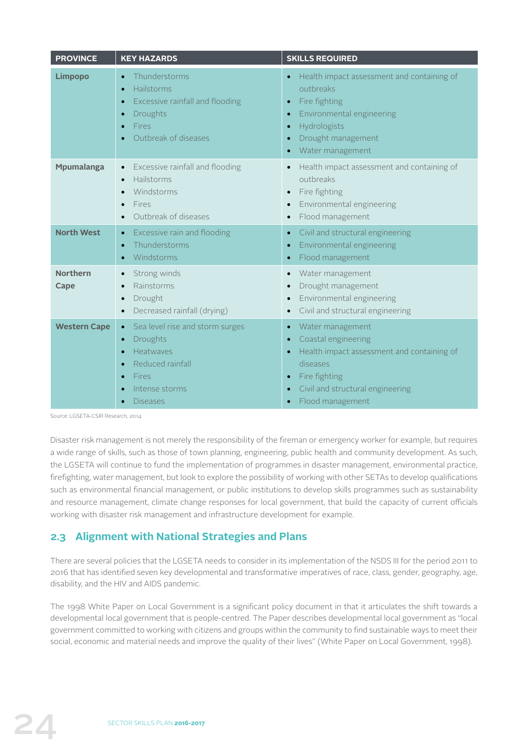| <b>PROVINCE</b>         | <b>KEY HAZARDS</b>                                                                                                                                                              | <b>SKILLS REQUIRED</b>                                                                                                                                                                                                           |
|-------------------------|---------------------------------------------------------------------------------------------------------------------------------------------------------------------------------|----------------------------------------------------------------------------------------------------------------------------------------------------------------------------------------------------------------------------------|
| <b>Limpopo</b>          | Thunderstorms<br>$\bullet$<br>Hailstorms<br>$\bullet$<br>Excessive rainfall and flooding<br>$\bullet$<br>Droughts<br>$\bullet$<br>Fires<br>Outbreak of diseases                 | Health impact assessment and containing of<br>$\bullet$<br>outbreaks<br>Fire fighting<br>$\bullet$<br>Environmental engineering<br>$\bullet$<br>Hydrologists<br>$\bullet$<br>Drought management<br>$\bullet$<br>Water management |
| <b>Mpumalanga</b>       | Excessive rainfall and flooding<br>$\bullet$<br>Hailstorms<br>$\bullet$<br>Windstorms<br>Fires<br>Outbreak of diseases                                                          | Health impact assessment and containing of<br>$\bullet$<br>outbreaks<br>Fire fighting<br>$\bullet$<br>Environmental engineering<br>$\bullet$<br>Flood management                                                                 |
| <b>North West</b>       | Excessive rain and flooding<br>$\bullet$<br>Thunderstorms<br>$\bullet$<br>Windstorms<br>$\bullet$                                                                               | Civil and structural engineering<br>$\bullet$<br>Environmental engineering<br>$\bullet$<br>Flood management<br>$\bullet$                                                                                                         |
| <b>Northern</b><br>Cape | Strong winds<br>$\bullet$<br>Rainstorms<br>Drought<br>$\bullet$<br>Decreased rainfall (drying)<br>$\bullet$                                                                     | Water management<br>$\bullet$<br>Drought management<br>$\bullet$<br>Environmental engineering<br>Civil and structural engineering<br>$\bullet$                                                                                   |
| <b>Western Cape</b>     | Sea level rise and storm surges<br>$\bullet$<br>Droughts<br>$\bullet$<br>Heatwaves<br>$\epsilon$<br>Reduced rainfall<br>$\bullet$<br>Fires<br>Intense storms<br><b>Diseases</b> | Water management<br>$\bullet$<br>Coastal engineering<br>$\bullet$<br>Health impact assessment and containing of<br>$\bullet$<br>diseases<br>Fire fighting<br>$\bullet$<br>Civil and structural engineering<br>Flood management   |

Source: LGSETA-CSIR Research, 2014

Disaster risk management is not merely the responsibility of the fireman or emergency worker for example, but requires a wide range of skills, such as those of town planning, engineering, public health and community development. As such, the LGSETA will continue to fund the implementation of programmes in disaster management, environmental practice, firefighting, water management, but look to explore the possibility of working with other SETAs to develop qualifications such as environmental financial management, or public institutions to develop skills programmes such as sustainability and resource management, climate change responses for local government, that build the capacity of current officials working with disaster risk management and infrastructure development for example.

# **2.3 Alignment with National Strategies and Plans**

There are several policies that the LGSETA needs to consider in its implementation of the NSDS III for the period 2011 to 2016 that has identified seven key developmental and transformative imperatives of race, class, gender, geography, age, disability, and the HIV and AIDS pandemic.

The 1998 White Paper on Local Government is a significant policy document in that it articulates the shift towards a developmental local government that is people-centred. The Paper describes developmental local government as "local government committed to working with citizens and groups within the community to find sustainable ways to meet their social, economic and material needs and improve the quality of their lives" (White Paper on Local Government, 1998).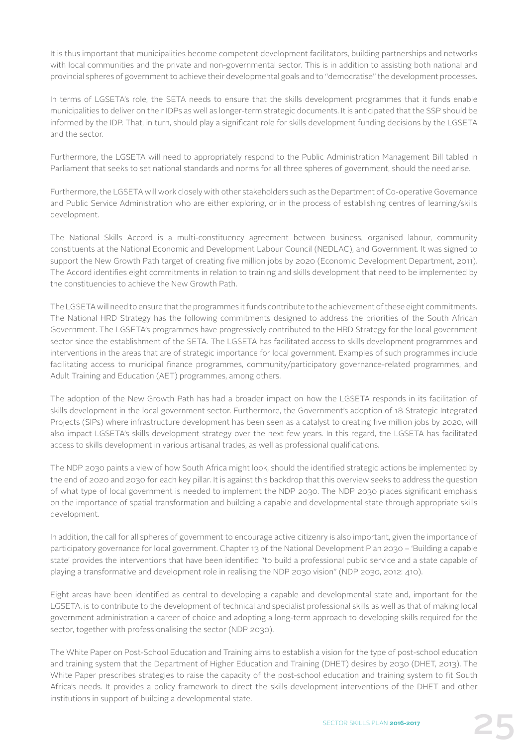It is thus important that municipalities become competent development facilitators, building partnerships and networks with local communities and the private and non-governmental sector. This is in addition to assisting both national and provincial spheres of government to achieve their developmental goals and to "democratise" the development processes.

In terms of LGSETA's role, the SETA needs to ensure that the skills development programmes that it funds enable municipalities to deliver on their IDPs as well as longer-term strategic documents. It is anticipated that the SSP should be informed by the IDP. That, in turn, should play a significant role for skills development funding decisions by the LGSETA and the sector.

Furthermore, the LGSETA will need to appropriately respond to the Public Administration Management Bill tabled in Parliament that seeks to set national standards and norms for all three spheres of government, should the need arise.

Furthermore, the LGSETA will work closely with other stakeholders such as the Department of Co-operative Governance and Public Service Administration who are either exploring, or in the process of establishing centres of learning/skills development.

The National Skills Accord is a multi-constituency agreement between business, organised labour, community constituents at the National Economic and Development Labour Council (NEDLAC), and Government. It was signed to support the New Growth Path target of creating five million jobs by 2020 (Economic Development Department, 2011). The Accord identifies eight commitments in relation to training and skills development that need to be implemented by the constituencies to achieve the New Growth Path.

The LGSETA will need to ensure that the programmes it funds contribute to the achievement of these eight commitments. The National HRD Strategy has the following commitments designed to address the priorities of the South African Government. The LGSETA's programmes have progressively contributed to the HRD Strategy for the local government sector since the establishment of the SETA. The LGSETA has facilitated access to skills development programmes and interventions in the areas that are of strategic importance for local government. Examples of such programmes include facilitating access to municipal finance programmes, community/participatory governance-related programmes, and Adult Training and Education (AET) programmes, among others.

The adoption of the New Growth Path has had a broader impact on how the LGSETA responds in its facilitation of skills development in the local government sector. Furthermore, the Government's adoption of 18 Strategic Integrated Projects (SIPs) where infrastructure development has been seen as a catalyst to creating five million jobs by 2020, will also impact LGSETA's skills development strategy over the next few years. In this regard, the LGSETA has facilitated access to skills development in various artisanal trades, as well as professional qualifications.

The NDP 2030 paints a view of how South Africa might look, should the identified strategic actions be implemented by the end of 2020 and 2030 for each key pillar. It is against this backdrop that this overview seeks to address the question of what type of local government is needed to implement the NDP 2030. The NDP 2030 places significant emphasis on the importance of spatial transformation and building a capable and developmental state through appropriate skills development.

In addition, the call for all spheres of government to encourage active citizenry is also important, given the importance of participatory governance for local government. Chapter 13 of the National Development Plan 2030 – 'Building a capable state' provides the interventions that have been identified "to build a professional public service and a state capable of playing a transformative and development role in realising the NDP 2030 vision" (NDP 2030, 2012: 410).

Eight areas have been identified as central to developing a capable and developmental state and, important for the LGSETA. is to contribute to the development of technical and specialist professional skills as well as that of making local government administration a career of choice and adopting a long-term approach to developing skills required for the sector, together with professionalising the sector (NDP 2030).

The White Paper on Post-School Education and Training aims to establish a vision for the type of post-school education and training system that the Department of Higher Education and Training (DHET) desires by 2030 (DHET, 2013). The White Paper prescribes strategies to raise the capacity of the post-school education and training system to fit South Africa's needs. It provides a policy framework to direct the skills development interventions of the DHET and other institutions in support of building a developmental state.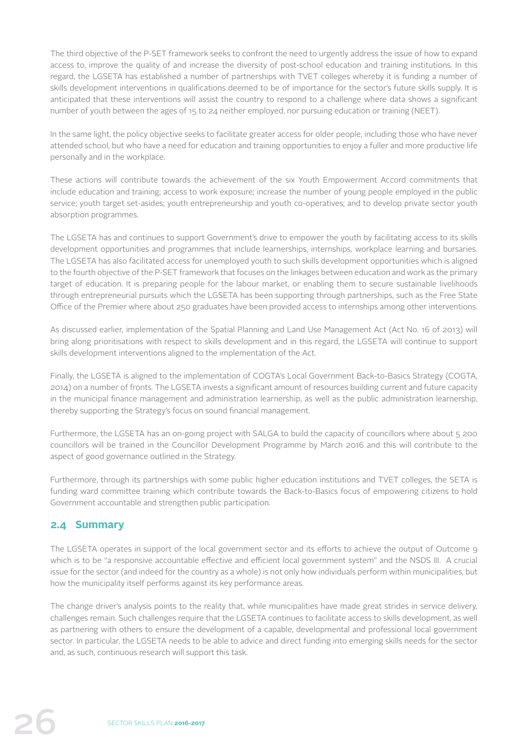The third objective of the P-SET framework seeks to confront the need to urgently address the issue of how to expand access to, improve the quality of and increase the diversity of post-school education and training institutions. In this regard, the LGSETA has established a number of partnerships with TVET colleges whereby it is funding a number of skills development interventions in qualifications deemed to be of importance for the sector's future skills supply. It is anticipated that these interventions will assist the country to respond to a challenge where data shows a significant number of youth between the ages of 15 to 24 neither employed, nor pursuing education or training (NEET).

In the same light, the policy objective seeks to facilitate greater access for older people, including those who have never attended school, but who have a need for education and training opportunities to enjoy a fuller and more productive life personally and in the workplace.

These actions will contribute towards the achievement of the six Youth Empowerment Accord commitments that include education and training; access to work exposure; increase the number of young people employed in the public service; youth target set-asides; youth entrepreneurship and youth co-operatives; and to develop private sector youth absorption programmes.

The LGSETA has and continues to support Government's drive to empower the youth by facilitating access to its skills development opportunities and programmes that include learnerships, internships, workplace learning and bursaries. The LGSETA has also facilitated access for unemployed youth to such skills development opportunities which is aligned to the fourth objective of the P-SET framework that focuses on the linkages between education and work as the primary target of education. It is preparing people for the labour market, or enabling them to secure sustainable livelihoods through entrepreneurial pursuits which the LGSETA has been supporting through partnerships, such as the Free State Office of the Premier where about 250 graduates have been provided access to internships among other interventions.

As discussed earlier, implementation of the Spatial Planning and Land Use Management Act (Act No. 16 of 2013) will bring along prioritisations with respect to skills development and in this regard, the LGSETA will continue to support skills development interventions aligned to the implementation of the Act.

Finally, the LGSETA is aligned to the implementation of COGTA's Local Government Back-to-Basics Strategy (COGTA, 2014) on a number of fronts. The LGSETA invests a significant amount of resources building current and future capacity in the municipal finance management and administration learnership, as well as the public administration learnership, thereby supporting the Strategy's focus on sound financial management.

Furthermore, the LGSETA has an on-going project with SALGA to build the capacity of councillors where about 5 200 councillors will be trained in the Councillor Development Programme by March 2016 and this will contribute to the aspect of good governance outlined in the Strategy.

Furthermore, through its partnerships with some public higher education institutions and TVET colleges, the SETA is funding ward committee training which contribute towards the Back-to-Basics focus of empowering citizens to hold Government accountable and strengthen public participation.

# **2.4 Summary**

The LGSETA operates in support of the local government sector and its efforts to achieve the output of Outcome 9 which is to be "a responsive accountable effective and efficient local government system" and the NSDS III. A crucial issue for the sector (and indeed for the country as a whole) is not only how individuals perform within municipalities, but how the municipality itself performs against its key performance areas.

The change driver's analysis points to the reality that, while municipalities have made great strides in service delivery, challenges remain. Such challenges require that the LGSETA continues to facilitate access to skills development, as well as partnering with others to ensure the development of a capable, developmental and professional local government sector. In particular, the LGSETA needs to be able to advice and direct funding into emerging skills needs for the sector and, as such, continuous research will support this task.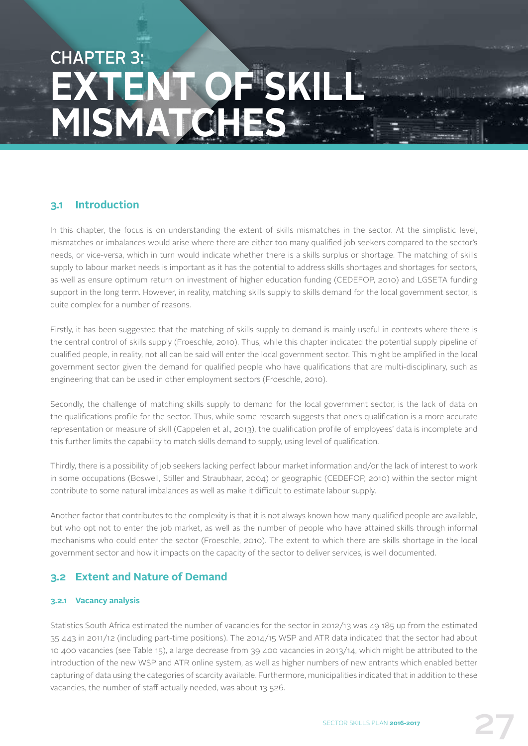# CHAPTER 3: **YATEN MISMATC**

# **3.1 Introduction**

In this chapter, the focus is on understanding the extent of skills mismatches in the sector. At the simplistic level, mismatches or imbalances would arise where there are either too many qualified job seekers compared to the sector's needs, or vice-versa, which in turn would indicate whether there is a skills surplus or shortage. The matching of skills supply to labour market needs is important as it has the potential to address skills shortages and shortages for sectors, as well as ensure optimum return on investment of higher education funding (CEDEFOP, 2010) and LGSETA funding support in the long term. However, in reality, matching skills supply to skills demand for the local government sector, is quite complex for a number of reasons.

Firstly, it has been suggested that the matching of skills supply to demand is mainly useful in contexts where there is the central control of skills supply (Froeschle, 2010). Thus, while this chapter indicated the potential supply pipeline of qualified people, in reality, not all can be said will enter the local government sector. This might be amplified in the local government sector given the demand for qualified people who have qualifications that are multi-disciplinary, such as engineering that can be used in other employment sectors (Froeschle, 2010).

Secondly, the challenge of matching skills supply to demand for the local government sector, is the lack of data on the qualifications profile for the sector. Thus, while some research suggests that one's qualification is a more accurate representation or measure of skill (Cappelen et al., 2013), the qualification profile of employees' data is incomplete and this further limits the capability to match skills demand to supply, using level of qualification.

Thirdly, there is a possibility of job seekers lacking perfect labour market information and/or the lack of interest to work in some occupations (Boswell, Stiller and Straubhaar, 2004) or geographic (CEDEFOP, 2010) within the sector might contribute to some natural imbalances as well as make it difficult to estimate labour supply.

Another factor that contributes to the complexity is that it is not always known how many qualified people are available, but who opt not to enter the job market, as well as the number of people who have attained skills through informal mechanisms who could enter the sector (Froeschle, 2010). The extent to which there are skills shortage in the local government sector and how it impacts on the capacity of the sector to deliver services, is well documented.

# **3.2 Extent and Nature of Demand**

#### **3.2.1 Vacancy analysis**

Statistics South Africa estimated the number of vacancies for the sector in 2012/13 was 49 185 up from the estimated 35 443 in 2011/12 (including part-time positions). The 2014/15 WSP and ATR data indicated that the sector had about 10 400 vacancies (see Table 15), a large decrease from 39 400 vacancies in 2013/14, which might be attributed to the introduction of the new WSP and ATR online system, as well as higher numbers of new entrants which enabled better capturing of data using the categories of scarcity available. Furthermore, municipalities indicated that in addition to these vacancies, the number of staff actually needed, was about 13 526.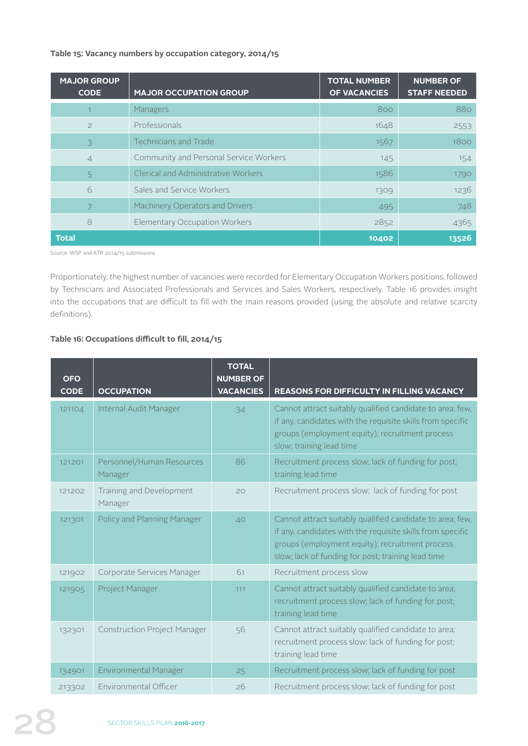#### **Table 15: Vacancy numbers by occupation category, 2014/15**

| <b>MAJOR GROUP</b><br><b>CODE</b> | <b>MAJOR OCCUPATION GROUP</b>          | <b>TOTAL NUMBER</b><br><b>OF VACANCIES</b> | <b>NUMBER OF</b><br><b>STAFF NEEDED</b> |
|-----------------------------------|----------------------------------------|--------------------------------------------|-----------------------------------------|
|                                   | Managers                               | 800                                        | 880                                     |
| $\geq$                            | Professionals                          | 1648                                       | 2553                                    |
| 3                                 | <b>Technicians and Trade</b>           | 1567                                       | 1800                                    |
| $\overline{4}$                    | Community and Personal Service Workers | 145                                        | 154                                     |
| 5                                 | Clerical and Administrative Workers    | 1586                                       | 1790                                    |
| 6                                 | Sales and Service Workers              | 1309                                       | 1236                                    |
| 7                                 | Machinery Operators and Drivers        | 495                                        | 748                                     |
| 8                                 | <b>Elementary Occupation Workers</b>   | 2852                                       | 4365                                    |
| <b>Total</b>                      |                                        | 10402                                      | 13526                                   |

Source: WSP and ATR 2014/15 submissions

Proportionately, the highest number of vacancies were recorded for Elementary Occupation Workers positions, followed by Technicians and Associated Professionals and Services and Sales Workers, respectively. Table 16 provides insight into the occupations that are difficult to fill with the main reasons provided (using the absolute and relative scarcity definitions).

#### **Table 16: Occupations difficult to fill, 2014/15**

| <b>OFO</b><br><b>CODE</b> | <b>OCCUPATION</b>                    | <b>TOTAL</b><br><b>NUMBER OF</b><br><b>VACANCIES</b> | <b>REASONS FOR DIFFICULTY IN FILLING VACANCY</b>                                                                                                                                                                                 |
|---------------------------|--------------------------------------|------------------------------------------------------|----------------------------------------------------------------------------------------------------------------------------------------------------------------------------------------------------------------------------------|
| 121104                    | Internal Audit Manager               | 34                                                   | Cannot attract suitably qualified candidate to area; few,<br>if any, candidates with the requisite skills from specific<br>groups (employment equity); recruitment process<br>slow; training lead time                           |
| 121201                    | Personnel/Human Resources<br>Manager | 86                                                   | Recruitment process slow; lack of funding for post;<br>training lead time                                                                                                                                                        |
| 121202                    | Training and Development<br>Manager  | 20                                                   | Recruitment process slow; lack of funding for post                                                                                                                                                                               |
| 121301                    | Policy and Planning Manager          | 40                                                   | Cannot attract suitably qualified candidate to area; few,<br>if any, candidates with the requisite skills from specific<br>groups (employment equity); recruitment process<br>slow; lack of funding for post; training lead time |
| 121902                    | Corporate Services Manager           | 61                                                   | Recruitment process slow                                                                                                                                                                                                         |
| 121905                    | Project Manager                      | 111                                                  | Cannot attract suitably qualified candidate to area;<br>recruitment process slow; lack of funding for post;<br>training lead time                                                                                                |
| 132301                    | <b>Construction Project Manager</b>  | 56                                                   | Cannot attract suitably qualified candidate to area;<br>recruitment process slow; lack of funding for post;<br>training lead time                                                                                                |
| 134901                    | <b>Environmental Manager</b>         | 25                                                   | Recruitment process slow; lack of funding for post                                                                                                                                                                               |
| 213302                    | Environmental Officer                | 26                                                   | Recruitment process slow; lack of funding for post                                                                                                                                                                               |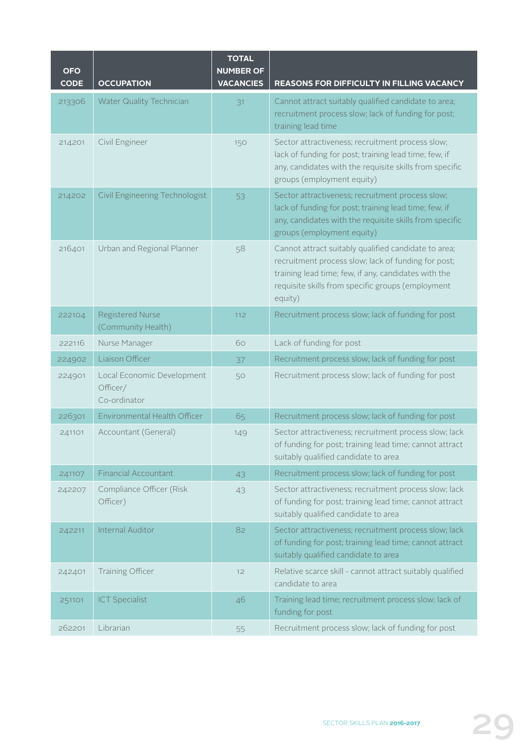| <b>OFO</b><br><b>CODE</b> | <b>OCCUPATION</b>                                      | <b>TOTAL</b><br><b>NUMBER OF</b><br><b>VACANCIES</b> | <b>REASONS FOR DIFFICULTY IN FILLING VACANCY</b>                                                                                                                                                                                    |
|---------------------------|--------------------------------------------------------|------------------------------------------------------|-------------------------------------------------------------------------------------------------------------------------------------------------------------------------------------------------------------------------------------|
| 213306                    | <b>Water Quality Technician</b>                        | 31                                                   | Cannot attract suitably qualified candidate to area;<br>recruitment process slow; lack of funding for post;<br>training lead time                                                                                                   |
| 214201                    | Civil Engineer                                         | 150                                                  | Sector attractiveness; recruitment process slow;<br>lack of funding for post; training lead time; few, if<br>any, candidates with the requisite skills from specific<br>groups (employment equity)                                  |
| 214202                    | Civil Engineering Technologist                         | 53                                                   | Sector attractiveness; recruitment process slow;<br>lack of funding for post; training lead time; few, if<br>any, candidates with the requisite skills from specific<br>groups (employment equity)                                  |
| 216401                    | Urban and Regional Planner                             | 58                                                   | Cannot attract suitably qualified candidate to area;<br>recruitment process slow; lack of funding for post;<br>training lead time; few, if any, candidates with the<br>requisite skills from specific groups (employment<br>equity) |
| 222104                    | <b>Registered Nurse</b><br>(Community Health)          | 112                                                  | Recruitment process slow; lack of funding for post                                                                                                                                                                                  |
| 222116                    | Nurse Manager                                          | 60                                                   | Lack of funding for post                                                                                                                                                                                                            |
| 224902                    | Liaison Officer                                        | 37                                                   | Recruitment process slow; lack of funding for post                                                                                                                                                                                  |
| 224901                    | Local Economic Development<br>Officer/<br>Co-ordinator | 50                                                   | Recruitment process slow; lack of funding for post                                                                                                                                                                                  |
| 226301                    | Environmental Health Officer                           | 65                                                   | Recruitment process slow; lack of funding for post                                                                                                                                                                                  |
| 241101                    | Accountant (General)                                   | 149                                                  | Sector attractiveness; recruitment process slow; lack<br>of funding for post; training lead time; cannot attract<br>suitably qualified candidate to area                                                                            |
| 241107                    | <b>Financial Accountant</b>                            | 43                                                   | Recruitment process slow; lack of funding for post                                                                                                                                                                                  |
| 242207                    | Compliance Officer (Risk<br>Officer)                   | 43                                                   | Sector attractiveness; recruitment process slow; lack<br>of funding for post; training lead time; cannot attract<br>suitably qualified candidate to area                                                                            |
| 242211                    | Internal Auditor                                       | 82                                                   | Sector attractiveness; recruitment process slow; lack<br>of funding for post; training lead time; cannot attract<br>suitably qualified candidate to area                                                                            |
| 242401                    | Training Officer                                       | 12                                                   | Relative scarce skill - cannot attract suitably qualified<br>candidate to area                                                                                                                                                      |
| 251101                    | <b>ICT Specialist</b>                                  | 46                                                   | Training lead time; recruitment process slow; lack of<br>funding for post                                                                                                                                                           |
| 262201                    | Librarian                                              | 55                                                   | Recruitment process slow; lack of funding for post                                                                                                                                                                                  |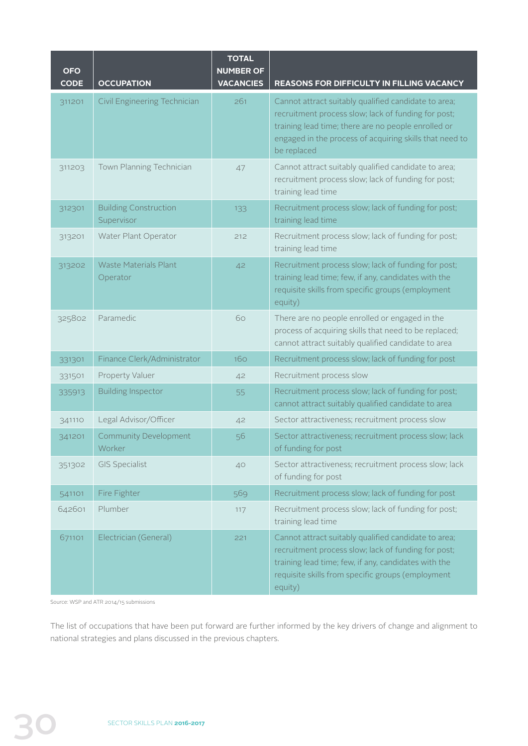| <b>OFO</b><br><b>CODE</b> | <b>OCCUPATION</b>                          | <b>TOTAL</b><br><b>NUMBER OF</b><br><b>VACANCIES</b> | <b>REASONS FOR DIFFICULTY IN FILLING VACANCY</b>                                                                                                                                                                                             |
|---------------------------|--------------------------------------------|------------------------------------------------------|----------------------------------------------------------------------------------------------------------------------------------------------------------------------------------------------------------------------------------------------|
| 311201                    | Civil Engineering Technician               | 261                                                  | Cannot attract suitably qualified candidate to area;<br>recruitment process slow; lack of funding for post;<br>training lead time; there are no people enrolled or<br>engaged in the process of acquiring skills that need to<br>be replaced |
| 311203                    | Town Planning Technician                   | 47                                                   | Cannot attract suitably qualified candidate to area;<br>recruitment process slow; lack of funding for post;<br>training lead time                                                                                                            |
| 312301                    | <b>Building Construction</b><br>Supervisor | 133                                                  | Recruitment process slow; lack of funding for post;<br>training lead time                                                                                                                                                                    |
| 313201                    | Water Plant Operator                       | 212                                                  | Recruitment process slow; lack of funding for post;<br>training lead time                                                                                                                                                                    |
| 313202                    | <b>Waste Materials Plant</b><br>Operator   | 42                                                   | Recruitment process slow; lack of funding for post;<br>training lead time; few, if any, candidates with the<br>requisite skills from specific groups (employment<br>equity)                                                                  |
| 325802                    | Paramedic                                  | 60                                                   | There are no people enrolled or engaged in the<br>process of acquiring skills that need to be replaced;<br>cannot attract suitably qualified candidate to area                                                                               |
| 331301                    | Finance Clerk/Administrator                | 160                                                  | Recruitment process slow; lack of funding for post                                                                                                                                                                                           |
| 331501                    | Property Valuer                            | 42                                                   | Recruitment process slow                                                                                                                                                                                                                     |
| 335913                    | <b>Building Inspector</b>                  | 55                                                   | Recruitment process slow; lack of funding for post;<br>cannot attract suitably qualified candidate to area                                                                                                                                   |
| 341110                    | Legal Advisor/Officer                      | 42                                                   | Sector attractiveness; recruitment process slow                                                                                                                                                                                              |
| 341201                    | <b>Community Development</b><br>Worker     | 56                                                   | Sector attractiveness; recruitment process slow; lack<br>of funding for post                                                                                                                                                                 |
| 351302                    | <b>GIS Specialist</b>                      | 40                                                   | Sector attractiveness; recruitment process slow; lack<br>of funding for post                                                                                                                                                                 |
| 541101                    | Fire Fighter                               | 569                                                  | Recruitment process slow; lack of funding for post                                                                                                                                                                                           |
| 642601                    | Plumber                                    | 117                                                  | Recruitment process slow; lack of funding for post;<br>training lead time                                                                                                                                                                    |
| 671101                    | Electrician (General)                      | 221                                                  | Cannot attract suitably qualified candidate to area;<br>recruitment process slow; lack of funding for post;<br>training lead time; few, if any, candidates with the<br>requisite skills from specific groups (employment<br>equity)          |

Source: WSP and ATR 2014/15 submissions

The list of occupations that have been put forward are further informed by the key drivers of change and alignment to national strategies and plans discussed in the previous chapters.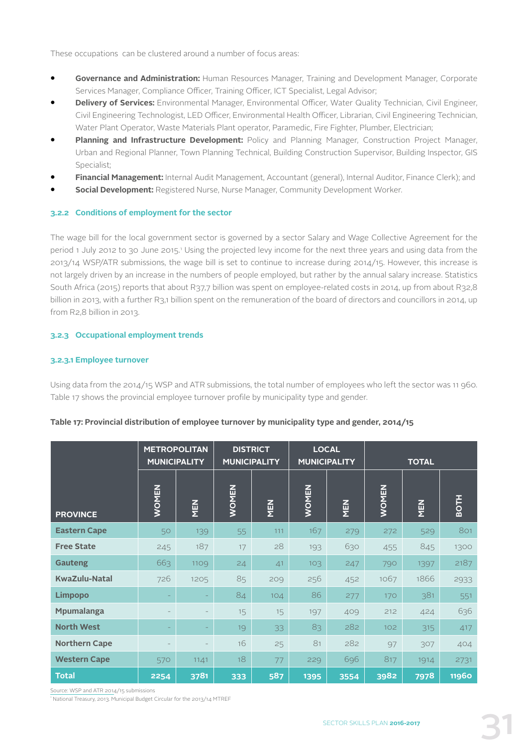These occupations can be clustered around a number of focus areas:

- **• Governance and Administration:** Human Resources Manager, Training and Development Manager, Corporate Services Manager, Compliance Officer, Training Officer, ICT Specialist, Legal Advisor;
- **• Delivery of Services:** Environmental Manager, Environmental Officer, Water Quality Technician, Civil Engineer, Civil Engineering Technologist, LED Officer, Environmental Health Officer, Librarian, Civil Engineering Technician, Water Plant Operator, Waste Materials Plant operator, Paramedic, Fire Fighter, Plumber, Electrician;
- **• Planning and Infrastructure Development:** Policy and Planning Manager, Construction Project Manager, Urban and Regional Planner, Town Planning Technical, Building Construction Supervisor, Building Inspector, GIS Specialist;
- **• Financial Management:** Internal Audit Management, Accountant (general), Internal Auditor, Finance Clerk); and
- **• Social Development:** Registered Nurse, Nurse Manager, Community Development Worker.

## **3.2.2 Conditions of employment for the sector**

The wage bill for the local government sector is governed by a sector Salary and Wage Collective Agreement for the period 1 July 2012 to 30 June 2015.1 Using the projected levy income for the next three years and using data from the 2013/14 WSP/ATR submissions, the wage bill is set to continue to increase during 2014/15. However, this increase is not largely driven by an increase in the numbers of people employed, but rather by the annual salary increase. Statistics South Africa (2015) reports that about R37,7 billion was spent on employee-related costs in 2014, up from about R32,8 billion in 2013, with a further R3,1 billion spent on the remuneration of the board of directors and councillors in 2014, up from R2,8 billion in 2013.

## **3.2.3 Occupational employment trends**

## **3.2.3.1 Employee turnover**

Using data from the 2014/15 WSP and ATR submissions, the total number of employees who left the sector was 11 960. Table 17 shows the provincial employee turnover profile by municipality type and gender.

|                      | <b>METROPOLITAN</b><br><b>MUNICIPALITY</b> |            |              | <b>DISTRICT</b><br><b>MUNICIPALITY</b> | <b>LOCAL</b> | <b>MUNICIPALITY</b> |                  | <b>TOTAL</b> |              |
|----------------------|--------------------------------------------|------------|--------------|----------------------------------------|--------------|---------------------|------------------|--------------|--------------|
| <b>PROVINCE</b>      | <b>WOMEN</b>                               | <b>NEN</b> | <b>WOMEN</b> | <b>NEN</b>                             | <b>WOMEN</b> | <b>NEN</b>          | <b>WOMEN</b>     | MEN          | <b>BOTH</b>  |
| <b>Eastern Cape</b>  | 50                                         | 139        | 55           | 111                                    | 167          | 279                 | 272              | 529          | 801          |
| <b>Free State</b>    | 245                                        | 187        | 17           | 28                                     | 193          | 630                 | 455              | 845          | 1300         |
| <b>Gauteng</b>       | 663                                        | 1109       | 24           | 41                                     | 103          | 247                 | 790              | 1397         | 2187         |
| <b>KwaZulu-Natal</b> | 726                                        | 1205       | 85           | 209                                    | 256          | 452                 | 1067             | 1866         | 2933         |
| <b>Limpopo</b>       |                                            | ٠          | 84           | 104                                    | 86           | 277                 | 170              | 381          | 551          |
| <b>Mpumalanga</b>    |                                            |            | 15           | 15                                     | 197          | 409                 | 212              | 424          | 636          |
| <b>North West</b>    |                                            |            | 19           | 33                                     | 83           | 282                 | 102 <sub>2</sub> | 315          | 417          |
| <b>Northern Cape</b> |                                            |            | 16           | 25                                     | 81           | 282                 | 97               | 307          | 404          |
| <b>Western Cape</b>  | 570                                        | 1141       | 18           | 77                                     | 229          | 696                 | 817              | 1914         | 2731         |
| <b>Total</b>         | 2254                                       | 3781       | 333          | 587                                    | 1395         | 3554                | 3982             | 7978         | <b>11960</b> |

## **Table 17: Provincial distribution of employee turnover by municipality type and gender, 2014/15**

Source: WSP and ATR 2014/15 submissions

\* National Treasury, 2013. Municipal Budget Circular for the 2013/14 MTREF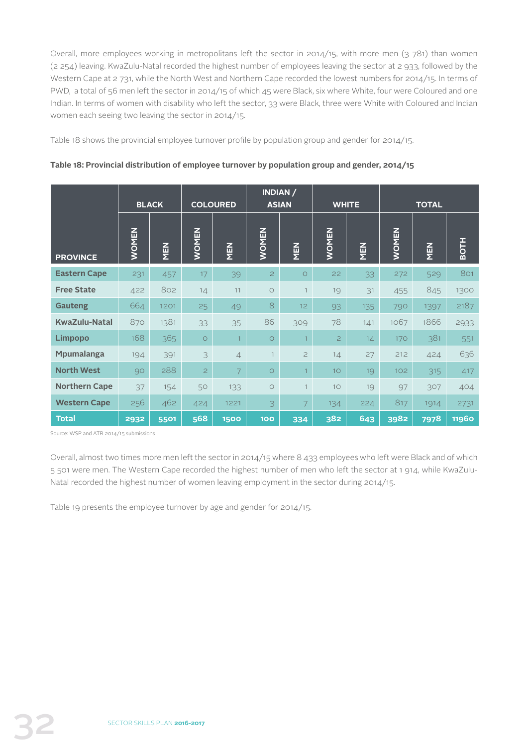Overall, more employees working in metropolitans left the sector in 2014/15, with more men (3 781) than women (2 254) leaving. KwaZulu-Natal recorded the highest number of employees leaving the sector at 2 933, followed by the Western Cape at 2 731, while the North West and Northern Cape recorded the lowest numbers for 2014/15. In terms of PWD, a total of 56 men left the sector in 2014/15 of which 45 were Black, six where White, four were Coloured and one Indian. In terms of women with disability who left the sector, 33 were Black, three were White with Coloured and Indian women each seeing two leaving the sector in 2014/15.

Table 18 shows the provincial employee turnover profile by population group and gender for 2014/15.

|                      |              | <b>BLACK</b> |                | <b>COLOURED</b> |                | INDIAN /<br><b>ASIAN</b> |                | <b>WHITE</b> |              | <b>TOTAL</b> |              |
|----------------------|--------------|--------------|----------------|-----------------|----------------|--------------------------|----------------|--------------|--------------|--------------|--------------|
| <b>PROVINCE</b>      | <b>WOMEN</b> | MEN          | <b>WOMEN</b>   | MEN             | <b>WOMEN</b>   | MEN                      | <b>WOMEN</b>   | <b>NEN</b>   | <b>WOMEN</b> | <b>NEN</b>   | <b>BOTH</b>  |
| <b>Eastern Cape</b>  | 231          | 457          | 17             | 39              | $\overline{c}$ | $\circ$                  | 22             | 33           | 272          | 529          | 801          |
| <b>Free State</b>    | 422          | 802          | 14             | 11              | $\circ$        | $\mathbf{1}$             | 19             | 31           | 455          | 845          | 1300         |
| <b>Gauteng</b>       | 664          | 1201         | 25             | 49              | 8              | 12                       | 93             | 135          | 790          | 1397         | 2187         |
| <b>KwaZulu-Natal</b> | 870          | 1381         | 33             | 35              | 86             | 309                      | 78             | 141          | 1067         | 1866         | 2933         |
| <b>Limpopo</b>       | 168          | 365          | $\circ$        |                 | $\circ$        | $\overline{1}$           | $\overline{c}$ | 14           | 170          | 381          | 551          |
| Mpumalanga           | 194          | 391          | 3              | $\overline{4}$  | $\mathbf{1}$   | $\overline{c}$           | 14             | 27           | 212          | 424          | 636          |
| <b>North West</b>    | 90           | 288          | $\overline{2}$ | 7               | $\circ$        | $\mathbf{1}$             | 10             | 19           | 102          | 315          | 417          |
| <b>Northern Cape</b> | 37           | 154          | 50             | 133             | $\circ$        | $\mathbf{1}$             | 10             | 19           | 97           | 307          | 404          |
| <b>Western Cape</b>  | 256          | 462          | 424            | 1221            | 3              | 7                        | 134            | 224          | 817          | 1914         | 2731         |
| <b>Total</b>         | 2932         | 5501         | 568            | 1500            | <b>100</b>     | 334                      | 382            | 643          | 3982         | 7978         | <b>11960</b> |

**Table 18: Provincial distribution of employee turnover by population group and gender, 2014/15**

Source: WSP and ATR 2014/15 submissions

Overall, almost two times more men left the sector in 2014/15 where 8 433 employees who left were Black and of which 5 501 were men. The Western Cape recorded the highest number of men who left the sector at 1 914, while KwaZulu-Natal recorded the highest number of women leaving employment in the sector during 2014/15.

Table 19 presents the employee turnover by age and gender for 2014/15.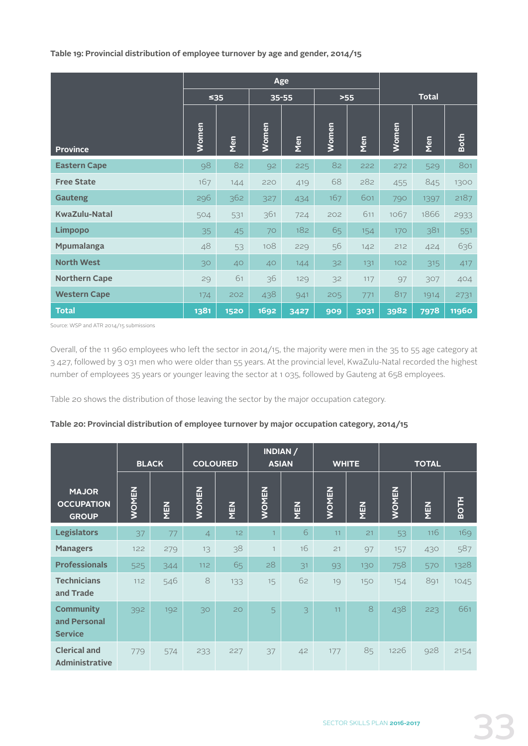**Table 19: Provincial distribution of employee turnover by age and gender, 2014/15**

|                      |              |             |                 | Age  |       |      |       |              |              |
|----------------------|--------------|-------------|-----------------|------|-------|------|-------|--------------|--------------|
|                      | ≤35          |             | $35 - 55$       |      | $>55$ |      |       | <b>Total</b> |              |
| <b>Province</b>      | <b>Women</b> | Men         | Women           | Men  | Women | Men  | Women | Men          | <b>Both</b>  |
| <b>Eastern Cape</b>  | 98           | 82          | 92              | 225  | 82    | 222  | 272   | 529          | 801          |
| <b>Free State</b>    | 167          | 144         | 220             | 419  | 68    | 282  | 455   | 845          | 1300         |
| <b>Gauteng</b>       | 296          | 362         | 327             | 434  | 167   | 601  | 790   | 1397         | 2187         |
| <b>KwaZulu-Natal</b> | 504          | 531         | 361             | 724  | 202   | 611  | 1067  | 1866         | 2933         |
| <b>Limpopo</b>       | 35           | 45          | 70              | 182  | 65    | 154  | 170   | 381          | 551          |
| <b>Mpumalanga</b>    | 48           | 53          | 108             | 229  | 56    | 142  | 212   | 424          | 636          |
| <b>North West</b>    | 30           | 40          | 40 <sup>°</sup> | 144  | 32    | 131  | 102   | 315          | 417          |
| <b>Northern Cape</b> | 29           | 61          | 36              | 129  | 32    | 117  | 97    | 307          | 404          |
| <b>Western Cape</b>  | 174          | 202         | 438             | 941  | 205   | 771  | 817   | 1914         | 2731         |
| <b>Total</b>         | 1381         | <b>1520</b> | 1692            | 3427 | 909   | 3031 | 3982  | 7978         | <b>11960</b> |

Source: WSP and ATR 2014/15 submissions

Overall, of the 11 960 employees who left the sector in 2014/15, the majority were men in the 35 to 55 age category at 3 427, followed by 3 031 men who were older than 55 years. At the provincial level, KwaZulu-Natal recorded the highest number of employees 35 years or younger leaving the sector at 1 035, followed by Gauteng at 658 employees.

Table 20 shows the distribution of those leaving the sector by the major occupation category.

## **Table 20: Provincial distribution of employee turnover by major occupation category, 2014/15**

|                                                    |              | <b>BLACK</b> |                | <b>COLOURED</b> |                | INDIAN /<br><b>ASIAN</b> |              | <b>WHITE</b> |              | <b>TOTAL</b> |             |
|----------------------------------------------------|--------------|--------------|----------------|-----------------|----------------|--------------------------|--------------|--------------|--------------|--------------|-------------|
| <b>MAJOR</b><br><b>OCCUPATION</b><br><b>GROUP</b>  | <b>WOMEN</b> | MEN          | <b>WOMEN</b>   | MEN             | <b>WOMEN</b>   | MEN                      | <b>WOMEN</b> | MEN          | <b>WOMEN</b> | MEN          | <b>BOTH</b> |
| <b>Legislators</b>                                 | 37           | 77           | $\overline{4}$ | 12              | $\overline{1}$ | 6                        | 11           | 21           | 53           | 116          | 169         |
| <b>Managers</b>                                    | 122          | 279          | 13             | 38              | $\mathbf{1}$   | 16                       | 21           | 97           | 157          | 430          | 587         |
| <b>Professionals</b>                               | 525          | 344          | 112            | 65              | 28             | 31                       | 93           | 130          | 758          | 570          | 1328        |
| <b>Technicians</b><br>and Trade                    | 112          | 546          | $\,8\,$        | 133             | 15             | 62                       | 19           | 150          | 154          | 891          | 1045        |
| <b>Community</b><br>and Personal<br><b>Service</b> | 392          | 192          | 30             | 20              | 5              | 3                        | 11           | 8            | 438          | 223          | 661         |
| <b>Clerical and</b><br><b>Administrative</b>       | 779          | 574          | 233            | 227             | 37             | 42                       | 177          | 85           | 1226         | 928          | 2154        |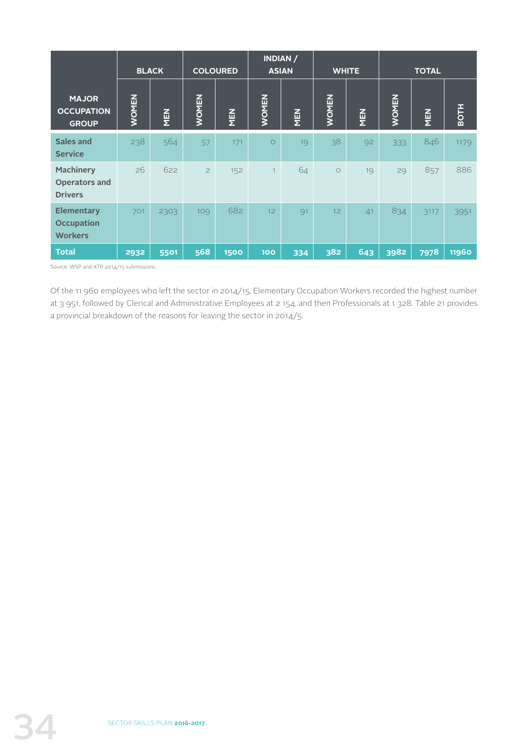|                                                            | <b>BLACK</b> |      | <b>COLOURED</b> |            |                 | INDIAN /<br><b>ASIAN</b> | <b>WHITE</b> |     |              | <b>TOTAL</b> |              |
|------------------------------------------------------------|--------------|------|-----------------|------------|-----------------|--------------------------|--------------|-----|--------------|--------------|--------------|
| <b>MAJOR</b><br><b>OCCUPATION</b><br><b>GROUP</b>          | <b>WOMEN</b> | MEN  | <b>WOMEN</b>    | <b>NEN</b> | <b>WOMEN</b>    | MEN                      | <b>WOMEN</b> | MEN | <b>WOMEN</b> | <b>NEN</b>   | <b>BOTH</b>  |
| Sales and<br><b>Service</b>                                | 238          | 564  | 57              | 171        | $\circ$         | 19                       | 38           | 92  | 333          | 846          | 1179         |
| <b>Machinery</b><br><b>Operators and</b><br><b>Drivers</b> | 26           | 622  | $\overline{c}$  | 152        | $\overline{1}$  | 64                       | $\circ$      | 19  | 29           | 857          | 886          |
| <b>Elementary</b><br><b>Occupation</b><br><b>Workers</b>   | 701          | 2303 | 109             | 682        | 12 <sup>°</sup> | 91                       | 12           | 41  | 834          | 3117         | 3951         |
| <b>Total</b>                                               | 2932         | 5501 | 568             | 1500       | <b>100</b>      | 334                      | 382          | 643 | 3982         | 7978         | <b>11960</b> |

Source: WSP and ATR 2014/15 submissions

Of the 11 960 employees who left the sector in 2014/15, Elementary Occupation Workers recorded the highest number at 3 951, followed by Clerical and Administrative Employees at 2 154, and then Professionals at 1 328. Table 21 provides a provincial breakdown of the reasons for leaving the sector in 2014/5.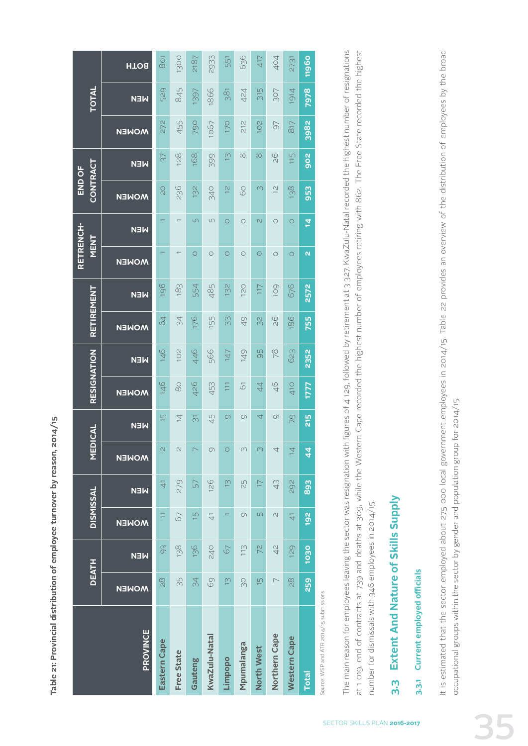Table 21: Provincial distribution of employee turnover by reason, 2014/15 **Table 21: Provincial distribution of employee turnover by reason, 2014/15**

|                                         | <b>DEATH</b>             |                | <b>DISMISSAL</b> |                | <b>MEDICAL</b>           |                    | RESIGNATION     |            | RETIREMENT    |            | <b>RETRENCH-</b><br>NENT |                          | <b>CONTRACT</b><br>END OF |                |                       | TOTAL      |                        |
|-----------------------------------------|--------------------------|----------------|------------------|----------------|--------------------------|--------------------|-----------------|------------|---------------|------------|--------------------------|--------------------------|---------------------------|----------------|-----------------------|------------|------------------------|
| PROVINCE                                | <b>MOMEN</b>             | <b>NEN</b>     | <b>MOMEN</b>     | <b>NEN</b>     | <b>MOMEN</b>             | <b>NEN</b>         | <b>MOMEN</b>    | <b>NEN</b> | <b>MOMEN</b>  | <b>NEN</b> | <b>MOMEN</b>             | <b>NEN</b>               | <b>MOMEN</b>              | <b>NEN</b>     | <b>MOMEN</b>          | <b>NEW</b> | <b>HTO<sub>8</sub></b> |
| Eastern Cape                            | $\frac{8}{2}$            | 93             | Ξ                | $\overline{4}$ | $\overline{C}$           | $\overline{5}$     | 146             | 146        | $\mathcal{Q}$ | 196        |                          |                          | $\overline{0}$            | 57             | 272                   | 529        | <b>BO1</b>             |
| <b>Free State</b>                       | 35                       | 138            | 67               | 279            | $\overline{\mathcal{C}}$ | $\overline{4}$     | $\frac{0}{80}$  | 102        | 34            | 183        |                          |                          | 236                       | 128            | 455                   | 845        | 1300                   |
| Gauteng                                 | 34                       | 136            | $\overline{5}$   | 57             |                          | $\overline{\odot}$ | 426             | 446        | 176           | 554        | $\circ$                  | $\Box$                   | 132                       | 168            | 790                   | 1397       | 2187                   |
| KwaZulu-Natal                           | 69                       | <b>240</b>     | $\overline{4}$   | 126            | $\circ$                  | 45                 | 453             | 566        | 155           | 485        | $\circ$                  | $\sqrt{ }$               | <b>340</b>                | 399            | 1067                  | 1866       | 2933                   |
| Limpopo                                 | $\tilde{\Xi}$            | 67             |                  | $\tilde{\Xi}$  | $\circ$                  | $\circ$            | $\overline{11}$ | 147        | 33            | 132        | $\circ$                  | $\circ$                  | $\frac{1}{2}$             | $\overline{C}$ | 170                   | 381        | 551                    |
| Mpumalanga                              | SO                       | $\frac{13}{1}$ | $\circ$          | 52             | $\infty$                 | $\circ$            | $\overline{6}$  | 149        | 49            | 120        | $\circ$                  | $\circ$                  | 60                        | $\infty$       | 212                   | 424        | 636                    |
| North West                              | $\overline{5}$           | 72             | $\sqrt{2}$       | $\Box$         | $\overline{C}$           | 4                  | 44              | 95         | 32            | 117        | $\circ$                  | $\overline{\mathcal{N}}$ | $\infty$                  | $\infty$       | <b>201</b>            | 315        | 417                    |
| Northern Cape                           | $\overline{\phantom{0}}$ | $\frac{2}{4}$  | $\cup$           | 43             | 4                        | $\circ$            | 46              | 78         | $\frac{8}{2}$ | 109        | $\circ$                  | $\circ$                  | $\frac{1}{2}$             | 80             | 97                    | 307        | 404                    |
| <b>Western Cape</b>                     | $\frac{8}{2}$            | 129            | $\frac{1}{4}$    | 292            | $\overline{4}$           | 20                 | 410             | 623        | 186           | 676        | $\circ$                  | $\circ$                  | 38                        | 115            | <b>S<sub>17</sub></b> | 1914       | 2731                   |
| <b>Total</b>                            | 259                      | 1030           | 192              | 893            | $\overline{4}$           | 215                | <b>1777</b>     | 2352       | 755           | 2572       | $\mathbf{N}$             | $\overline{4}$           | 953                       | 902            | 3982                  | 7978       | 11960                  |
| Source: WSP and ATR 2014/15 submissions |                          |                |                  |                |                          |                    |                 |            |               |            |                          |                          |                           |                |                       |            |                        |

The main reason for employees leaving the sector was resignation with figures of 4 129, followed by retirement at 3 327. KwaZulu-Natal recorded the highest number of resignations The main reason for employees leaving the sector was resignation with figures of 4 129, followed by retirement at 3 327. KwaZulu-Natal recorded the highest number of resignations at 1 019, end of contracts at 739 and deaths at 309, while the Western Cape recorded the highest number of employees retiring with 862. The Free State recorded the highest at 1 019, end of contracts at 739 and deaths at 309, while the Western Cape recorded the highest number of employees retiring with 862. The Free State recorded the highest number for dismissals with 346 employees in 2014/15. number for dismissals with 346 employees in 2014/15.

## Extent And Nature of Skills Supply **3.3 Extent And Nature of Skills Supply** ო<br>ო

## 3.3.1 Current employed officials **3.3.1 Current employed officials**

It is estimated that the sector employed about 275 000 local government employees in 2014/15. Table 22 provides an overview of the distribution of employees by the broad It is estimated that the sector employed about 275 000 local government employees in 2014/15. Table 22 provides an overview of the distribution of employees by the broad occupational groups within the sector by gender and population group for 2014/15. occupational groups within the sector by gender and population group for 2014/15.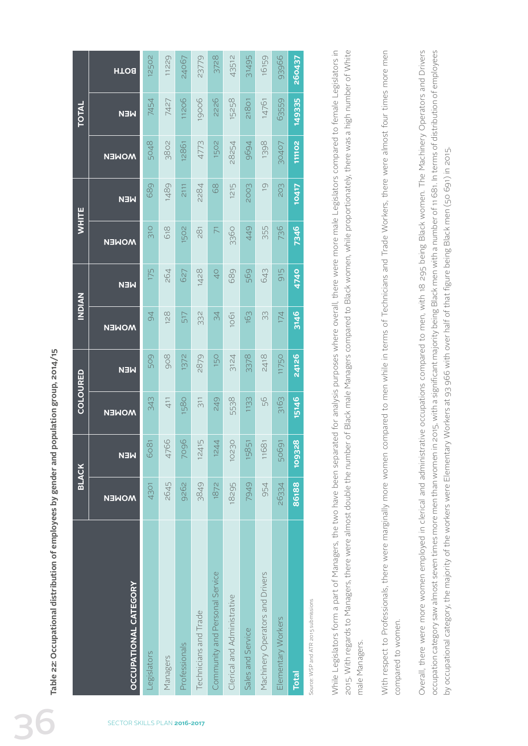| <b>HTO<sub>8</sub></b><br>11206<br>149335<br>19006<br>2226<br>7454<br>15258<br>7427<br>63559<br>21801<br>14761<br><b>NEN</b><br>5048<br>3802<br>1502<br>111102<br>12861<br>1398<br>4773<br>28254<br>9694<br>30407<br><b>MOMEN</b><br>689<br>1489<br>1215<br>203<br>2111<br>2284<br>$68$<br>2003<br>$\overline{0}$<br><b>10417</b><br><b>NEN</b><br>310<br>618<br>7346<br>1502<br>736<br>$281$<br>3360<br>449<br>355<br>$\overline{\wedge}$<br><b>MOMEN</b><br>175<br>264<br>689<br>915<br>627<br>1428<br>$\frac{1}{2}$<br>569<br>4740<br>643<br><b>NEN</b><br>3146<br>128<br>$\overline{6}$<br>332<br>517<br>34<br>163<br>33<br>174<br>1061<br><b>MOMEN</b><br>24126<br>509<br>908<br>1372<br>2879<br>150<br>3378<br>3124<br>2418<br><b>11750</b><br><b>NEN</b><br>15146<br>249<br>56<br>343<br>411<br>1580<br>5538<br>3163<br>$\overline{3}11$<br>1133<br><b>MOMEN</b><br>4766<br>7096<br>109328<br>12415<br>$\overline{4}$<br>10230<br>6081<br>$\overline{5}$<br>11681<br>50691<br>124<br>158<br><b>NEN</b><br>2645<br>9262<br>4301<br>3849<br>1872<br>18295<br>954<br>7949<br>86188<br>26334<br><b>MOMEN</b><br>Community and Personal Service<br>Machinery Operators and Drivers<br><b>OCCUPATIONAL CATEGORY</b><br>Clerical and Administrative<br>Technicians and Trade<br>Elementary Workers<br>Sales and Service<br>Professionals<br>Legislators<br>Managers<br><b>Total</b><br>SECTOR SKILLS PLAN 2016-2017 |  | <b>BLACK</b> | COLOURED | <b>NAIONI</b> | <b>WHITE</b> |  | <b>TOTAL</b> |        |
|---------------------------------------------------------------------------------------------------------------------------------------------------------------------------------------------------------------------------------------------------------------------------------------------------------------------------------------------------------------------------------------------------------------------------------------------------------------------------------------------------------------------------------------------------------------------------------------------------------------------------------------------------------------------------------------------------------------------------------------------------------------------------------------------------------------------------------------------------------------------------------------------------------------------------------------------------------------------------------------------------------------------------------------------------------------------------------------------------------------------------------------------------------------------------------------------------------------------------------------------------------------------------------------------------------------------------------------------------------------------------------------------------------------------|--|--------------|----------|---------------|--------------|--|--------------|--------|
|                                                                                                                                                                                                                                                                                                                                                                                                                                                                                                                                                                                                                                                                                                                                                                                                                                                                                                                                                                                                                                                                                                                                                                                                                                                                                                                                                                                                                     |  |              |          |               |              |  |              |        |
|                                                                                                                                                                                                                                                                                                                                                                                                                                                                                                                                                                                                                                                                                                                                                                                                                                                                                                                                                                                                                                                                                                                                                                                                                                                                                                                                                                                                                     |  |              |          |               |              |  |              | 12502  |
|                                                                                                                                                                                                                                                                                                                                                                                                                                                                                                                                                                                                                                                                                                                                                                                                                                                                                                                                                                                                                                                                                                                                                                                                                                                                                                                                                                                                                     |  |              |          |               |              |  |              | 11229  |
|                                                                                                                                                                                                                                                                                                                                                                                                                                                                                                                                                                                                                                                                                                                                                                                                                                                                                                                                                                                                                                                                                                                                                                                                                                                                                                                                                                                                                     |  |              |          |               |              |  |              | 24067  |
|                                                                                                                                                                                                                                                                                                                                                                                                                                                                                                                                                                                                                                                                                                                                                                                                                                                                                                                                                                                                                                                                                                                                                                                                                                                                                                                                                                                                                     |  |              |          |               |              |  |              | 23779  |
|                                                                                                                                                                                                                                                                                                                                                                                                                                                                                                                                                                                                                                                                                                                                                                                                                                                                                                                                                                                                                                                                                                                                                                                                                                                                                                                                                                                                                     |  |              |          |               |              |  |              | 3728   |
|                                                                                                                                                                                                                                                                                                                                                                                                                                                                                                                                                                                                                                                                                                                                                                                                                                                                                                                                                                                                                                                                                                                                                                                                                                                                                                                                                                                                                     |  |              |          |               |              |  |              | 43512  |
|                                                                                                                                                                                                                                                                                                                                                                                                                                                                                                                                                                                                                                                                                                                                                                                                                                                                                                                                                                                                                                                                                                                                                                                                                                                                                                                                                                                                                     |  |              |          |               |              |  |              | 31495  |
|                                                                                                                                                                                                                                                                                                                                                                                                                                                                                                                                                                                                                                                                                                                                                                                                                                                                                                                                                                                                                                                                                                                                                                                                                                                                                                                                                                                                                     |  |              |          |               |              |  |              | 16159  |
|                                                                                                                                                                                                                                                                                                                                                                                                                                                                                                                                                                                                                                                                                                                                                                                                                                                                                                                                                                                                                                                                                                                                                                                                                                                                                                                                                                                                                     |  |              |          |               |              |  |              | 93966  |
|                                                                                                                                                                                                                                                                                                                                                                                                                                                                                                                                                                                                                                                                                                                                                                                                                                                                                                                                                                                                                                                                                                                                                                                                                                                                                                                                                                                                                     |  |              |          |               |              |  |              | 260437 |

Source: WSP and ATR 2015 submissions  $\geq$ 

While Legislators form a part of Managers, the two have been separated for analysis purposes where overall, there were more male Legislators compared to female Legislators in 2015. With regards to Managers, there were almost double the number of Black male Managers compared to Black women, while proportionately, there was a high number of White While Legislators form a part of Managers, the two have been separated for analysis purposes where overall, there were more male Legislators compared to female Legislators in 2015. With regards to Managers, there were almost double the number of Black male Managers compared to Black women, while proportionately, there was a high number of White male Managers. male Managers. With respect to Professionals, there were marginally more women compared to men while in terms of Technicians and Trade Workers, there were almost four times more men With respect to Professionals, there were marginally more women compared to men while in terms of Technicians and Trade Workers, there were almost four times more men compared to women. compared to women. Overall, there were more women employed in clerical and administrative occupations compared to men, with 18 295 being Black women. The Machinery Operators and Drivers Overall, there were more women employed in clerical and administrative occupations compared to men, with 18 295 being Black women. The Machinery Operators and Drivers occupation category saw almost seven times more men than women in 2015, with a significant majority being Black men with a number of 11 681. In terms of distribution of employees occupation category saw almost seven times more men than women in 2015, with a significant majority being Black men with a number of 11 681. In terms of distribution of employees by occupational category, the majority of the workers were Elementary Workers at 93 966 with over half of that figure being Black men (50 691) in 2015. by occupational category, the majority of the workers were Elementary Workers at 93 966 with over half of that figure being Black men (50 691) in 2015.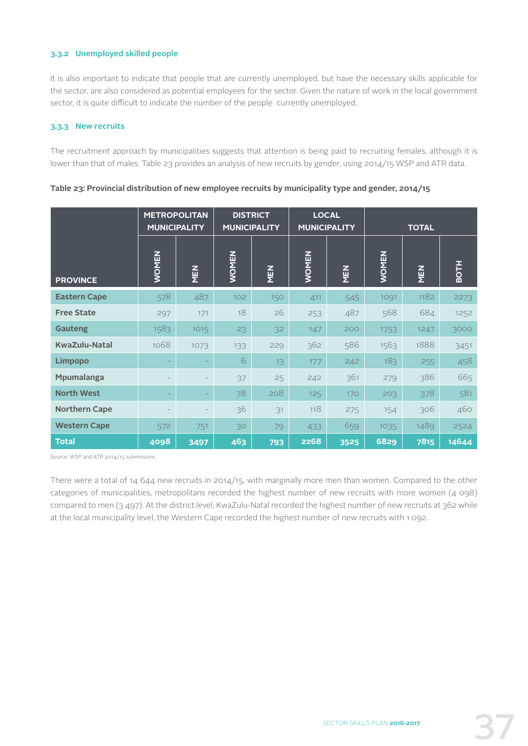## **3.3.2 Unemployed skilled people**

It is also important to indicate that people that are currently unemployed, but have the necessary skills applicable for the sector, are also considered as potential employees for the sector. Given the nature of work in the local government sector, it is quite difficult to indicate the number of the people currently unemployed.

## **3.3.3 New recruits**

The recruitment approach by municipalities suggests that attention is being paid to recruiting females, although it is lower than that of males. Table 23 provides an analysis of new recruits by gender, using 2014/15 WSP and ATR data.

|                      | <b>MUNICIPALITY</b> | <b>METROPOLITAN</b> | <b>DISTRICT</b><br><b>MUNICIPALITY</b> |            | <b>LOCAL</b> | <b>MUNICIPALITY</b> |              | <b>TOTAL</b> |             |
|----------------------|---------------------|---------------------|----------------------------------------|------------|--------------|---------------------|--------------|--------------|-------------|
| <b>PROVINCE</b>      | <b>WOMEN</b>        | NEN                 | <b>WOMEN</b>                           | <b>NEN</b> | <b>WOMEN</b> | <b>NEN</b>          | <b>WOMEN</b> | <b>NEN</b>   | <b>BOTH</b> |
| <b>Eastern Cape</b>  | 578                 | 487                 | 102                                    | 150        | 411          | 545                 | 1091         | 1182         | 2273        |
| <b>Free State</b>    | 297                 | 171                 | 18                                     | 26         | 253          | 487                 | 568          | 684          | 1252        |
| <b>Gauteng</b>       | 1583                | 1015                | 23                                     | 32         | 147          | 200                 | 1753         | 1247         | 3000        |
| <b>KwaZulu-Natal</b> | 1068                | 1073                | 133                                    | 229        | 362          | 586                 | 1563         | 1888         | 3451        |
| <b>Limpopo</b>       |                     |                     | 6                                      | 13         | 177          | 242                 | 183          | 255          | 458         |
| <b>Mpumalanga</b>    |                     |                     | 37                                     | 25         | 242          | 361                 | 279          | 386          | 665         |
| <b>North West</b>    |                     |                     | 78                                     | 208        | 125          | 170                 | 203          | 378          | 581         |
| <b>Northern Cape</b> |                     |                     | 36                                     | 31         | 118          | 275                 | 154          | 306          | 460         |
| <b>Western Cape</b>  | 572                 | 751                 | 30                                     | 79         | 433          | 659                 | 1035         | 1489         | 2524        |
| <b>Total</b>         | 4098                | 3497                | 463                                    | 793        | 2268         | 3525                | 6829         | 7815         | 14644       |

**Table 23: Provincial distribution of new employee recruits by municipality type and gender, 2014/15**

Source: WSP and ATR 2014/15 submissions

There were a total of 14 644 new recruits in 2014/15, with marginally more men than women. Compared to the other categories of municipalities, metropolitans recorded the highest number of new recruits with more women (4 098) compared to men (3 497). At the district level, KwaZulu-Natal recorded the highest number of new recruits at 362 while at the local municipality level, the Western Cape recorded the highest number of new recruits with 1 092.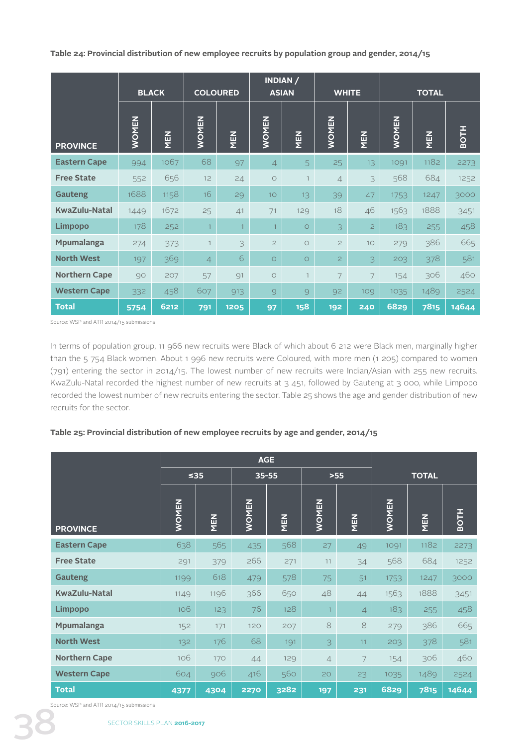**Table 24: Provincial distribution of new employee recruits by population group and gender, 2014/15**

|                      |              | <b>BLACK</b> | <b>COLOURED</b> |                | <b>ASIAN</b>    | INDIAN /     |                | <b>WHITE</b>            |              | <b>TOTAL</b> |             |
|----------------------|--------------|--------------|-----------------|----------------|-----------------|--------------|----------------|-------------------------|--------------|--------------|-------------|
| <b>PROVINCE</b>      | <b>WOMEN</b> | <b>NEN</b>   | <b>WOMEN</b>    | MEN            | <b>WOMEN</b>    | MEN          | <b>WOMEN</b>   | <b>NEN</b>              | <b>WOMEN</b> | <b>NEN</b>   | <b>BOTH</b> |
| <b>Eastern Cape</b>  | 994          | 1067         | 68              | 97             | $\overline{4}$  | 5            | 25             | 13                      | 1091         | 1182         | 2273        |
| <b>Free State</b>    | 552          | 656          | 12              | 24             | $\circ$         | $\mathbf{1}$ | $\overline{4}$ | 3                       | 568          | 684          | 1252        |
| <b>Gauteng</b>       | 1688         | 1158         | 16              | 29             | 10 <sup>°</sup> | 13           | 39             | 47                      | 1753         | 1247         | 3000        |
| <b>KwaZulu-Natal</b> | 1449         | 1672         | 25              | 41             | 71              | 129          | 18             | 46                      | 1563         | 1888         | 3451        |
| <b>Limpopo</b>       | 178          | 252          | $\overline{1}$  | $\overline{1}$ | $\mathbf{1}$    | $\circ$      | 3              | $\overline{2}$          | 183          | 255          | 458         |
| Mpumalanga           | 274          | 373          | $\overline{1}$  | 3              | $\overline{c}$  | $\circ$      | $\mathbf{Z}$   | 10                      | 279          | 386          | 665         |
| <b>North West</b>    | 197          | 369          | $\overline{4}$  | 6              | $\circ$         | $\circ$      | $\overline{c}$ | $\overline{\mathbf{3}}$ | 203          | 378          | 581         |
| <b>Northern Cape</b> | 90           | 207          | 57              | 91             | $\circ$         |              | 7              | $\overline{7}$          | 154          | 306          | 460         |
| <b>Western Cape</b>  | 332          | 458          | 607             | 913            | 9               | 9            | 92             | 109                     | 1035         | 1489         | 2524        |
| <b>Total</b>         | 5754         | 6212         | 791             | 1205           | 97              | 158          | 192            | 240                     | 6829         | 7815         | 14644       |

Source: WSP and ATR 2014/15 submissions

In terms of population group, 11 966 new recruits were Black of which about 6 212 were Black men, marginally higher than the 5 754 Black women. About 1 996 new recruits were Coloured, with more men (1 205) compared to women (791) entering the sector in 2014/15. The lowest number of new recruits were Indian/Asian with 255 new recruits. KwaZulu-Natal recorded the highest number of new recruits at 3 451, followed by Gauteng at 3 000, while Limpopo recorded the lowest number of new recruits entering the sector. Table 25 shows the age and gender distribution of new recruits for the sector.

## **Table 25: Provincial distribution of new employee recruits by age and gender, 2014/15**

|                      |              |            | <b>AGE</b>   |            |                |                |              |              |             |
|----------------------|--------------|------------|--------------|------------|----------------|----------------|--------------|--------------|-------------|
|                      | ≤35          |            | $35 - 55$    |            |                | $>55$          |              | <b>TOTAL</b> |             |
| <b>PROVINCE</b>      | <b>WOMEN</b> | <b>NEN</b> | <b>WOMEN</b> | <b>NEN</b> | <b>WOMEN</b>   | MEN            | <b>MONEN</b> | <b>NEN</b>   | <b>BOTH</b> |
| <b>Eastern Cape</b>  | 638          | 565        | 435          | 568        | 27             | 49             | 1091         | 1182         | 2273        |
| <b>Free State</b>    | 291          | 379        | 266          | 271        | 11             | 34             | 568          | 684          | 1252        |
| <b>Gauteng</b>       | 1199         | 618        | 479          | 578        | 75             | 51             | 1753         | 1247         | 3000        |
| <b>KwaZulu-Natal</b> | 1149         | 1196       | 366          | 650        | 48             | 44             | 1563         | 1888         | 3451        |
| <b>Limpopo</b>       | 106          | 123        | 76           | 128        | $\mathbf{1}$   | $\overline{4}$ | 183          | 255          | 458         |
| <b>Mpumalanga</b>    | 152          | 171        | 120          | 207        | 8              | 8              | 279          | 386          | 665         |
| <b>North West</b>    | 132          | 176        | 68           | 191        | 3              | 11             | 203          | 378          | 581         |
| <b>Northern Cape</b> | 106          | 170        | 44           | 129        | $\overline{4}$ | 7              | 154          | 306          | 460         |
| <b>Western Cape</b>  | 604          | 906        | 416          | 560        | 20             | 23             | 1035         | 1489         | 2524        |
| <b>Total</b>         | 4377         | 4304       | 2270         | 3282       | 197            | 231            | 6829         | 7815         | 14644       |

Source: WSP and ATR 2014/15 submissions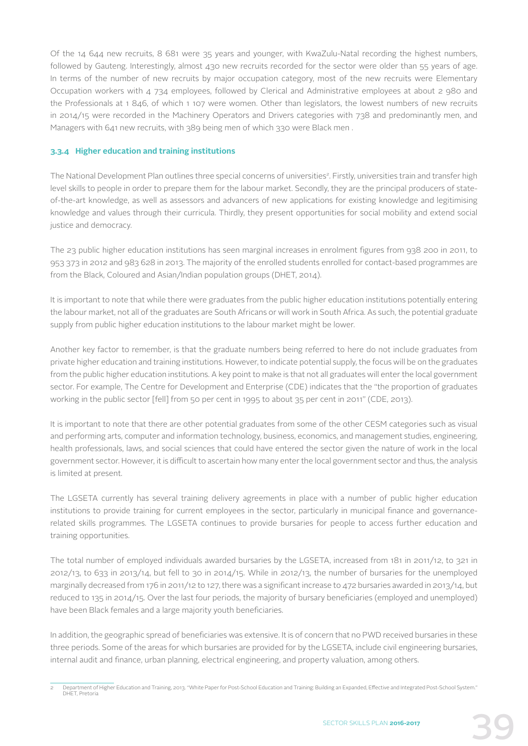Of the 14 644 new recruits, 8 681 were 35 years and younger, with KwaZulu-Natal recording the highest numbers, followed by Gauteng. Interestingly, almost 430 new recruits recorded for the sector were older than 55 years of age. In terms of the number of new recruits by major occupation category, most of the new recruits were Elementary Occupation workers with 4 734 employees, followed by Clerical and Administrative employees at about 2 980 and the Professionals at 1 846, of which 1 107 were women. Other than legislators, the lowest numbers of new recruits in 2014/15 were recorded in the Machinery Operators and Drivers categories with 738 and predominantly men, and Managers with 641 new recruits, with 389 being men of which 330 were Black men .

## **3.3.4 Higher education and training institutions**

The National Development Plan outlines three special concerns of universities<sup>2</sup>. Firstly, universities train and transfer high level skills to people in order to prepare them for the labour market. Secondly, they are the principal producers of stateof-the-art knowledge, as well as assessors and advancers of new applications for existing knowledge and legitimising knowledge and values through their curricula. Thirdly, they present opportunities for social mobility and extend social justice and democracy.

The 23 public higher education institutions has seen marginal increases in enrolment figures from 938 200 in 2011, to 953 373 in 2012 and 983 628 in 2013. The majority of the enrolled students enrolled for contact-based programmes are from the Black, Coloured and Asian/Indian population groups (DHET, 2014).

It is important to note that while there were graduates from the public higher education institutions potentially entering the labour market, not all of the graduates are South Africans or will work in South Africa. As such, the potential graduate supply from public higher education institutions to the labour market might be lower.

Another key factor to remember, is that the graduate numbers being referred to here do not include graduates from private higher education and training institutions. However, to indicate potential supply, the focus will be on the graduates from the public higher education institutions. A key point to make is that not all graduates will enter the local government sector. For example, The Centre for Development and Enterprise (CDE) indicates that the "the proportion of graduates working in the public sector [fell] from 50 per cent in 1995 to about 35 per cent in 2011" (CDE, 2013).

It is important to note that there are other potential graduates from some of the other CESM categories such as visual and performing arts, computer and information technology, business, economics, and management studies, engineering, health professionals, laws, and social sciences that could have entered the sector given the nature of work in the local government sector. However, it is difficult to ascertain how many enter the local government sector and thus, the analysis is limited at present.

The LGSETA currently has several training delivery agreements in place with a number of public higher education institutions to provide training for current employees in the sector, particularly in municipal finance and governancerelated skills programmes. The LGSETA continues to provide bursaries for people to access further education and training opportunities.

The total number of employed individuals awarded bursaries by the LGSETA, increased from 181 in 2011/12, to 321 in 2012/13, to 633 in 2013/14, but fell to 30 in 2014/15. While in 2012/13, the number of bursaries for the unemployed marginally decreased from 176 in 2011/12 to 127, there was a significant increase to 472 bursaries awarded in 2013/14, but reduced to 135 in 2014/15. Over the last four periods, the majority of bursary beneficiaries (employed and unemployed) have been Black females and a large majority youth beneficiaries.

In addition, the geographic spread of beneficiaries was extensive. It is of concern that no PWD received bursaries in these three periods. Some of the areas for which bursaries are provided for by the LGSETA, include civil engineering bursaries, internal audit and finance, urban planning, electrical engineering, and property valuation, among others.

<sup>2</sup> Department of Higher Education and Training, 2013. "White Paper for Post-School Education and Training: Building an Expanded, Effective and Integrated Post-School System." DHET, Pretoria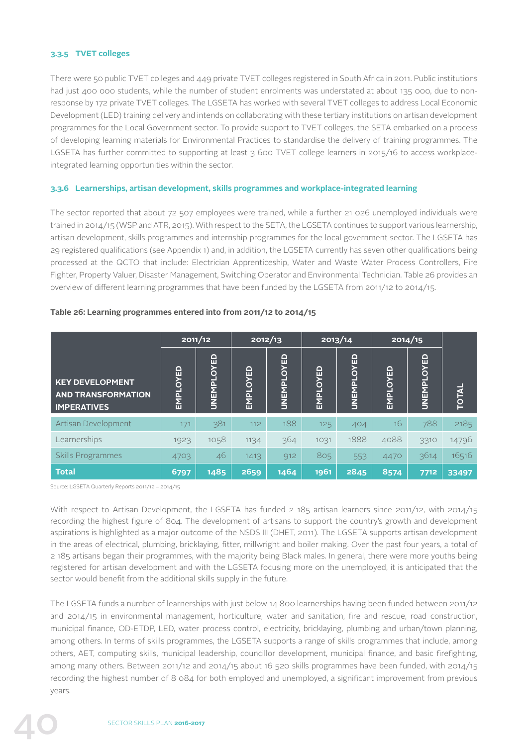## **3.3.5 TVET colleges**

There were 50 public TVET colleges and 449 private TVET colleges registered in South Africa in 2011. Public institutions had just 400 000 students, while the number of student enrolments was understated at about 135 000, due to nonresponse by 172 private TVET colleges. The LGSETA has worked with several TVET colleges to address Local Economic Development (LED) training delivery and intends on collaborating with these tertiary institutions on artisan development programmes for the Local Government sector. To provide support to TVET colleges, the SETA embarked on a process of developing learning materials for Environmental Practices to standardise the delivery of training programmes. The LGSETA has further committed to supporting at least 3 600 TVET college learners in 2015/16 to access workplaceintegrated learning opportunities within the sector.

## **3.3.6 Learnerships, artisan development, skills programmes and workplace-integrated learning**

The sector reported that about 72 507 employees were trained, while a further 21 026 unemployed individuals were trained in 2014/15 (WSP and ATR, 2015). With respect to the SETA, the LGSETA continues to support various learnership, artisan development, skills programmes and internship programmes for the local government sector. The LGSETA has 29 registered qualifications (see Appendix 1) and, in addition, the LGSETA currently has seven other qualifications being processed at the QCTO that include: Electrician Apprenticeship, Water and Waste Water Process Controllers, Fire Fighter, Property Valuer, Disaster Management, Switching Operator and Environmental Technician. Table 26 provides an overview of different learning programmes that have been funded by the LGSETA from 2011/12 to 2014/15.

|                                                                           | 2011/12  |            | 2012/13  |            | 2013/14  |            | 2014/15  |            |              |
|---------------------------------------------------------------------------|----------|------------|----------|------------|----------|------------|----------|------------|--------------|
| <b>KEY DEVELOPMENT</b><br><b>AND TRANSFORMATION</b><br><b>IMPERATIVES</b> | EMPLOYED | UNEMPLOYED | EMPLOYED | UNEMPLOYED | EMPLOYED | UNEMPLOYED | EMPLOYED | UNEMPLOYED | <b>TOTAL</b> |
| Artisan Development                                                       | 171      | 381        | 112      | 188        | 125      | 404        | 16       | 788        | 2185         |
| Learnerships                                                              | 1923     | 1058       | 1134     | 364        | 1031     | 1888       | 4088     | 3310       | 14796        |
| <b>Skills Programmes</b>                                                  | 4703     | 46         | 1413     | 912        | 805      | 553        | 4470     | 3614       | 16516        |
| <b>Total</b>                                                              | 6797     | 1485       | 2659     | 1464       | 1961     | 2845       | 8574     | 7712       | 33497        |

### **Table 26: Learning programmes entered into from 2011/12 to 2014/15**

Source: LGSETA Quarterly Reports 2011/12 – 2014/15

With respect to Artisan Development, the LGSETA has funded 2 185 artisan learners since 2011/12, with 2014/15 recording the highest figure of 804. The development of artisans to support the country's growth and development aspirations is highlighted as a major outcome of the NSDS III (DHET, 2011). The LGSETA supports artisan development in the areas of electrical, plumbing, bricklaying, fitter, millwright and boiler making. Over the past four years, a total of 2 185 artisans began their programmes, with the majority being Black males. In general, there were more youths being registered for artisan development and with the LGSETA focusing more on the unemployed, it is anticipated that the sector would benefit from the additional skills supply in the future.

The LGSETA funds a number of learnerships with just below 14 800 learnerships having been funded between 2011/12 and 2014/15 in environmental management, horticulture, water and sanitation, fire and rescue, road construction, municipal finance, OD-ETDP, LED, water process control, electricity, bricklaying, plumbing and urban/town planning, among others. In terms of skills programmes, the LGSETA supports a range of skills programmes that include, among others, AET, computing skills, municipal leadership, councillor development, municipal finance, and basic firefighting, among many others. Between 2011/12 and 2014/15 about 16 520 skills programmes have been funded, with 2014/15 recording the highest number of 8 084 for both employed and unemployed, a significant improvement from previous years.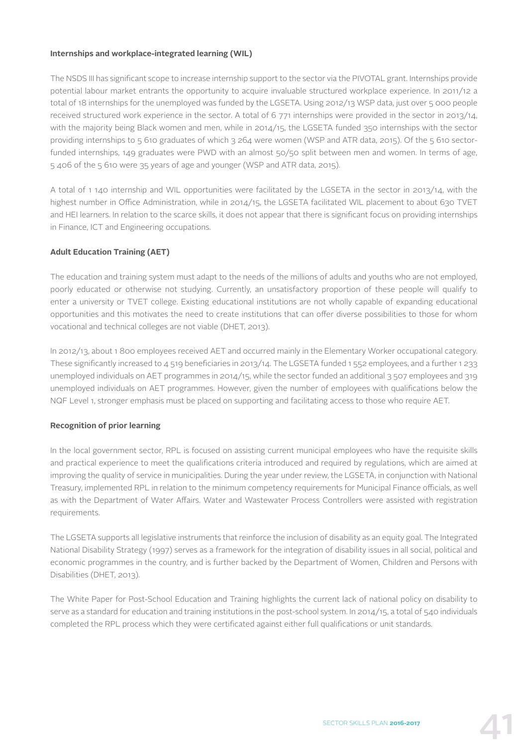## **Internships and workplace-integrated learning (WIL)**

The NSDS III has significant scope to increase internship support to the sector via the PIVOTAL grant. Internships provide potential labour market entrants the opportunity to acquire invaluable structured workplace experience. In 2011/12 a total of 18 internships for the unemployed was funded by the LGSETA. Using 2012/13 WSP data, just over 5 000 people received structured work experience in the sector. A total of 6 771 internships were provided in the sector in 2013/14, with the majority being Black women and men, while in 2014/15, the LGSETA funded 350 internships with the sector providing internships to 5 610 graduates of which 3 264 were women (WSP and ATR data, 2015). Of the 5 610 sectorfunded internships, 149 graduates were PWD with an almost 50/50 split between men and women. In terms of age, 5 406 of the 5 610 were 35 years of age and younger (WSP and ATR data, 2015).

A total of 1 140 internship and WIL opportunities were facilitated by the LGSETA in the sector in 2013/14, with the highest number in Office Administration, while in 2014/15, the LGSETA facilitated WIL placement to about 630 TVET and HEI learners. In relation to the scarce skills, it does not appear that there is significant focus on providing internships in Finance, ICT and Engineering occupations.

## **Adult Education Training (AET)**

The education and training system must adapt to the needs of the millions of adults and youths who are not employed, poorly educated or otherwise not studying. Currently, an unsatisfactory proportion of these people will qualify to enter a university or TVET college. Existing educational institutions are not wholly capable of expanding educational opportunities and this motivates the need to create institutions that can offer diverse possibilities to those for whom vocational and technical colleges are not viable (DHET, 2013).

In 2012/13, about 1 800 employees received AET and occurred mainly in the Elementary Worker occupational category. These significantly increased to 4 519 beneficiaries in 2013/14. The LGSETA funded 1 552 employees, and a further 1 233 unemployed individuals on AET programmes in 2014/15, while the sector funded an additional 3 507 employees and 319 unemployed individuals on AET programmes. However, given the number of employees with qualifications below the NQF Level 1, stronger emphasis must be placed on supporting and facilitating access to those who require AET.

## **Recognition of prior learning**

In the local government sector, RPL is focused on assisting current municipal employees who have the requisite skills and practical experience to meet the qualifications criteria introduced and required by regulations, which are aimed at improving the quality of service in municipalities. During the year under review, the LGSETA, in conjunction with National Treasury, implemented RPL in relation to the minimum competency requirements for Municipal Finance officials, as well as with the Department of Water Affairs. Water and Wastewater Process Controllers were assisted with registration requirements.

The LGSETA supports all legislative instruments that reinforce the inclusion of disability as an equity goal. The Integrated National Disability Strategy (1997) serves as a framework for the integration of disability issues in all social, political and economic programmes in the country, and is further backed by the Department of Women, Children and Persons with Disabilities (DHET, 2013).

The White Paper for Post-School Education and Training highlights the current lack of national policy on disability to serve as a standard for education and training institutions in the post-school system. In 2014/15, a total of 540 individuals completed the RPL process which they were certificated against either full qualifications or unit standards.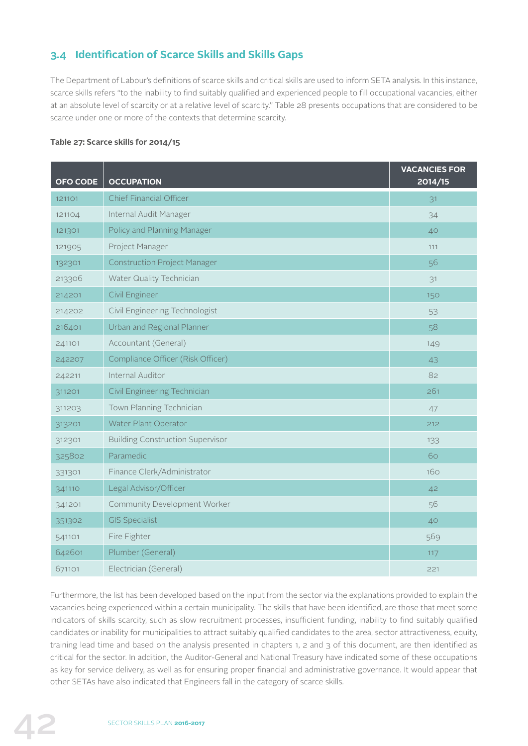## **3.4 Identification of Scarce Skills and Skills Gaps**

The Department of Labour's definitions of scarce skills and critical skills are used to inform SETA analysis. In this instance, scarce skills refers "to the inability to find suitably qualified and experienced people to fill occupational vacancies, either at an absolute level of scarcity or at a relative level of scarcity." Table 28 presents occupations that are considered to be scarce under one or more of the contexts that determine scarcity.

## **Table 27: Scarce skills for 2014/15**

| <b>OFO CODE</b> | <b>OCCUPATION</b>                       | <b>VACANCIES FOR</b><br>2014/15 |
|-----------------|-----------------------------------------|---------------------------------|
| 121101          | Chief Financial Officer                 | 31                              |
| 121104          | Internal Audit Manager                  | 34                              |
| 121301          | Policy and Planning Manager             | 40                              |
| 121905          | Project Manager                         | 111                             |
| 132301          | <b>Construction Project Manager</b>     | 56                              |
| 213306          | Water Quality Technician                | 31                              |
| 214201          | Civil Engineer                          | 150                             |
| 214202          | Civil Engineering Technologist          | 53                              |
| 216401          | Urban and Regional Planner              | 58                              |
| 241101          | Accountant (General)                    | 149                             |
| 242207          | Compliance Officer (Risk Officer)       | 43                              |
| 242211          | Internal Auditor                        | 82                              |
| 311201          | Civil Engineering Technician            | 261                             |
| 311203          | Town Planning Technician                | 47                              |
| 313201          | Water Plant Operator                    | 212                             |
| 312301          | <b>Building Construction Supervisor</b> | 133                             |
| 325802          | Paramedic                               | 60                              |
| 331301          | Finance Clerk/Administrator             | 160                             |
| 341110          | Legal Advisor/Officer                   | 42                              |
| 341201          | <b>Community Development Worker</b>     | 56                              |
| 351302          | <b>GIS Specialist</b>                   | 40                              |
| 541101          | Fire Fighter                            | 569                             |
| 642601          | Plumber (General)                       | 117                             |
| 671101          | Electrician (General)                   | 221                             |

Furthermore, the list has been developed based on the input from the sector via the explanations provided to explain the vacancies being experienced within a certain municipality. The skills that have been identified, are those that meet some indicators of skills scarcity, such as slow recruitment processes, insufficient funding, inability to find suitably qualified candidates or inability for municipalities to attract suitably qualified candidates to the area, sector attractiveness, equity, training lead time and based on the analysis presented in chapters 1, 2 and 3 of this document, are then identified as critical for the sector. In addition, the Auditor-General and National Treasury have indicated some of these occupations as key for service delivery, as well as for ensuring proper financial and administrative governance. It would appear that other SETAs have also indicated that Engineers fall in the category of scarce skills.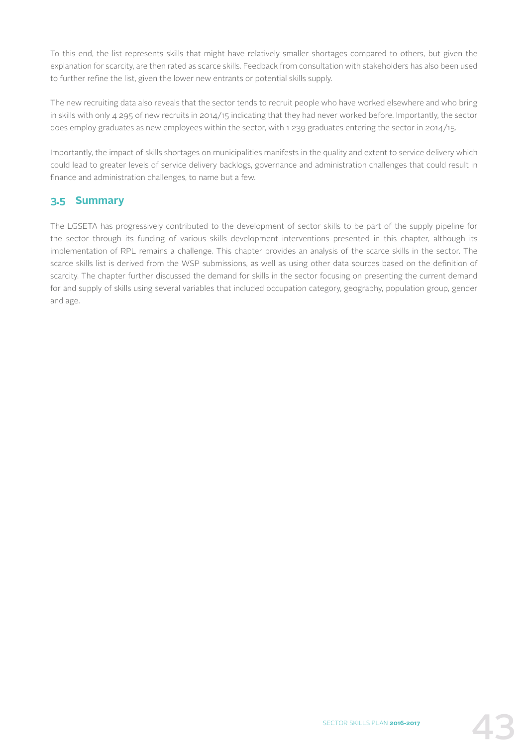To this end, the list represents skills that might have relatively smaller shortages compared to others, but given the explanation for scarcity, are then rated as scarce skills. Feedback from consultation with stakeholders has also been used to further refine the list, given the lower new entrants or potential skills supply.

The new recruiting data also reveals that the sector tends to recruit people who have worked elsewhere and who bring in skills with only 4 295 of new recruits in 2014/15 indicating that they had never worked before. Importantly, the sector does employ graduates as new employees within the sector, with 1 239 graduates entering the sector in 2014/15.

Importantly, the impact of skills shortages on municipalities manifests in the quality and extent to service delivery which could lead to greater levels of service delivery backlogs, governance and administration challenges that could result in finance and administration challenges, to name but a few.

## **3.5 Summary**

The LGSETA has progressively contributed to the development of sector skills to be part of the supply pipeline for the sector through its funding of various skills development interventions presented in this chapter, although its implementation of RPL remains a challenge. This chapter provides an analysis of the scarce skills in the sector. The scarce skills list is derived from the WSP submissions, as well as using other data sources based on the definition of scarcity. The chapter further discussed the demand for skills in the sector focusing on presenting the current demand for and supply of skills using several variables that included occupation category, geography, population group, gender and age.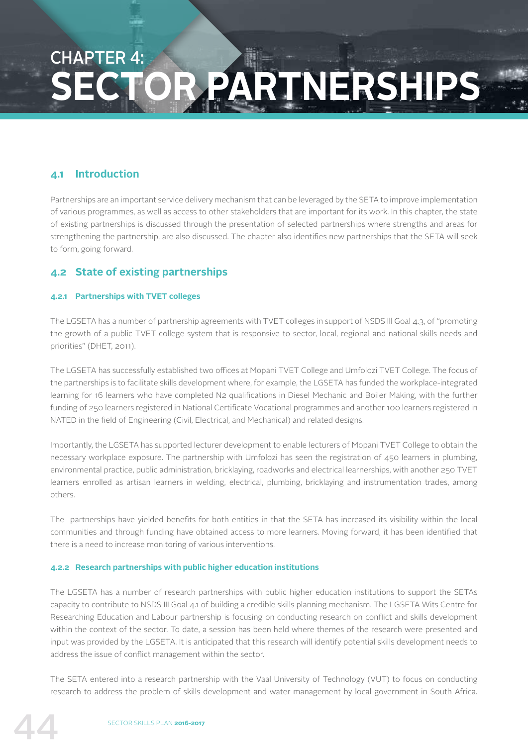## CHAPTER 4: **SECTOR PARTNERSHIPS**

## **4.1 Introduction**

Partnerships are an important service delivery mechanism that can be leveraged by the SETA to improve implementation of various programmes, as well as access to other stakeholders that are important for its work. In this chapter, the state of existing partnerships is discussed through the presentation of selected partnerships where strengths and areas for strengthening the partnership, are also discussed. The chapter also identifies new partnerships that the SETA will seek to form, going forward.

## **4.2 State of existing partnerships**

## **4.2.1 Partnerships with TVET colleges**

The LGSETA has a number of partnership agreements with TVET colleges in support of NSDS lll Goal 4.3, of "promoting the growth of a public TVET college system that is responsive to sector, local, regional and national skills needs and priorities" (DHET, 2011).

The LGSETA has successfully established two offices at Mopani TVET College and Umfolozi TVET College. The focus of the partnerships is to facilitate skills development where, for example, the LGSETA has funded the workplace-integrated learning for 16 learners who have completed N2 qualifications in Diesel Mechanic and Boiler Making, with the further funding of 250 learners registered in National Certificate Vocational programmes and another 100 learners registered in NATED in the field of Engineering (Civil, Electrical, and Mechanical) and related designs.

Importantly, the LGSETA has supported lecturer development to enable lecturers of Mopani TVET College to obtain the necessary workplace exposure. The partnership with Umfolozi has seen the registration of 450 learners in plumbing, environmental practice, public administration, bricklaying, roadworks and electrical learnerships, with another 250 TVET learners enrolled as artisan learners in welding, electrical, plumbing, bricklaying and instrumentation trades, among others.

The partnerships have yielded benefits for both entities in that the SETA has increased its visibility within the local communities and through funding have obtained access to more learners. Moving forward, it has been identified that there is a need to increase monitoring of various interventions.

## **4.2.2 Research partnerships with public higher education institutions**

The LGSETA has a number of research partnerships with public higher education institutions to support the SETAs capacity to contribute to NSDS III Goal 4.1 of building a credible skills planning mechanism. The LGSETA Wits Centre for Researching Education and Labour partnership is focusing on conducting research on conflict and skills development within the context of the sector. To date, a session has been held where themes of the research were presented and input was provided by the LGSETA. It is anticipated that this research will identify potential skills development needs to address the issue of conflict management within the sector.

The SETA entered into a research partnership with the Vaal University of Technology (VUT) to focus on conducting research to address the problem of skills development and water management by local government in South Africa.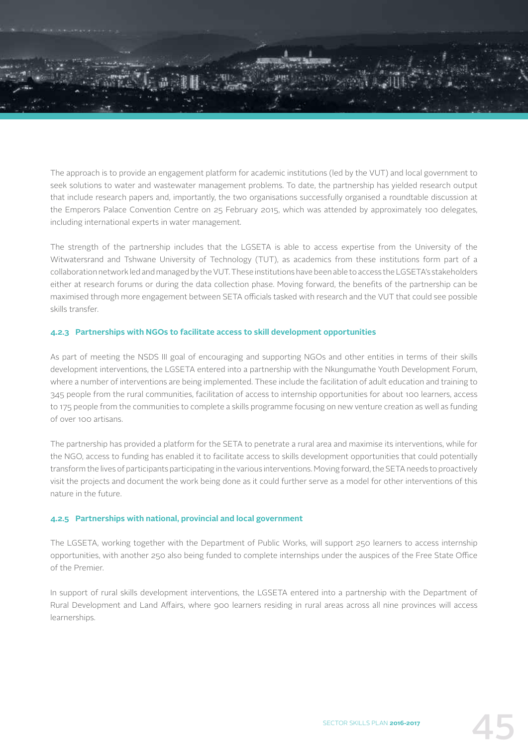

The approach is to provide an engagement platform for academic institutions (led by the VUT) and local government to seek solutions to water and wastewater management problems. To date, the partnership has yielded research output that include research papers and, importantly, the two organisations successfully organised a roundtable discussion at the Emperors Palace Convention Centre on 25 February 2015, which was attended by approximately 100 delegates, including international experts in water management.

The strength of the partnership includes that the LGSETA is able to access expertise from the University of the Witwatersrand and Tshwane University of Technology (TUT), as academics from these institutions form part of a collaboration network led and managed by the VUT. These institutions have been able to access the LGSETA's stakeholders either at research forums or during the data collection phase. Moving forward, the benefits of the partnership can be maximised through more engagement between SETA officials tasked with research and the VUT that could see possible skills transfer.

## **4.2.3 Partnerships with NGOs to facilitate access to skill development opportunities**

As part of meeting the NSDS III goal of encouraging and supporting NGOs and other entities in terms of their skills development interventions, the LGSETA entered into a partnership with the Nkungumathe Youth Development Forum, where a number of interventions are being implemented. These include the facilitation of adult education and training to 345 people from the rural communities, facilitation of access to internship opportunities for about 100 learners, access to 175 people from the communities to complete a skills programme focusing on new venture creation as well as funding of over 100 artisans.

The partnership has provided a platform for the SETA to penetrate a rural area and maximise its interventions, while for the NGO, access to funding has enabled it to facilitate access to skills development opportunities that could potentially transform the lives of participants participating in the various interventions. Moving forward, the SETA needs to proactively visit the projects and document the work being done as it could further serve as a model for other interventions of this nature in the future.

## **4.2.5 Partnerships with national, provincial and local government**

The LGSETA, working together with the Department of Public Works, will support 250 learners to access internship opportunities, with another 250 also being funded to complete internships under the auspices of the Free State Office of the Premier.

In support of rural skills development interventions, the LGSETA entered into a partnership with the Department of Rural Development and Land Affairs, where 900 learners residing in rural areas across all nine provinces will access learnerships.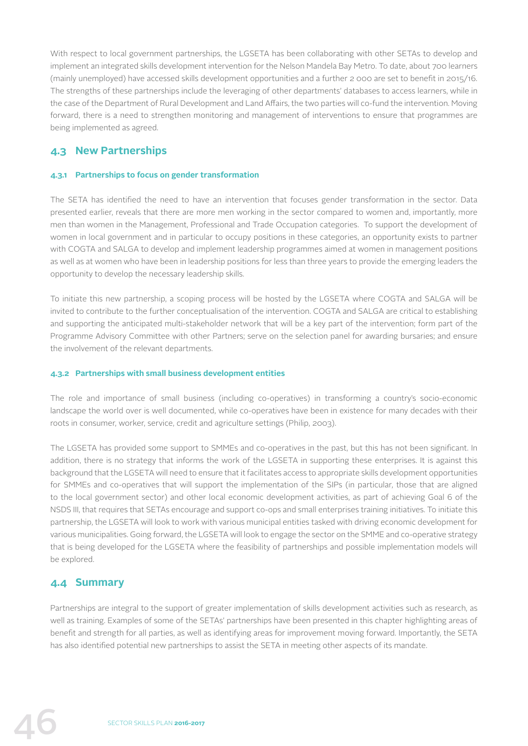With respect to local government partnerships, the LGSETA has been collaborating with other SETAs to develop and implement an integrated skills development intervention for the Nelson Mandela Bay Metro. To date, about 700 learners (mainly unemployed) have accessed skills development opportunities and a further 2 000 are set to benefit in 2015/16. The strengths of these partnerships include the leveraging of other departments' databases to access learners, while in the case of the Department of Rural Development and Land Affairs, the two parties will co-fund the intervention. Moving forward, there is a need to strengthen monitoring and management of interventions to ensure that programmes are being implemented as agreed.

## **4.3 New Partnerships**

## **4.3.1 Partnerships to focus on gender transformation**

The SETA has identified the need to have an intervention that focuses gender transformation in the sector. Data presented earlier, reveals that there are more men working in the sector compared to women and, importantly, more men than women in the Management, Professional and Trade Occupation categories. To support the development of women in local government and in particular to occupy positions in these categories, an opportunity exists to partner with COGTA and SALGA to develop and implement leadership programmes aimed at women in management positions as well as at women who have been in leadership positions for less than three years to provide the emerging leaders the opportunity to develop the necessary leadership skills.

To initiate this new partnership, a scoping process will be hosted by the LGSETA where COGTA and SALGA will be invited to contribute to the further conceptualisation of the intervention. COGTA and SALGA are critical to establishing and supporting the anticipated multi-stakeholder network that will be a key part of the intervention; form part of the Programme Advisory Committee with other Partners; serve on the selection panel for awarding bursaries; and ensure the involvement of the relevant departments.

## **4.3.2 Partnerships with small business development entities**

The role and importance of small business (including co-operatives) in transforming a country's socio-economic landscape the world over is well documented, while co-operatives have been in existence for many decades with their roots in consumer, worker, service, credit and agriculture settings (Philip, 2003).

The LGSETA has provided some support to SMMEs and co-operatives in the past, but this has not been significant. In addition, there is no strategy that informs the work of the LGSETA in supporting these enterprises. It is against this background that the LGSETA will need to ensure that it facilitates access to appropriate skills development opportunities for SMMEs and co-operatives that will support the implementation of the SIPs (in particular, those that are aligned to the local government sector) and other local economic development activities, as part of achieving Goal 6 of the NSDS III, that requires that SETAs encourage and support co-ops and small enterprises training initiatives. To initiate this partnership, the LGSETA will look to work with various municipal entities tasked with driving economic development for various municipalities. Going forward, the LGSETA will look to engage the sector on the SMME and co-operative strategy that is being developed for the LGSETA where the feasibility of partnerships and possible implementation models will be explored.

## **4.4 Summary**

Partnerships are integral to the support of greater implementation of skills development activities such as research, as well as training. Examples of some of the SETAs' partnerships have been presented in this chapter highlighting areas of benefit and strength for all parties, as well as identifying areas for improvement moving forward. Importantly, the SETA has also identified potential new partnerships to assist the SETA in meeting other aspects of its mandate.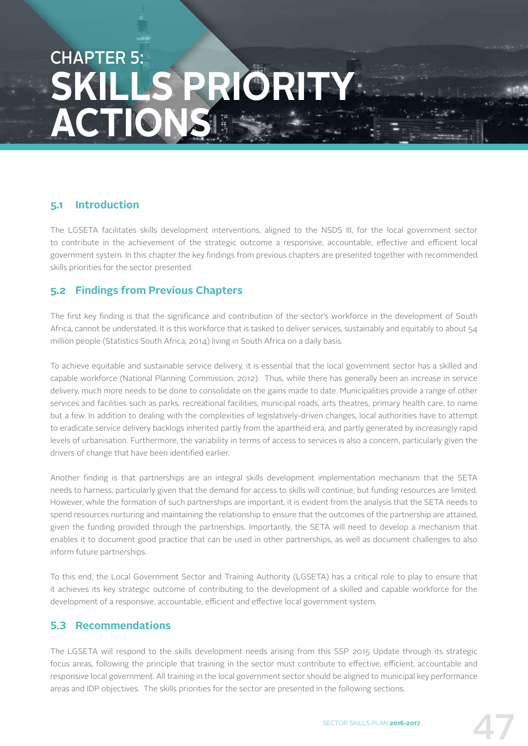## CHAPTER 5: **SKILLS PRIORIT ACTIONS**

## **5.1 Introduction**

The LGSETA facilitates skills development interventions, aligned to the NSDS III, for the local government sector to contribute in the achievement of the strategic outcome a responsive, accountable, effective and efficient local government system. In this chapter the key findings from previous chapters are presented together with recommended skills priorities for the sector presented.

## **5.2 Findings from Previous Chapters**

The first key finding is that the significance and contribution of the sector's workforce in the development of South Africa, cannot be understated. It is this workforce that is tasked to deliver services, sustainably and equitably to about 54 million people (Statistics South Africa, 2014) living in South Africa on a daily basis.

To achieve equitable and sustainable service delivery, it is essential that the local government sector has a skilled and capable workforce (National Planning Commission, 2012). Thus, while there has generally been an increase in service delivery, much more needs to be done to consolidate on the gains made to date. Municipalities provide a range of other services and facilities such as parks, recreational facilities, municipal roads, arts theatres, primary health care, to name but a few. In addition to dealing with the complexities of legislatively-driven changes, local authorities have to attempt to eradicate service delivery backlogs inherited partly from the apartheid era, and partly generated by increasingly rapid levels of urbanisation. Furthermore, the variability in terms of access to services is also a concern, particularly given the drivers of change that have been identified earlier.

Another finding is that partnerships are an integral skills development implementation mechanism that the SETA needs to harness, particularly given that the demand for access to skills will continue, but funding resources are limited. However, while the formation of such partnerships are important, it is evident from the analysis that the SETA needs to spend resources nurturing and maintaining the relationship to ensure that the outcomes of the partnership are attained, given the funding provided through the partnerships. Importantly, the SETA will need to develop a mechanism that enables it to document good practice that can be used in other partnerships, as well as document challenges to also inform future partnerships.

To this end, the Local Government Sector and Training Authority (LGSETA) has a critical role to play to ensure that it achieves its key strategic outcome of contributing to the development of a skilled and capable workforce for the development of a responsive, accountable, efficient and effective local government system.

## **5.3 Recommendations**

The LGSETA will respond to the skills development needs arising from this SSP 2015 Update through its strategic focus areas, following the principle that training in the sector must contribute to effective, efficient, accountable and responsive local government. All training in the local government sector should be aligned to municipal key performance areas and IDP objectives. The skills priorities for the sector are presented in the following sections.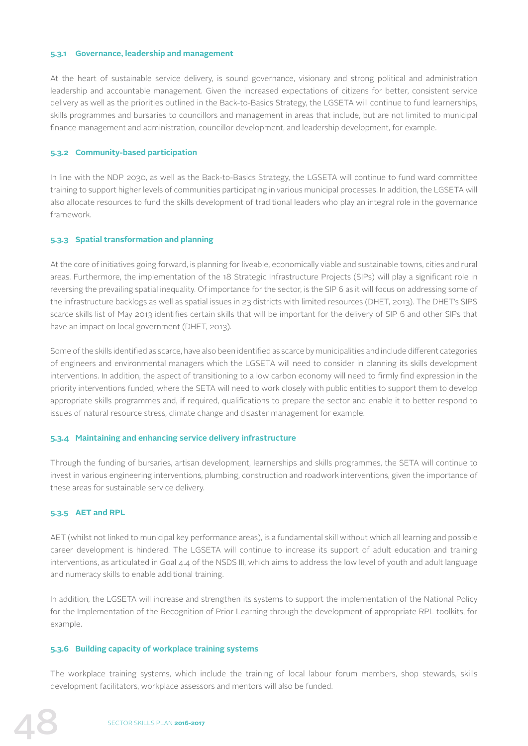## **5.3.1 Governance, leadership and management**

At the heart of sustainable service delivery, is sound governance, visionary and strong political and administration leadership and accountable management. Given the increased expectations of citizens for better, consistent service delivery as well as the priorities outlined in the Back-to-Basics Strategy, the LGSETA will continue to fund learnerships, skills programmes and bursaries to councillors and management in areas that include, but are not limited to municipal finance management and administration, councillor development, and leadership development, for example.

## **5.3.2 Community-based participation**

In line with the NDP 2030, as well as the Back-to-Basics Strategy, the LGSETA will continue to fund ward committee training to support higher levels of communities participating in various municipal processes. In addition, the LGSETA will also allocate resources to fund the skills development of traditional leaders who play an integral role in the governance framework.

## **5.3.3 Spatial transformation and planning**

At the core of initiatives going forward, is planning for liveable, economically viable and sustainable towns, cities and rural areas. Furthermore, the implementation of the 18 Strategic Infrastructure Projects (SIPs) will play a significant role in reversing the prevailing spatial inequality. Of importance for the sector, is the SIP 6 as it will focus on addressing some of the infrastructure backlogs as well as spatial issues in 23 districts with limited resources (DHET, 2013). The DHET's SIPS scarce skills list of May 2013 identifies certain skills that will be important for the delivery of SIP 6 and other SIPs that have an impact on local government (DHET, 2013).

Some of the skills identified as scarce, have also been identified as scarce by municipalities and include different categories of engineers and environmental managers which the LGSETA will need to consider in planning its skills development interventions. In addition, the aspect of transitioning to a low carbon economy will need to firmly find expression in the priority interventions funded, where the SETA will need to work closely with public entities to support them to develop appropriate skills programmes and, if required, qualifications to prepare the sector and enable it to better respond to issues of natural resource stress, climate change and disaster management for example.

### **5.3.4 Maintaining and enhancing service delivery infrastructure**

Through the funding of bursaries, artisan development, learnerships and skills programmes, the SETA will continue to invest in various engineering interventions, plumbing, construction and roadwork interventions, given the importance of these areas for sustainable service delivery.

## **5.3.5 AET and RPL**

AET (whilst not linked to municipal key performance areas), is a fundamental skill without which all learning and possible career development is hindered. The LGSETA will continue to increase its support of adult education and training interventions, as articulated in Goal 4.4 of the NSDS III, which aims to address the low level of youth and adult language and numeracy skills to enable additional training.

In addition, the LGSETA will increase and strengthen its systems to support the implementation of the National Policy for the Implementation of the Recognition of Prior Learning through the development of appropriate RPL toolkits, for example.

### **5.3.6 Building capacity of workplace training systems**

The workplace training systems, which include the training of local labour forum members, shop stewards, skills development facilitators, workplace assessors and mentors will also be funded.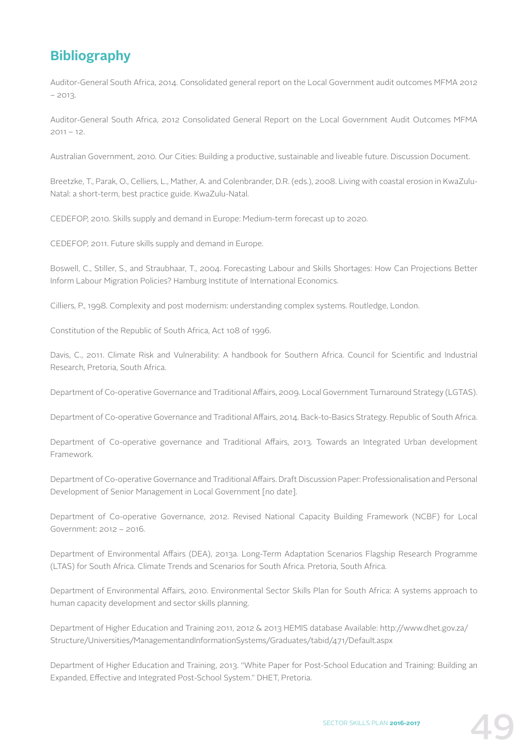## **Bibliography**

Auditor-General South Africa, 2014. Consolidated general report on the Local Government audit outcomes MFMA 2012  $-2013$ 

Auditor-General South Africa, 2012 Consolidated General Report on the Local Government Audit Outcomes MFMA  $2011 - 12$ 

Australian Government, 2010. Our Cities: Building a productive, sustainable and liveable future. Discussion Document.

Breetzke, T., Parak, O., Celliers, L., Mather, A. and Colenbrander, D.R. (eds.), 2008. Living with coastal erosion in KwaZulu-Natal: a short-term, best practice guide. KwaZulu-Natal.

CEDEFOP, 2010. Skills supply and demand in Europe: Medium-term forecast up to 2020.

CEDEFOP, 2011. Future skills supply and demand in Europe.

Boswell, C., Stiller, S., and Straubhaar, T., 2004. Forecasting Labour and Skills Shortages: How Can Projections Better Inform Labour Migration Policies? Hamburg Institute of International Economics.

Cilliers, P., 1998. Complexity and post modernism: understanding complex systems. Routledge, London.

Constitution of the Republic of South Africa, Act 108 of 1996.

Davis, C., 2011. Climate Risk and Vulnerability: A handbook for Southern Africa. Council for Scientific and Industrial Research, Pretoria, South Africa.

Department of Co-operative Governance and Traditional Affairs, 2009. Local Government Turnaround Strategy (LGTAS).

Department of Co-operative Governance and Traditional Affairs, 2014. Back-to-Basics Strategy. Republic of South Africa.

Department of Co-operative governance and Traditional Affairs, 2013. Towards an Integrated Urban development Framework.

Department of Co-operative Governance and Traditional Affairs. Draft Discussion Paper: Professionalisation and Personal Development of Senior Management in Local Government [no date].

Department of Co-operative Governance, 2012. Revised National Capacity Building Framework (NCBF) for Local Government: 2012 – 2016.

Department of Environmental Affairs (DEA), 2013a. Long-Term Adaptation Scenarios Flagship Research Programme (LTAS) for South Africa. Climate Trends and Scenarios for South Africa. Pretoria, South Africa.

Department of Environmental Affairs, 2010. Environmental Sector Skills Plan for South Africa: A systems approach to human capacity development and sector skills planning.

Department of Higher Education and Training 2011, 2012 & 2013 HEMIS database Available: http://www.dhet.gov.za/ Structure/Universities/ManagementandInformationSystems/Graduates/tabid/471/Default.aspx

Department of Higher Education and Training, 2013. "White Paper for Post-School Education and Training: Building an Expanded, Effective and Integrated Post-School System." DHET, Pretoria.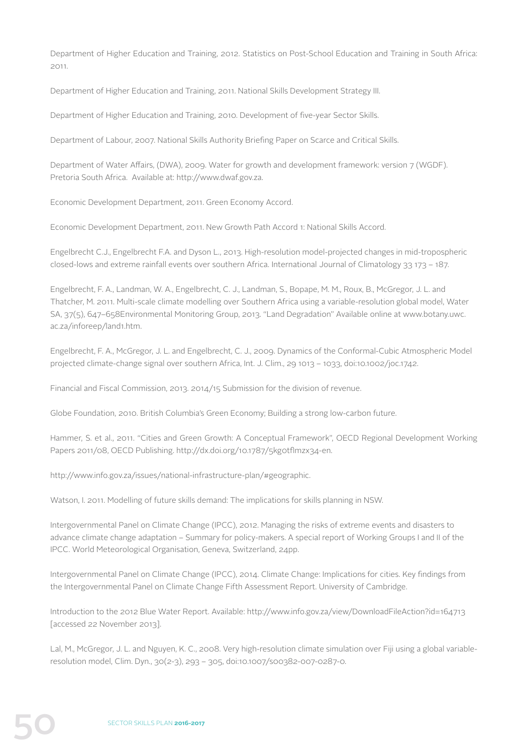Department of Higher Education and Training, 2012. Statistics on Post-School Education and Training in South Africa: 2011.

Department of Higher Education and Training, 2011. National Skills Development Strategy III.

Department of Higher Education and Training, 2010. Development of five-year Sector Skills.

Department of Labour, 2007. National Skills Authority Briefing Paper on Scarce and Critical Skills.

Department of Water Affairs, (DWA), 2009. Water for growth and development framework: version 7 (WGDF). Pretoria South Africa. Available at: http://www.dwaf.gov.za.

Economic Development Department, 2011. Green Economy Accord.

Economic Development Department, 2011. New Growth Path Accord 1: National Skills Accord.

Engelbrecht C.J., Engelbrecht F.A. and Dyson L., 2013. High-resolution model-projected changes in mid-tropospheric closed-lows and extreme rainfall events over southern Africa. International Journal of Climatology 33 173 – 187.

Engelbrecht, F. A., Landman, W. A., Engelbrecht, C. J., Landman, S., Bopape, M. M., Roux, B., McGregor, J. L. and Thatcher, M. 2011. Multi-scale climate modelling over Southern Africa using a variable-resolution global model, Water SA, 37(5), 647–658Environmental Monitoring Group, 2013. "Land Degradation" Available online at www.botany.uwc. ac.za/inforeep/land1.htm.

Engelbrecht, F. A., McGregor, J. L. and Engelbrecht, C. J., 2009. Dynamics of the Conformal-Cubic Atmospheric Model projected climate-change signal over southern Africa, Int. J. Clim., 29 1013 – 1033, doi:10.1002/joc.1742.

Financial and Fiscal Commission, 2013. 2014/15 Submission for the division of revenue.

Globe Foundation, 2010. British Columbia's Green Economy; Building a strong low-carbon future.

Hammer, S. et al., 2011. "Cities and Green Growth: A Conceptual Framework", OECD Regional Development Working Papers 2011/08, OECD Publishing. http://dx.doi.org/10.1787/5kg0tflmzx34-en.

http://www.info.gov.za/issues/national-infrastructure-plan/#geographic.

Watson, I. 2011. Modelling of future skills demand: The implications for skills planning in NSW.

Intergovernmental Panel on Climate Change (IPCC), 2012. Managing the risks of extreme events and disasters to advance climate change adaptation – Summary for policy-makers. A special report of Working Groups I and II of the IPCC. World Meteorological Organisation, Geneva, Switzerland, 24pp.

Intergovernmental Panel on Climate Change (IPCC), 2014. Climate Change: Implications for cities. Key findings from the Intergovernmental Panel on Climate Change Fifth Assessment Report. University of Cambridge.

Introduction to the 2012 Blue Water Report. Available: http://www.info.gov.za/view/DownloadFileAction?id=164713 [accessed 22 November 2013].

Lal, M., McGregor, J. L. and Nguyen, K. C., 2008. Very high-resolution climate simulation over Fiji using a global variableresolution model, Clim. Dyn., 30(2-3), 293 – 305, doi:10.1007/s00382-007-0287-0.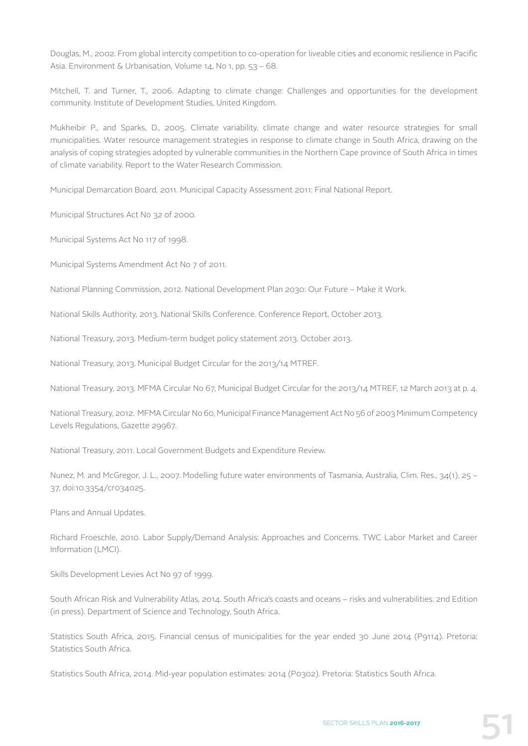Douglas, M., 2002. From global intercity competition to co-operation for liveable cities and economic resilience in Pacific Asia. Environment & Urbanisation, Volume 14, No 1, pp. 53 – 68.

Mitchell, T. and Turner, T., 2006. Adapting to climate change: Challenges and opportunities for the development community. Institute of Development Studies, United Kingdom.

Mukheibir P., and Sparks, D., 2005. Climate variability, climate change and water resource strategies for small municipalities. Water resource management strategies in response to climate change in South Africa, drawing on the analysis of coping strategies adopted by vulnerable communities in the Northern Cape province of South Africa in times of climate variability. Report to the Water Research Commission.

Municipal Demarcation Board, 2011. Municipal Capacity Assessment 2011: Final National Report.

Municipal Structures Act No 32 of 2000.

Municipal Systems Act No 117 of 1998.

Municipal Systems Amendment Act No 7 of 2011.

National Planning Commission, 2012. National Development Plan 2030: Our Future – Make it Work.

National Skills Authority, 2013. National Skills Conference. Conference Report, October 2013.

National Treasury, 2013. Medium-term budget policy statement 2013. October 2013.

National Treasury, 2013. Municipal Budget Circular for the 2013/14 MTREF.

National Treasury, 2013. MFMA Circular No 67, Municipal Budget Circular for the 2013/14 MTREF, 12 March 2013 at p. 4.

National Treasury, 2012. MFMA Circular No 60, Municipal Finance Management Act No 56 of 2003 Minimum Competency Levels Regulations, Gazette 29967.

National Treasury, 2011. Local Government Budgets and Expenditure Review.

Nunez, M. and McGregor, J. L., 2007. Modelling future water environments of Tasmania, Australia, Clim. Res., 34(1), 25 – 37, doi:10.3354/cr034025.

Plans and Annual Updates.

Richard Froeschle, 2010. Labor Supply/Demand Analysis: Approaches and Concerns. TWC Labor Market and Career Information (LMCI).

Skills Development Levies Act No 97 of 1999.

South African Risk and Vulnerability Atlas, 2014. South Africa's coasts and oceans – risks and vulnerabilities. 2nd Edition (in press). Department of Science and Technology, South Africa.

Statistics South Africa, 2015. Financial census of municipalities for the year ended 30 June 2014 (P9114). Pretoria: Statistics South Africa.

Statistics South Africa, 2014. Mid-year population estimates: 2014 (P0302). Pretoria: Statistics South Africa.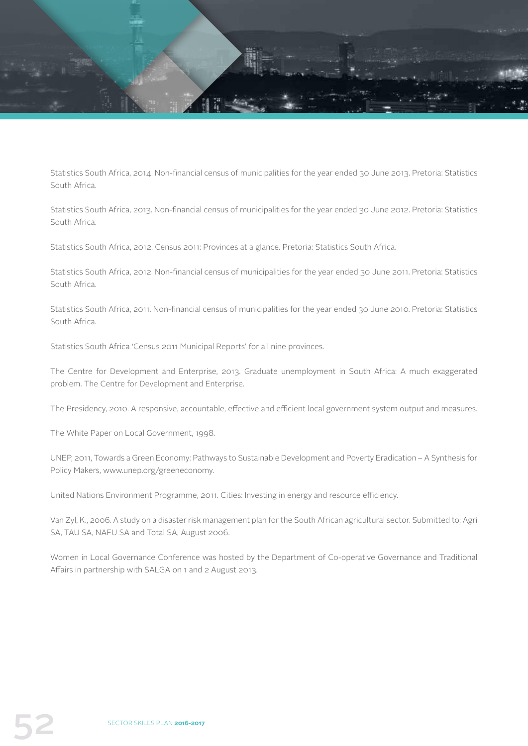

Statistics South Africa, 2014. Non-financial census of municipalities for the year ended 30 June 2013. Pretoria: Statistics South Africa.

Statistics South Africa, 2013. Non-financial census of municipalities for the year ended 30 June 2012. Pretoria: Statistics South Africa.

Statistics South Africa, 2012. Census 2011: Provinces at a glance. Pretoria: Statistics South Africa.

Statistics South Africa, 2012. Non-financial census of municipalities for the year ended 30 June 2011. Pretoria: Statistics South Africa.

Statistics South Africa, 2011. Non-financial census of municipalities for the year ended 30 June 2010. Pretoria: Statistics South Africa.

Statistics South Africa 'Census 2011 Municipal Reports' for all nine provinces.

The Centre for Development and Enterprise, 2013. Graduate unemployment in South Africa: A much exaggerated problem. The Centre for Development and Enterprise.

The Presidency, 2010. A responsive, accountable, effective and efficient local government system output and measures.

The White Paper on Local Government, 1998.

UNEP, 2011, Towards a Green Economy: Pathways to Sustainable Development and Poverty Eradication – A Synthesis for Policy Makers, www.unep.org/greeneconomy.

United Nations Environment Programme, 2011. Cities: Investing in energy and resource efficiency.

Van Zyl, K., 2006. A study on a disaster risk management plan for the South African agricultural sector. Submitted to: Agri SA, TAU SA, NAFU SA and Total SA, August 2006.

Women in Local Governance Conference was hosted by the Department of Co-operative Governance and Traditional Affairs in partnership with SALGA on 1 and 2 August 2013.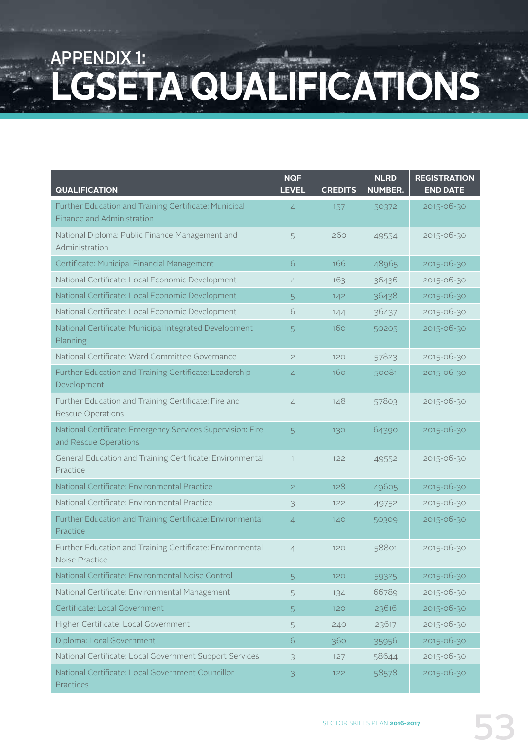## APPENDIX 1: LGSETA QUALIFICATIONS

| <b>QUALIFICATION</b>                                                                | <b>NQF</b><br><b>LEVEL</b> | <b>CREDITS</b> | <b>NLRD</b><br><b>NUMBER.</b> | <b>REGISTRATION</b><br><b>END DATE</b> |
|-------------------------------------------------------------------------------------|----------------------------|----------------|-------------------------------|----------------------------------------|
| Further Education and Training Certificate: Municipal<br>Finance and Administration | $\overline{4}$             | 157            | 50372                         | 2015-06-30                             |
| National Diploma: Public Finance Management and<br>Administration                   | 5                          | 260            | 49554                         | 2015-06-30                             |
| Certificate: Municipal Financial Management                                         | 6                          | 166            | 48965                         | 2015-06-30                             |
| National Certificate: Local Economic Development                                    | $\overline{4}$             | 163            | 36436                         | 2015-06-30                             |
| National Certificate: Local Economic Development                                    | $\overline{5}$             | 142            | 36438                         | 2015-06-30                             |
| National Certificate: Local Economic Development                                    | 6                          | 144            | 36437                         | 2015-06-30                             |
| National Certificate: Municipal Integrated Development<br>Planning                  | 5                          | 160            | 50205                         | 2015-06-30                             |
| National Certificate: Ward Committee Governance                                     | $\mathbf{Z}$               | 120            | 57823                         | 2015-06-30                             |
| Further Education and Training Certificate: Leadership<br>Development               | $\overline{4}$             | 160            | 50081                         | 2015-06-30                             |
| Further Education and Training Certificate: Fire and<br>Rescue Operations           | $\overline{4}$             | 148            | 57803                         | 2015-06-30                             |
| National Certificate: Emergency Services Supervision: Fire<br>and Rescue Operations | 5                          | 130            | 64390                         | 2015-06-30                             |
| General Education and Training Certificate: Environmental<br>Practice               | $\mathbf{1}$               | 122            | 49552                         | 2015-06-30                             |
| National Certificate: Environmental Practice                                        | $\overline{c}$             | 128            | 49605                         | 2015-06-30                             |
| National Certificate: Environmental Practice                                        | 3                          | 122            | 49752                         | 2015-06-30                             |
| Further Education and Training Certificate: Environmental<br>Practice               | $\overline{4}$             | 140            | 50309                         | 2015-06-30                             |
| Further Education and Training Certificate: Environmental<br>Noise Practice         | $\overline{4}$             | 120            | 58801                         | 2015-06-30                             |
| National Certificate: Environmental Noise Control                                   | 5                          | 120            | 59325                         | 2015-06-30                             |
| National Certificate: Environmental Management                                      | 5                          | 134            | 66789                         | 2015-06-30                             |
| Certificate: Local Government                                                       | 5                          | 120            | 23616                         | 2015-06-30                             |
| Higher Certificate: Local Government                                                | 5                          | 240            | 23617                         | 2015-06-30                             |
| Diploma: Local Government                                                           | 6                          | 360            | 35956                         | 2015-06-30                             |
| National Certificate: Local Government Support Services                             | 3                          | 127            | 58644                         | 2015-06-30                             |
| National Certificate: Local Government Councillor<br>Practices                      | 3                          | 122            | 58578                         | 2015-06-30                             |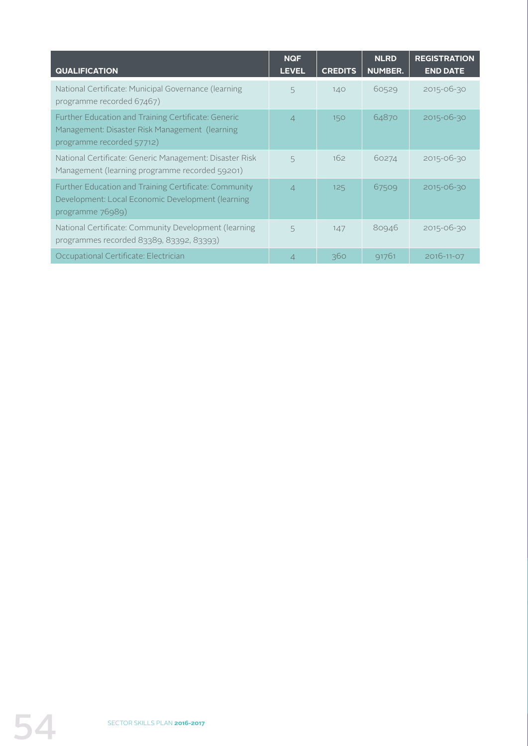| <b>QUALIFICATION</b>                                                                                                               | <b>NQF</b><br><b>LEVEL</b> | <b>CREDITS</b> | <b>NLRD</b><br><b>NUMBER.</b> | <b>REGISTRATION</b><br><b>END DATE</b> |
|------------------------------------------------------------------------------------------------------------------------------------|----------------------------|----------------|-------------------------------|----------------------------------------|
| National Certificate: Municipal Governance (learning<br>programme recorded 67467)                                                  | 5                          | 140            | 60529                         | 2015-06-30                             |
| Further Education and Training Certificate: Generic<br>Management: Disaster Risk Management (learning<br>programme recorded 57712) | $\overline{\mathcal{L}}$   | 150            | 64870                         | $2015 - 06 - 30$                       |
| National Certificate: Generic Management: Disaster Risk<br>Management (learning programme recorded 59201)                          | 5                          | 162            | 60274                         | 2015-06-30                             |
| Further Education and Training Certificate: Community<br>Development: Local Economic Development (learning<br>programme 76989)     | $\Delta$                   | 125            | 67509                         | 2015-06-30                             |
| National Certificate: Community Development (learning<br>programmes recorded 83389, 83392, 83393)                                  | 5                          | 147            | 80946                         | 2015-06-30                             |
| Occupational Certificate: Electrician                                                                                              | $\overline{4}$             | 360            | 91761                         | 2016-11-07                             |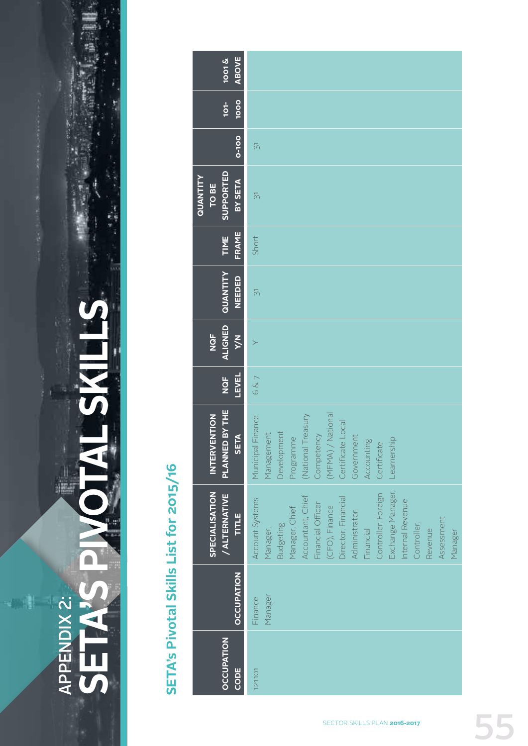

# **SETA'S PIVOTAL SKILLS**轟 APPENDIX 2: APPENDIX 2:

物濃川

# SETA's Pivotal Skills List for 2015/16 **SETA's Pivotal Skills List for 2015/16**

| ABOVE<br>$\frac{1001 \text{ K}}{1001 \text{ K}}$        |                                                                                                                                                                                                                                                                                                        |
|---------------------------------------------------------|--------------------------------------------------------------------------------------------------------------------------------------------------------------------------------------------------------------------------------------------------------------------------------------------------------|
| 1000<br>$101-$                                          |                                                                                                                                                                                                                                                                                                        |
| $\overline{0}$ -100                                     | $\overline{\odot}$                                                                                                                                                                                                                                                                                     |
| <b>SUPPORTED</b><br>QUANTITY<br>BY SETA<br><b>TO BE</b> | $\overline{5}$                                                                                                                                                                                                                                                                                         |
| FRAME<br>TIME                                           | Short                                                                                                                                                                                                                                                                                                  |
| QUANTITY<br><b>NEEDED</b>                               | $\overline{\odot}$                                                                                                                                                                                                                                                                                     |
| ALIGNED<br>NQF<br><b>N/x</b>                            |                                                                                                                                                                                                                                                                                                        |
| <b>LEVEL</b><br>NQF                                     | 6&7                                                                                                                                                                                                                                                                                                    |
| PLANNED BY THE<br><b>INTERVENTION</b><br><b>SETA</b>    | (MFMA) / National<br>(National Treasury<br>Municipal Finance<br>Certificate Local<br>Competency<br>Development<br>Management<br>Programme<br>Government<br>Accounting<br>Certificate<br>Learnership                                                                                                    |
| SPECIALISATION<br>/ ALTERNATIVE<br>TITLE                | Exchange Manager,<br>Controller, Foreign<br>Accountant, Chief<br>Director, Financial<br>Account Systems<br>Internal Revenue<br>Financial Officer<br>(CFO), Finance<br>Manager, Chief<br>Administrator,<br>Assessment<br>Controller,<br><b>Budgeting</b><br>Financial<br>Manager,<br>Revenue<br>Manager |
| <b>OCCUPATION</b>                                       | Manager<br>Finance                                                                                                                                                                                                                                                                                     |
| <b>OCCUPATION</b><br>CODE                               | <b>121101</b>                                                                                                                                                                                                                                                                                          |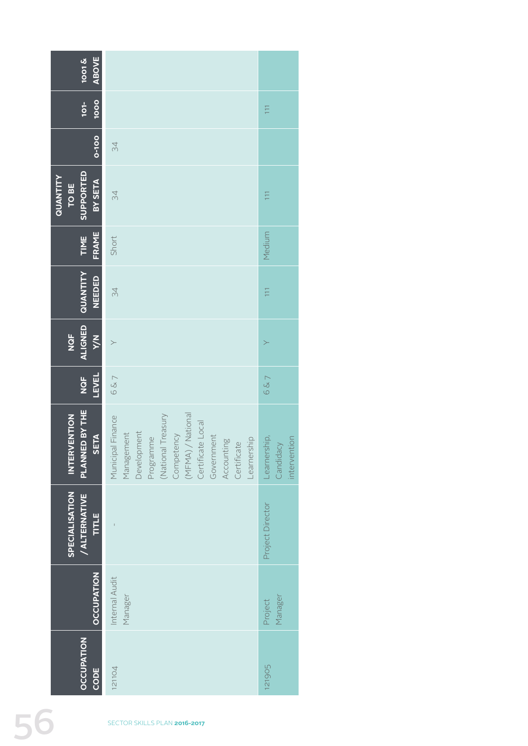| ABOVE<br><b>1001&amp;</b>                      |                                                                                                                                                                                                    |                                           |
|------------------------------------------------|----------------------------------------------------------------------------------------------------------------------------------------------------------------------------------------------------|-------------------------------------------|
| $101-$<br>1000                                 |                                                                                                                                                                                                    | $\Box$                                    |
| 0-100                                          | $\Im 4$                                                                                                                                                                                            |                                           |
| SUPPORTED<br>QUANTITY<br>BY SETA<br>TO BE      | 34                                                                                                                                                                                                 | $\Xi$                                     |
| FRAME<br>TIME                                  | Short                                                                                                                                                                                              | Medium                                    |
| ALIGNED QUANTITY<br><b>NEEDED</b>              | 34                                                                                                                                                                                                 | $\overline{111}$                          |
| <b>N/X</b><br><b>NGF</b>                       | $\leftthreetimes$                                                                                                                                                                                  | $\succ$                                   |
| <b>LEVEL</b><br><b>NQF</b>                     | 6&7                                                                                                                                                                                                | 6&7                                       |
| PLANNED BY THE<br><b>INTERVENTION</b>          | Municipal Finance<br>(MFMA) / National<br>Certificate Local<br>National Treasury<br>Competency<br>Programme<br>Development<br>Management<br>Government<br>Accounting<br>Certificate<br>Learnership | Learnership,<br>Candidacy<br>intervention |
| SPECIALISATION<br><b>/ALTERNATIVE</b><br>TITLE |                                                                                                                                                                                                    | Project Director                          |
| OCCUPATION                                     | Internal Audit<br>Manager                                                                                                                                                                          | Manager<br>Project                        |
| <b>OCCUPATION</b><br>CODE                      | 121104                                                                                                                                                                                             | 121905                                    |
|                                                | SECTOR SKILLS PLAN 2016-2017                                                                                                                                                                       |                                           |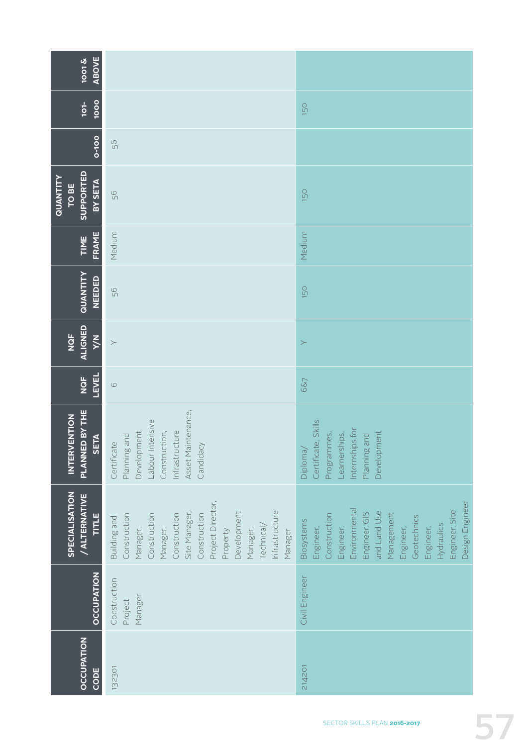| <b>ABOVE</b><br>$\frac{1001 \text{ K}}{1001 \text{ K}}$ |                                                                                                                                                                                                                              |                                                                                                                                                                                                                  |
|---------------------------------------------------------|------------------------------------------------------------------------------------------------------------------------------------------------------------------------------------------------------------------------------|------------------------------------------------------------------------------------------------------------------------------------------------------------------------------------------------------------------|
| 1000<br>$101 -$                                         |                                                                                                                                                                                                                              | 150                                                                                                                                                                                                              |
| 0-100                                                   | 56                                                                                                                                                                                                                           |                                                                                                                                                                                                                  |
| SUPPORTED<br>QUANTITY<br>BY SETA<br><b>TO BE</b>        | 56                                                                                                                                                                                                                           | 150                                                                                                                                                                                                              |
| FRAME<br><b>TIME</b>                                    | Medium                                                                                                                                                                                                                       | Medium                                                                                                                                                                                                           |
| QUANTITY<br>NEEDED                                      | 56                                                                                                                                                                                                                           | 150                                                                                                                                                                                                              |
| <b>ALIGNED</b><br>NQF<br><b>N/A</b>                     | $\left. \right.$                                                                                                                                                                                                             | $\geq$                                                                                                                                                                                                           |
| <b>LEVEL</b><br>NQF                                     | $\circlearrowright$                                                                                                                                                                                                          | 6&7                                                                                                                                                                                                              |
| PLANNED BY THE<br>INTERVENTION<br>SETA                  | Asset Maintenance,<br>-abour Intensive<br>Development,<br>Construction,<br>Infrastructure<br>Planning and<br>Certificate<br>Candidacy                                                                                        | Certificate, Skills<br>Internships for<br>Programmes,<br>Learnerships,<br>Development<br>Planning and<br>Diploma                                                                                                 |
| SPECIALISATION<br><b>/ALTERNATIVE</b><br>TITLE          | Project Director,<br>Infrastructure<br>Site Manager,<br>Development<br>Construction<br>Construction<br>Construction<br>Construction<br>Building and<br>Technical/<br>Manager,<br>Manager,<br>Manager,<br>Manager<br>Property | Design Engineer<br>Environmental<br>Engineer, Site<br>and Land Use<br>Engineer, GIS<br>Management<br>Construction<br>Geotechnics<br>Biosystems<br>Hydraulics<br>Engineer,<br>Engineer,<br>Engineer,<br>Engineer, |
| <b>OCCUPATION</b>                                       | Construction<br>Manager<br>Project                                                                                                                                                                                           | Civil Engineer                                                                                                                                                                                                   |
| OCCUPATION<br>CODE                                      | 132301                                                                                                                                                                                                                       | 214201                                                                                                                                                                                                           |

SECTOR SKILLS PLAN **2016-2017**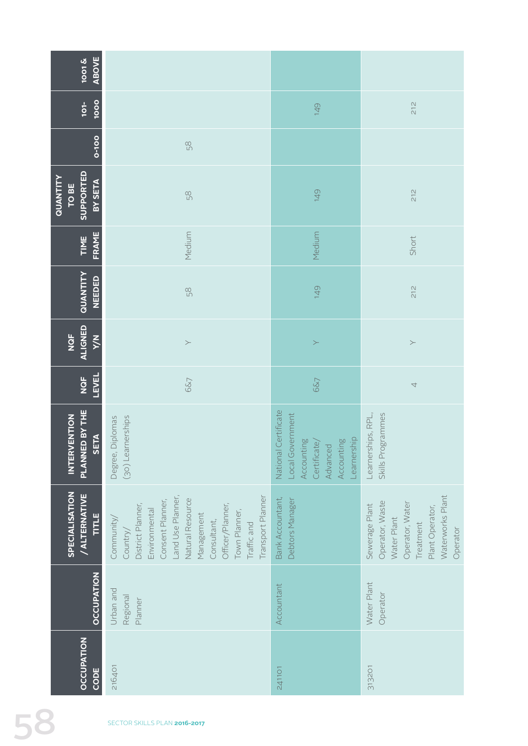| <b>ABOVE</b><br>$\frac{1001 \text{ K}}{1001 \text{ K}}$ |                                                                                                                                                                                                                                 |                                                                                                                    |                                                                                                                                     |
|---------------------------------------------------------|---------------------------------------------------------------------------------------------------------------------------------------------------------------------------------------------------------------------------------|--------------------------------------------------------------------------------------------------------------------|-------------------------------------------------------------------------------------------------------------------------------------|
| 1000<br>$101 -$                                         |                                                                                                                                                                                                                                 | 149                                                                                                                | 212                                                                                                                                 |
| 0-100                                                   | 58                                                                                                                                                                                                                              |                                                                                                                    |                                                                                                                                     |
| SUPPORTED<br>QUANTITY<br>BY SETA<br>TO BE               | 58                                                                                                                                                                                                                              | 149                                                                                                                | 212                                                                                                                                 |
| FRAME<br>TIME                                           | Medium                                                                                                                                                                                                                          | Medium                                                                                                             | Short                                                                                                                               |
| QUANTITY<br><b>NEEDED</b>                               | 58                                                                                                                                                                                                                              | 149                                                                                                                | $\frac{2}{3}$                                                                                                                       |
| <b>ALIGNED</b><br>NQF<br><b>N/A</b>                     | $\succ$                                                                                                                                                                                                                         | $\geq$                                                                                                             | $\succ$                                                                                                                             |
| <b>LEVEL</b><br>NQF                                     | 6&7                                                                                                                                                                                                                             | 6&7                                                                                                                | $\overline{\mathcal{A}}$                                                                                                            |
| PLANNED BY THE<br>INTERVENTION<br>SETA                  | (30) Learnerships<br>Diplomas<br>Degree,                                                                                                                                                                                        | Certificate<br>Local Government<br>Learnership<br>Accounting<br>Certificate/<br>Advanced<br>Accounting<br>National | Skills Programmes<br>Learnerships, RPL                                                                                              |
| <b>SPECIALISATION</b><br>/ ALTERNATIVE<br>TITLE         | Transport Planner<br>Land Use Planner,<br>Natural Resource<br>Consent Planner,<br>Officer/Planner,<br>District Planner,<br>Environmental<br>Town Planner,<br>Management<br>Community/<br>Consultant,<br>Traffic and<br>Country/ | Bank Accountant,<br>Debtors Manager                                                                                | Waterworks Plant<br>Operator, Waste<br>Operator, Water<br>Sewerage Plant<br>Plant Operator,<br>Water Plant<br>Treatment<br>Operator |
| <b>OCCUPATION</b>                                       | Urban and<br>Regional<br>Planner                                                                                                                                                                                                | Accountant                                                                                                         | Water Plant<br>Operator                                                                                                             |
| <b>OCCUPATION</b><br>CODE                               | 216401                                                                                                                                                                                                                          | 241101                                                                                                             | 313201                                                                                                                              |
|                                                         | SECTOR SKILLS PLAN 2016-2017                                                                                                                                                                                                    |                                                                                                                    |                                                                                                                                     |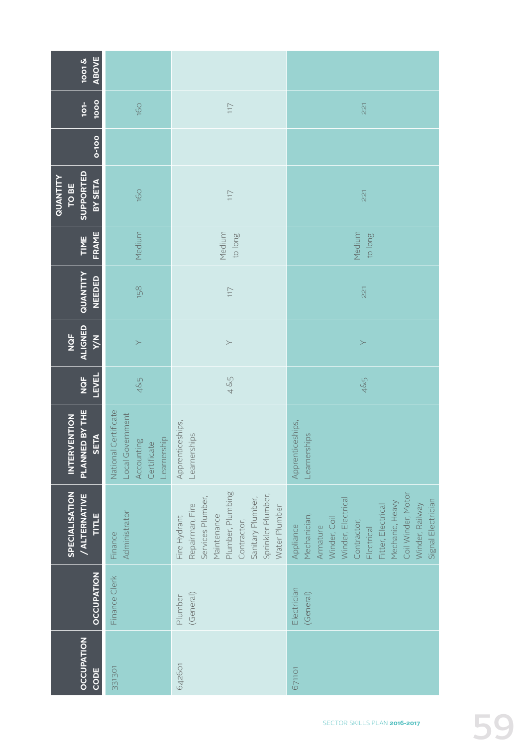| <b>ABOVE</b><br><b>2001</b>                          |                                                                                         |                                                                                                                                                                     |                                                                                                                                                                                                                  |  |  |
|------------------------------------------------------|-----------------------------------------------------------------------------------------|---------------------------------------------------------------------------------------------------------------------------------------------------------------------|------------------------------------------------------------------------------------------------------------------------------------------------------------------------------------------------------------------|--|--|
| 1000<br>$101 -$                                      | 160                                                                                     | 117                                                                                                                                                                 | 221                                                                                                                                                                                                              |  |  |
| 0-100                                                |                                                                                         |                                                                                                                                                                     |                                                                                                                                                                                                                  |  |  |
| SUPPORTED<br>QUANTITY<br>BY SETA<br><b>TO BE</b>     | 160                                                                                     | 117                                                                                                                                                                 | 221                                                                                                                                                                                                              |  |  |
| FRAME<br>TIME                                        | Medium                                                                                  | Medium<br>guol op                                                                                                                                                   | Medium<br>to long                                                                                                                                                                                                |  |  |
| QUANTITY<br>NEEDED                                   | 158                                                                                     | 117                                                                                                                                                                 | 221                                                                                                                                                                                                              |  |  |
| ALIGNED<br><b>NQF</b><br><b>N/A</b>                  | $\succ$                                                                                 | $\succ$                                                                                                                                                             | $\succ$                                                                                                                                                                                                          |  |  |
| <b>LEVEL</b><br>NQF                                  | 4&5                                                                                     | 4 &5                                                                                                                                                                | 4&5                                                                                                                                                                                                              |  |  |
| PLANNED BY THE<br><b>INTERVENTION</b><br><b>SETA</b> | Certificate<br>Local Government<br>Learnership<br>Accounting<br>Certificate<br>National | Apprenticeships,<br>Learnerships                                                                                                                                    | Apprenticeships,<br>Learnerships                                                                                                                                                                                 |  |  |
| SPECIALISATION<br><b>/ALTERNATIVE</b><br>TITLE       | Administrator<br>Finance                                                                | Plumber, Plumbing<br>Sprinkler Plumber,<br>Services Plumber,<br>Sanitary Plumber,<br>Repairman, Fire<br>Water Plumber<br>Maintenance<br>Fire Hydrant<br>Contractor, | Coil Winder, Motor<br>Winder, Electrical<br>Signal Electrician<br>Mechanic, Heavy<br>Winder, Railway<br>Fitter, Electrical<br>Mechanician,<br>Winder, Coil<br>Contractor,<br>Appliance<br>Armature<br>Electrical |  |  |
| <b>OCCUPATION</b>                                    | Finance Clerk                                                                           | (General)<br>Plumber                                                                                                                                                | Electrician<br>(General)                                                                                                                                                                                         |  |  |
| <b>OCCUPATION</b><br>CODE                            | 331301                                                                                  | 642601                                                                                                                                                              | 671101                                                                                                                                                                                                           |  |  |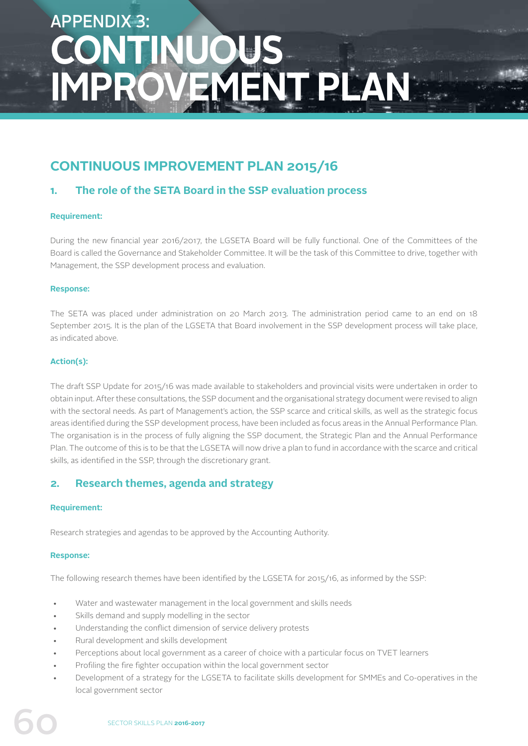## APPENDIX 3: **CONTINUOUS IMPROVEMENT PLAN**

## **CONTINUOUS IMPROVEMENT PLAN 2015/16**

## **1. The role of the SETA Board in the SSP evaluation process**

## **Requirement:**

During the new financial year 2016/2017, the LGSETA Board will be fully functional. One of the Committees of the Board is called the Governance and Stakeholder Committee. It will be the task of this Committee to drive, together with Management, the SSP development process and evaluation.

## **Response:**

The SETA was placed under administration on 20 March 2013. The administration period came to an end on 18 September 2015. It is the plan of the LGSETA that Board involvement in the SSP development process will take place, as indicated above.

## **Action(s):**

The draft SSP Update for 2015/16 was made available to stakeholders and provincial visits were undertaken in order to obtain input. After these consultations, the SSP document and the organisational strategy document were revised to align with the sectoral needs. As part of Management's action, the SSP scarce and critical skills, as well as the strategic focus areas identified during the SSP development process, have been included as focus areas in the Annual Performance Plan. The organisation is in the process of fully aligning the SSP document, the Strategic Plan and the Annual Performance Plan. The outcome of this is to be that the LGSETA will now drive a plan to fund in accordance with the scarce and critical skills, as identified in the SSP, through the discretionary grant.

## **2. Research themes, agenda and strategy**

## **Requirement:**

Research strategies and agendas to be approved by the Accounting Authority.

## **Response:**

The following research themes have been identified by the LGSETA for 2015/16, as informed by the SSP:

- Water and wastewater management in the local government and skills needs
- Skills demand and supply modelling in the sector
- Understanding the conflict dimension of service delivery protests
- Rural development and skills development
- Perceptions about local government as a career of choice with a particular focus on TVET learners
- Profiling the fire fighter occupation within the local government sector
- Development of a strategy for the LGSETA to facilitate skills development for SMMEs and Co-operatives in the local government sector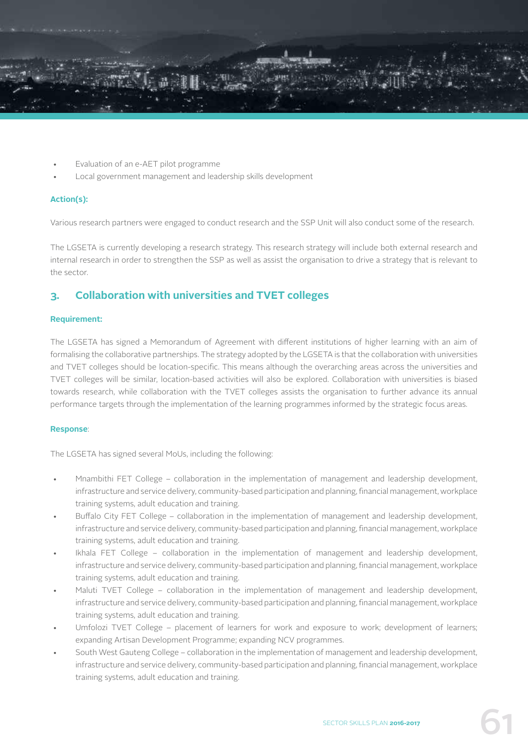

- Evaluation of an e-AET pilot programme
- Local government management and leadership skills development

## **Action(s):**

Various research partners were engaged to conduct research and the SSP Unit will also conduct some of the research.

The LGSETA is currently developing a research strategy. This research strategy will include both external research and internal research in order to strengthen the SSP as well as assist the organisation to drive a strategy that is relevant to the sector.

## **3. Collaboration with universities and TVET colleges**

## **Requirement:**

The LGSETA has signed a Memorandum of Agreement with different institutions of higher learning with an aim of formalising the collaborative partnerships. The strategy adopted by the LGSETA is that the collaboration with universities and TVET colleges should be location-specific. This means although the overarching areas across the universities and TVET colleges will be similar, location-based activities will also be explored. Collaboration with universities is biased towards research, while collaboration with the TVET colleges assists the organisation to further advance its annual performance targets through the implementation of the learning programmes informed by the strategic focus areas.

## **Response**:

The LGSETA has signed several MoUs, including the following:

- Mnambithi FET College collaboration in the implementation of management and leadership development, infrastructure and service delivery, community-based participation and planning, financial management, workplace training systems, adult education and training.
- Buffalo City FET College collaboration in the implementation of management and leadership development, infrastructure and service delivery, community-based participation and planning, financial management, workplace training systems, adult education and training.
- Ikhala FET College collaboration in the implementation of management and leadership development, infrastructure and service delivery, community-based participation and planning, financial management, workplace training systems, adult education and training.
- Maluti TVET College collaboration in the implementation of management and leadership development, infrastructure and service delivery, community-based participation and planning, financial management, workplace training systems, adult education and training.
- Umfolozi TVET College placement of learners for work and exposure to work; development of learners; expanding Artisan Development Programme; expanding NCV programmes.
- South West Gauteng College collaboration in the implementation of management and leadership development, infrastructure and service delivery, community-based participation and planning, financial management, workplace training systems, adult education and training.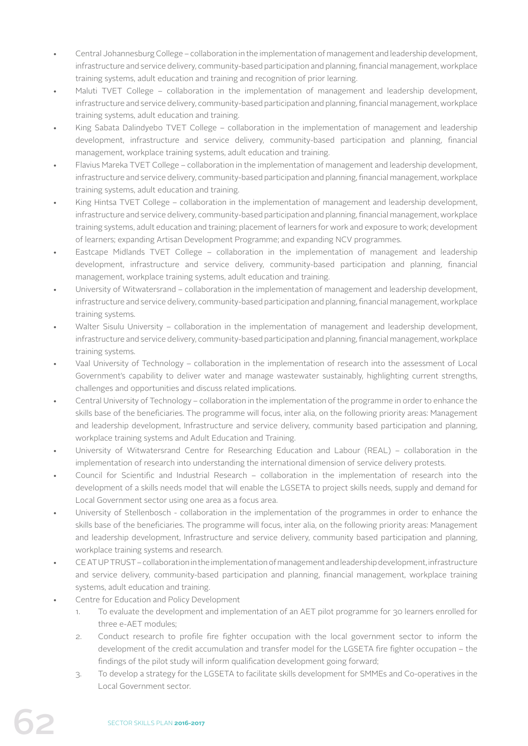- Central Johannesburg College collaboration in the implementation of management and leadership development, infrastructure and service delivery, community-based participation and planning, financial management, workplace training systems, adult education and training and recognition of prior learning.
- Maluti TVET College collaboration in the implementation of management and leadership development, infrastructure and service delivery, community-based participation and planning, financial management, workplace training systems, adult education and training.
- King Sabata Dalindyebo TVET College collaboration in the implementation of management and leadership development, infrastructure and service delivery, community-based participation and planning, financial management, workplace training systems, adult education and training.
- Flavius Mareka TVET College collaboration in the implementation of management and leadership development, infrastructure and service delivery, community-based participation and planning, financial management, workplace training systems, adult education and training.
- King Hintsa TVET College collaboration in the implementation of management and leadership development, infrastructure and service delivery, community-based participation and planning, financial management, workplace training systems, adult education and training; placement of learners for work and exposure to work; development of learners; expanding Artisan Development Programme; and expanding NCV programmes.
- Eastcape Midlands TVET College collaboration in the implementation of management and leadership development, infrastructure and service delivery, community-based participation and planning, financial management, workplace training systems, adult education and training.
- University of Witwatersrand collaboration in the implementation of management and leadership development, infrastructure and service delivery, community-based participation and planning, financial management, workplace training systems.
- Walter Sisulu University collaboration in the implementation of management and leadership development, infrastructure and service delivery, community-based participation and planning, financial management, workplace training systems.
- Vaal University of Technology collaboration in the implementation of research into the assessment of Local Government's capability to deliver water and manage wastewater sustainably, highlighting current strengths, challenges and opportunities and discuss related implications.
- Central University of Technology collaboration in the implementation of the programme in order to enhance the skills base of the beneficiaries. The programme will focus, inter alia, on the following priority areas: Management and leadership development, Infrastructure and service delivery, community based participation and planning, workplace training systems and Adult Education and Training.
- University of Witwatersrand Centre for Researching Education and Labour (REAL) collaboration in the implementation of research into understanding the international dimension of service delivery protests.
- Council for Scientific and Industrial Research collaboration in the implementation of research into the development of a skills needs model that will enable the LGSETA to project skills needs, supply and demand for Local Government sector using one area as a focus area.
- University of Stellenbosch collaboration in the implementation of the programmes in order to enhance the skills base of the beneficiaries. The programme will focus, inter alia, on the following priority areas: Management and leadership development, Infrastructure and service delivery, community based participation and planning, workplace training systems and research.
- CE AT UP TRUST collaboration in the implementation of management and leadership development, infrastructure and service delivery, community-based participation and planning, financial management, workplace training systems, adult education and training.
- Centre for Education and Policy Development
	- 1. To evaluate the development and implementation of an AET pilot programme for 30 learners enrolled for three e-AET modules;
	- 2. Conduct research to profile fire fighter occupation with the local government sector to inform the development of the credit accumulation and transfer model for the LGSETA fire fighter occupation – the findings of the pilot study will inform qualification development going forward;
	- 3. To develop a strategy for the LGSETA to facilitate skills development for SMMEs and Co-operatives in the Local Government sector.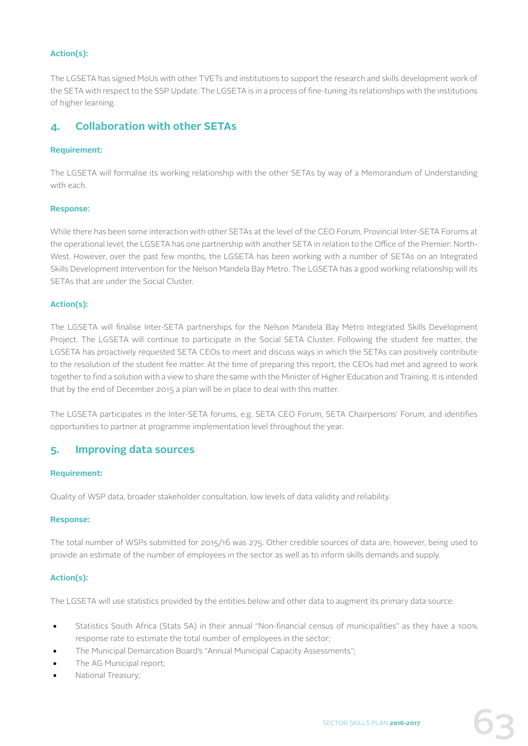## **Action(s):**

The LGSETA has signed MoUs with other TVETs and institutions to support the research and skills development work of the SETA with respect to the SSP Update. The LGSETA is in a process of fine-tuning its relationships with the institutions of higher learning.

## **4. Collaboration with other SETAs**

## **Requirement:**

The LGSETA will formalise its working relationship with the other SETAs by way of a Memorandum of Understanding with each.

## **Response:**

While there has been some interaction with other SETAs at the level of the CEO Forum, Provincial Inter-SETA Forums at the operational level, the LGSETA has one partnership with another SETA in relation to the Office of the Premier: North-West. However, over the past few months, the LGSETA has been working with a number of SETAs on an Integrated Skills Development Intervention for the Nelson Mandela Bay Metro. The LGSETA has a good working relationship will its SETAs that are under the Social Cluster.

## **Action(s):**

The LGSETA will finalise Inter-SETA partnerships for the Nelson Mandela Bay Metro Integrated Skills Development Project. The LGSETA will continue to participate in the Social SETA Cluster. Following the student fee matter, the LGSETA has proactively requested SETA CEOs to meet and discuss ways in which the SETAs can positively contribute to the resolution of the student fee matter. At the time of preparing this report, the CEOs had met and agreed to work together to find a solution with a view to share the same with the Minister of Higher Education and Training. It is intended that by the end of December 2015 a plan will be in place to deal with this matter.

The LGSETA participates in the Inter-SETA forums, e.g. SETA CEO Forum, SETA Chairpersons' Forum, and identifies opportunities to partner at programme implementation level throughout the year.

## **5. Improving data sources**

## **Requirement:**

Quality of WSP data, broader stakeholder consultation, low levels of data validity and reliability.

## **Response:**

The total number of WSPs submitted for 2015/16 was 275. Other credible sources of data are, however, being used to provide an estimate of the number of employees in the sector as well as to inform skills demands and supply.

## **Action(s):**

The LGSETA will use statistics provided by the entities below and other data to augment its primary data source:

- Statistics South Africa (Stats SA) in their annual "Non-financial census of municipalities" as they have a 100% response rate to estimate the total number of employees in the sector;
- The Municipal Demarcation Board's "Annual Municipal Capacity Assessments";
- The AG Municipal report;
- National Treasury;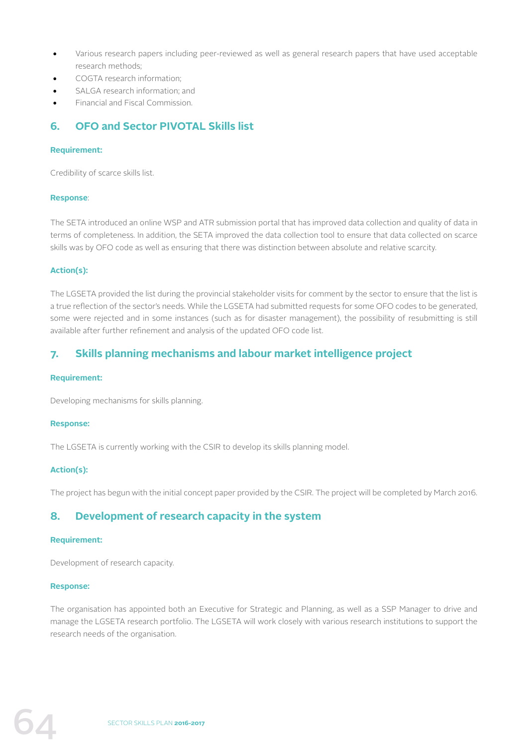- Various research papers including peer-reviewed as well as general research papers that have used acceptable research methods;
- COGTA research information;
- SALGA research information; and
- Financial and Fiscal Commission.

## **6. OFO and Sector PIVOTAL Skills list**

## **Requirement:**

Credibility of scarce skills list.

## **Response**:

The SETA introduced an online WSP and ATR submission portal that has improved data collection and quality of data in terms of completeness. In addition, the SETA improved the data collection tool to ensure that data collected on scarce skills was by OFO code as well as ensuring that there was distinction between absolute and relative scarcity.

## **Action(s):**

The LGSETA provided the list during the provincial stakeholder visits for comment by the sector to ensure that the list is a true reflection of the sector's needs. While the LGSETA had submitted requests for some OFO codes to be generated, some were rejected and in some instances (such as for disaster management), the possibility of resubmitting is still available after further refinement and analysis of the updated OFO code list.

## **7. Skills planning mechanisms and labour market intelligence project**

## **Requirement:**

Developing mechanisms for skills planning.

## **Response:**

The LGSETA is currently working with the CSIR to develop its skills planning model.

## **Action(s):**

The project has begun with the initial concept paper provided by the CSIR. The project will be completed by March 2016.

## **8. Development of research capacity in the system**

## **Requirement:**

Development of research capacity.

## **Response:**

The organisation has appointed both an Executive for Strategic and Planning, as well as a SSP Manager to drive and manage the LGSETA research portfolio. The LGSETA will work closely with various research institutions to support the research needs of the organisation.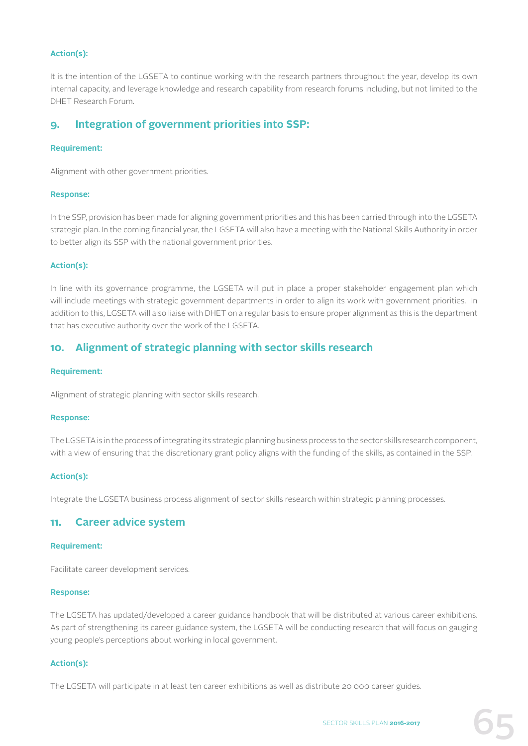## **Action(s):**

It is the intention of the LGSETA to continue working with the research partners throughout the year, develop its own internal capacity, and leverage knowledge and research capability from research forums including, but not limited to the DHET Research Forum.

## **9. Integration of government priorities into SSP:**

## **Requirement:**

Alignment with other government priorities.

#### **Response:**

In the SSP, provision has been made for aligning government priorities and this has been carried through into the LGSETA strategic plan. In the coming financial year, the LGSETA will also have a meeting with the National Skills Authority in order to better align its SSP with the national government priorities.

## **Action(s):**

In line with its governance programme, the LGSETA will put in place a proper stakeholder engagement plan which will include meetings with strategic government departments in order to align its work with government priorities. In addition to this, LGSETA will also liaise with DHET on a regular basis to ensure proper alignment as this is the department that has executive authority over the work of the LGSETA.

# **10. Alignment of strategic planning with sector skills research**

#### **Requirement:**

Alignment of strategic planning with sector skills research.

#### **Response:**

The LGSETA is in the process of integrating its strategic planning business process to the sector skills research component, with a view of ensuring that the discretionary grant policy aligns with the funding of the skills, as contained in the SSP.

#### **Action(s):**

Integrate the LGSETA business process alignment of sector skills research within strategic planning processes.

## **11. Career advice system**

#### **Requirement:**

Facilitate career development services.

#### **Response:**

The LGSETA has updated/developed a career guidance handbook that will be distributed at various career exhibitions. As part of strengthening its career guidance system, the LGSETA will be conducting research that will focus on gauging young people's perceptions about working in local government.

## **Action(s):**

The LGSETA will participate in at least ten career exhibitions as well as distribute 20 000 career guides.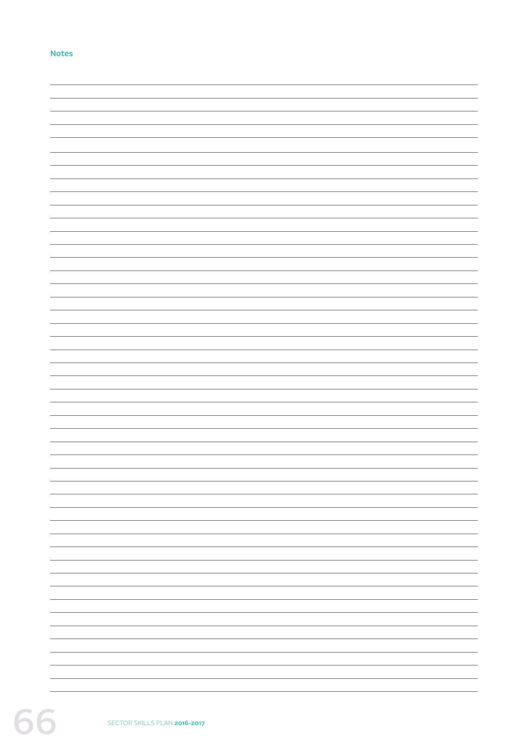## **Notes**

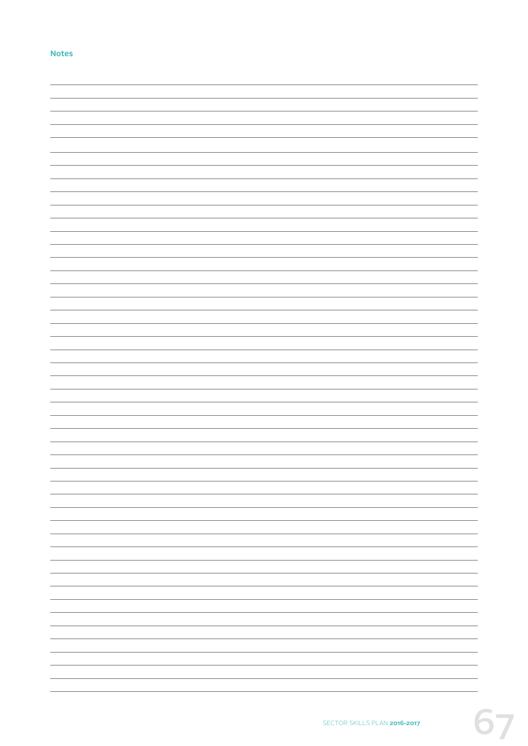### **Notes**